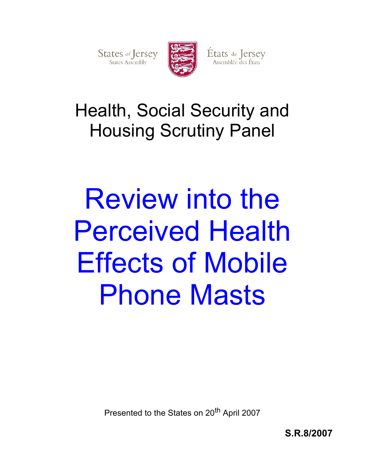

États de Jersey<br>Assemblée des États

## Health, Social Security and Housing Scrutiny Panel

# Review into the Perceived Health Effects of Mobile Phone Masts

Presented to the States on 20<sup>th</sup> April 2007

**S.R.8/2007**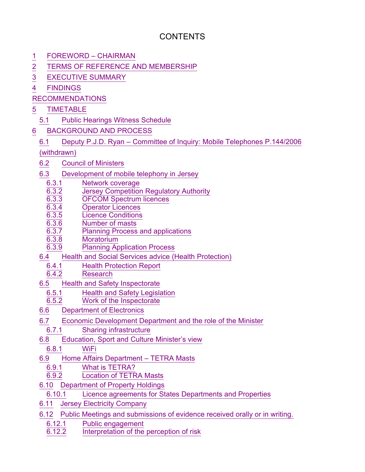## **CONTENTS**

- 1 FOREWORD CHAIRMAN
- 2 TERMS OF REFERENCE AND MEMBERSHIP
- 3 EXECUTIVE SUMMARY
- 4 FINDINGS
- RECOMMENDATIONS
- 5 TIMETABLE
	- 5.1 Public Hearings Witness Schedule
- 6 BACKGROUND AND PROCESS
	- 6.1 Deputy P.J.D. Ryan Committee of Inquiry: Mobile Telephones P.144/2006

(withdrawn)

- 6.2 Council of Ministers
- 6.3 Development of mobile telephony in Jersey
	- 6.3.1 **Network coverage**<br>6.3.2 **Dersey Competition**
	- 6.3.2 Jersey Competition Regulatory Authority
	- 6.3.3 OFCOM Spectrum licences
	- **Operator Licences**
	- 6.3.5 Licence Conditions
	- $\overline{6.3.6}$  **Number of masts**<br> $\overline{6.3.7}$  **Planning Process**
	- Planning Process and applications
	- 6.3.8 Moratorium
	- 6.3.9 Planning Application Process
- 6.4 Health and Social Services advice (Health Protection)
	- 6.4.1 Health Protection Report
	- Research
- 6.5 Health and Safety Inspectorate
	- 6.5.1 Health and Safety Legislation
	- Work of the Inspectorate
- 6.6 Department of Electronics
- 6.7 Economic Development Department and the role of the Minister
- 6.7.1 Sharing infrastructure
- 6.8 Education, Sport and Culture Minister's view
	- 6.8.1 WiFi
- 6.9 Home Affairs Department TETRA Masts
	- 6.9.1 What is TETRA?
	- 6.9.2 Location of TETRA Masts
- 6.10 Department of Property Holdings
	- 6.10.1 Licence agreements for States Departments and Properties
- 6.11 Jersey Electricity Company
- 6.12 Public Meetings and submissions of evidence received orally or in writing.
	- 6.12.1 Public engagement<br>6.12.2 Interpretation of the
	- Interpretation of the perception of risk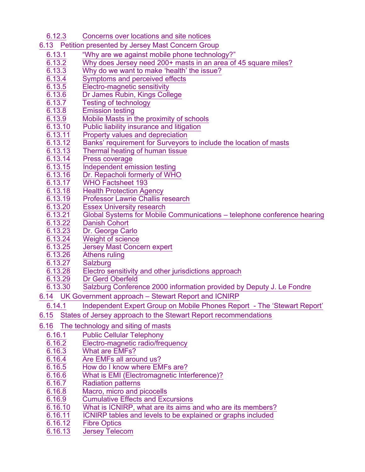- 6.12.3 Concerns over locations and site notices
- 6.13 Petition presented by Jersey Mast Concern Group
	- 6.13.1 "Why are we against mobile phone technology?"
	- $\frac{6.13.2}{6.13.3}$  Why does Jersey need 200+ masts in an area of 45 square miles?<br>6.13.3 Why do we want to make 'health' the issue?
	- $\frac{6.13.3}{6.13.4}$  Why do we want to make 'health' the issue?<br>6.13.4 Symptoms and perceived effects
	- $\overline{6.13.4}$  Symptoms and perceived effects<br>6.13.5 Electro-magnetic sensitivity
	- 6.13.5 Electro-magnetic sensitivity
	- 6.13.6 Dr James Rubin, Kings College
	- 6.13.7 Testing of technology
	- 6.13.8 Emission testing
	- $\overline{6.13.9}$  Mobile Masts in the proximity of schools 6.13.10 Public liability insurance and litigation
	- 6.13.10 Public liability insurance and litigation
	- 6.13.11 Property values and depreciation
	- 6.13.12 Banks' requirement for Surveyors to include the location of masts
	- Thermal heating of human tissue
	- 6.13.14 Press coverage
	- 6.13.15 Independent emission testing
	- 6.13.16 Dr. Repacholi formerly of WHO
	- 6.13.17 WHO Factsheet 193
	- 6.13.18 Health Protection Agency
	- 6.13.19 Professor Lawrie Challis research
	- 6.13.20 Essex University research
	- 6.13.21 Global Systems for Mobile Communications telephone conference hearing
	- 6.13.22 Danish Cohort
	- 6.13.23 Dr. George Carlo<br>6.13.24 Weight of science
	- Weight of science
	- 6.13.25 Jersey Mast Concern expert
	- 6.13.26 Athens ruling
	- 6.13.27 Salzburg
	- 6.13.28 Electro sensitivity and other jurisdictions approach
	- 6.13.29 Dr Gerd Oberfeld
	- 6.13.30 Salzburg Conference 2000 information provided by Deputy J. Le Fondre
- 6.14 UK Government approach Stewart Report and ICNIRP
	- 6.14.1 Independent Expert Group on Mobile Phones Report The 'Stewart Report'
- 6.15 States of Jersey approach to the Stewart Report recommendations
- 6.16 The technology and siting of masts
	- 6.16.1 Public Cellular Telephony
	- 6.16.2 Electro-magnetic radio/frequency
	- 6.16.3 What are EMFs?
	- 6.16.4 Are EMFs all around us?<br>6.16.5 How do I know where EM
	- How do I know where EMFs are?
	- 6.16.6 What is EMI (Electromagnetic Interference)?
	- 6.16.7 Radiation patterns
	- 6.16.8 Macro, micro and picocells
	- 6.16.9 Cumulative Effects and Excursions
	- 6.16.10 What is ICNIRP, what are its aims and who are its members?
	- 6.16.11 ICNIRP tables and levels to be explained or graphs included
	- 6.16.12 Fibre Optics
	- Jersey Telecom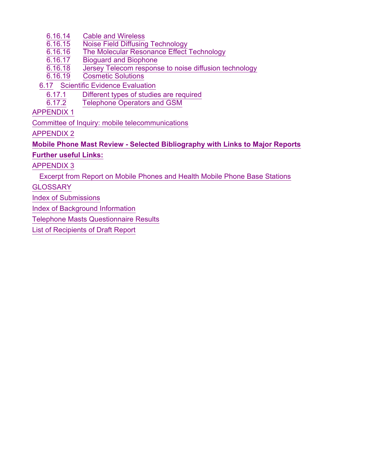- 6.16.14 Cable and Wireless
- **Noise Field Diffusing Technology**
- 6.16.16 The Molecular Resonance Effect Technology
- **Bioguard and Biophone**
- 6.16.18 Jersey Telecom response to noise diffusion technology
- 6.16.19 Cosmetic Solutions
- 6.17 Scientific Evidence Evaluation
	- 6.17.1 Different types of studies are required
		- Telephone Operators and GSM

APPENDIX 1

Committee of Inquiry: mobile telecommunications

APPENDIX 2

## **Mobile Phone Mast Review - Selected Bibliography with Links to Major Reports**

**Further useful Links:**

APPENDIX 3

Excerpt from Report on Mobile Phones and Health Mobile Phone Base Stations

**GLOSSARY** 

Index of Submissions

Index of Background Information

Telephone Masts Questionnaire Results

List of Recipients of Draft Report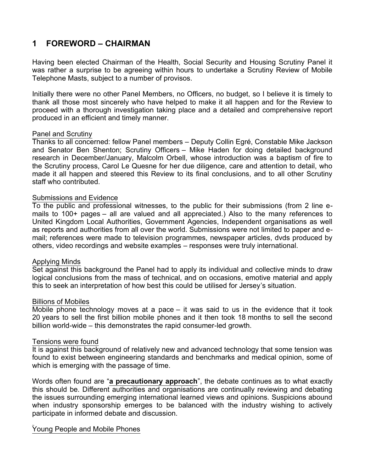## **1 FOREWORD – CHAIRMAN**

Having been elected Chairman of the Health, Social Security and Housing Scrutiny Panel it was rather a surprise to be agreeing within hours to undertake a Scrutiny Review of Mobile Telephone Masts, subject to a number of provisos.

Initially there were no other Panel Members, no Officers, no budget, so I believe it is timely to thank all those most sincerely who have helped to make it all happen and for the Review to proceed with a thorough investigation taking place and a detailed and comprehensive report produced in an efficient and timely manner.

## Panel and Scrutiny

Thanks to all concerned: fellow Panel members – Deputy Collin Egré, Constable Mike Jackson and Senator Ben Shenton; Scrutiny Officers – Mike Haden for doing detailed background research in December/January, Malcolm Orbell, whose introduction was a baptism of fire to the Scrutiny process, Carol Le Quesne for her due diligence, care and attention to detail, who made it all happen and steered this Review to its final conclusions, and to all other Scrutiny staff who contributed.

## Submissions and Evidence

To the public and professional witnesses, to the public for their submissions (from 2 line emails to 100+ pages – all are valued and all appreciated.) Also to the many references to United Kingdom Local Authorities, Government Agencies, Independent organisations as well as reports and authorities from all over the world. Submissions were not limited to paper and email; references were made to television programmes, newspaper articles, dvds produced by others, video recordings and website examples – responses were truly international.

## Applying Minds

Set against this background the Panel had to apply its individual and collective minds to draw logical conclusions from the mass of technical, and on occasions, emotive material and apply this to seek an interpretation of how best this could be utilised for Jersey's situation.

## Billions of Mobiles

Mobile phone technology moves at a pace – it was said to us in the evidence that it took 20 years to sell the first billion mobile phones and it then took 18 months to sell the second billion world-wide – this demonstrates the rapid consumer-led growth.

## Tensions were found

It is against this background of relatively new and advanced technology that some tension was found to exist between engineering standards and benchmarks and medical opinion, some of which is emerging with the passage of time.

Words often found are "**a precautionary approach**", the debate continues as to what exactly this should be. Different authorities and organisations are continually reviewing and debating the issues surrounding emerging international learned views and opinions. Suspicions abound when industry sponsorship emerges to be balanced with the industry wishing to actively participate in informed debate and discussion.

## Young People and Mobile Phones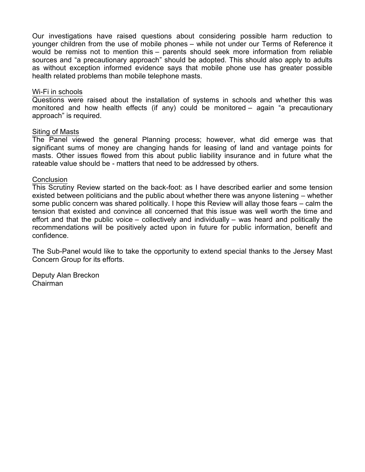Our investigations have raised questions about considering possible harm reduction to younger children from the use of mobile phones – while not under our Terms of Reference it would be remiss not to mention this – parents should seek more information from reliable sources and "a precautionary approach" should be adopted. This should also apply to adults as without exception informed evidence says that mobile phone use has greater possible health related problems than mobile telephone masts.

#### Wi-Fi in schools

Questions were raised about the installation of systems in schools and whether this was monitored and how health effects (if any) could be monitored – again "a precautionary approach" is required.

#### Siting of Masts

The Panel viewed the general Planning process; however, what did emerge was that significant sums of money are changing hands for leasing of land and vantage points for masts. Other issues flowed from this about public liability insurance and in future what the rateable value should be - matters that need to be addressed by others.

#### **Conclusion**

This Scrutiny Review started on the back-foot: as I have described earlier and some tension existed between politicians and the public about whether there was anyone listening – whether some public concern was shared politically. I hope this Review will allay those fears – calm the tension that existed and convince all concerned that this issue was well worth the time and effort and that the public voice – collectively and individually – was heard and politically the recommendations will be positively acted upon in future for public information, benefit and confidence.

The Sub-Panel would like to take the opportunity to extend special thanks to the Jersey Mast Concern Group for its efforts.

Deputy Alan Breckon Chairman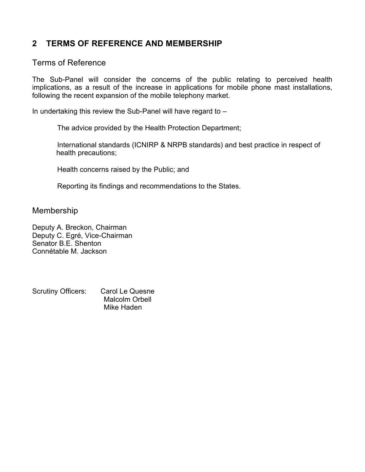## **2 TERMS OF REFERENCE AND MEMBERSHIP**

## Terms of Reference

The Sub-Panel will consider the concerns of the public relating to perceived health implications, as a result of the increase in applications for mobile phone mast installations, following the recent expansion of the mobile telephony market.

In undertaking this review the Sub-Panel will have regard to –

The advice provided by the Health Protection Department;

 International standards (ICNIRP & NRPB standards) and best practice in respect of health precautions;

Health concerns raised by the Public; and

Reporting its findings and recommendations to the States.

Membership

Deputy A. Breckon, Chairman Deputy C. Egré, Vice-Chairman Senator B.E. Shenton Connétable M. Jackson

Scrutiny Officers: Carol Le Quesne Malcolm Orbell Mike Haden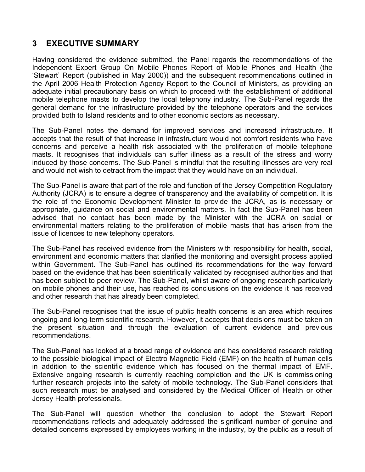## **3 EXECUTIVE SUMMARY**

Having considered the evidence submitted, the Panel regards the recommendations of the Independent Expert Group On Mobile Phones Report of Mobile Phones and Health (the 'Stewart' Report (published in May 2000)) and the subsequent recommendations outlined in the April 2006 Health Protection Agency Report to the Council of Ministers, as providing an adequate initial precautionary basis on which to proceed with the establishment of additional mobile telephone masts to develop the local telephony industry. The Sub-Panel regards the general demand for the infrastructure provided by the telephone operators and the services provided both to Island residents and to other economic sectors as necessary.

The Sub-Panel notes the demand for improved services and increased infrastructure. It accepts that the result of that increase in infrastructure would not comfort residents who have concerns and perceive a health risk associated with the proliferation of mobile telephone masts. It recognises that individuals can suffer illness as a result of the stress and worry induced by those concerns. The Sub-Panel is mindful that the resulting illnesses are very real and would not wish to detract from the impact that they would have on an individual.

The Sub-Panel is aware that part of the role and function of the Jersey Competition Regulatory Authority (JCRA) is to ensure a degree of transparency and the availability of competition. It is the role of the Economic Development Minister to provide the JCRA, as is necessary or appropriate, guidance on social and environmental matters. In fact the Sub-Panel has been advised that no contact has been made by the Minister with the JCRA on social or environmental matters relating to the proliferation of mobile masts that has arisen from the issue of licences to new telephony operators.

The Sub-Panel has received evidence from the Ministers with responsibility for health, social, environment and economic matters that clarified the monitoring and oversight process applied within Government. The Sub-Panel has outlined its recommendations for the way forward based on the evidence that has been scientifically validated by recognised authorities and that has been subject to peer review. The Sub-Panel, whilst aware of ongoing research particularly on mobile phones and their use, has reached its conclusions on the evidence it has received and other research that has already been completed.

The Sub-Panel recognises that the issue of public health concerns is an area which requires ongoing and long-term scientific research. However, it accepts that decisions must be taken on the present situation and through the evaluation of current evidence and previous recommendations.

The Sub-Panel has looked at a broad range of evidence and has considered research relating to the possible biological impact of Electro Magnetic Field (EMF) on the health of human cells in addition to the scientific evidence which has focused on the thermal impact of EMF. Extensive ongoing research is currently reaching completion and the UK is commissioning further research projects into the safety of mobile technology. The Sub-Panel considers that such research must be analysed and considered by the Medical Officer of Health or other Jersey Health professionals.

The Sub-Panel will question whether the conclusion to adopt the Stewart Report recommendations reflects and adequately addressed the significant number of genuine and detailed concerns expressed by employees working in the industry, by the public as a result of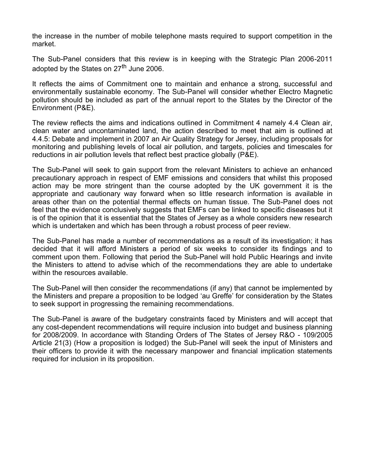the increase in the number of mobile telephone masts required to support competition in the market.

The Sub-Panel considers that this review is in keeping with the Strategic Plan 2006-2011 adopted by the States on 27<sup>th</sup> June 2006.

It reflects the aims of Commitment one to maintain and enhance a strong, successful and environmentally sustainable economy. The Sub-Panel will consider whether Electro Magnetic pollution should be included as part of the annual report to the States by the Director of the Environment (P&E).

The review reflects the aims and indications outlined in Commitment 4 namely 4.4 Clean air, clean water and uncontaminated land, the action described to meet that aim is outlined at 4.4.5: Debate and implement in 2007 an Air Quality Strategy for Jersey, including proposals for monitoring and publishing levels of local air pollution, and targets, policies and timescales for reductions in air pollution levels that reflect best practice globally (P&E).

The Sub-Panel will seek to gain support from the relevant Ministers to achieve an enhanced precautionary approach in respect of EMF emissions and considers that whilst this proposed action may be more stringent than the course adopted by the UK government it is the appropriate and cautionary way forward when so little research information is available in areas other than on the potential thermal effects on human tissue. The Sub-Panel does not feel that the evidence conclusively suggests that EMFs can be linked to specific diseases but it is of the opinion that it is essential that the States of Jersey as a whole considers new research which is undertaken and which has been through a robust process of peer review.

The Sub-Panel has made a number of recommendations as a result of its investigation; it has decided that it will afford Ministers a period of six weeks to consider its findings and to comment upon them. Following that period the Sub-Panel will hold Public Hearings and invite the Ministers to attend to advise which of the recommendations they are able to undertake within the resources available.

The Sub-Panel will then consider the recommendations (if any) that cannot be implemented by the Ministers and prepare a proposition to be lodged 'au Greffe' for consideration by the States to seek support in progressing the remaining recommendations.

The Sub-Panel is aware of the budgetary constraints faced by Ministers and will accept that any cost-dependent recommendations will require inclusion into budget and business planning for 2008/2009. In accordance with Standing Orders of The States of Jersey R&O - 109/2005 Article 21(3) (How a proposition is lodged) the Sub-Panel will seek the input of Ministers and their officers to provide it with the necessary manpower and financial implication statements required for inclusion in its proposition.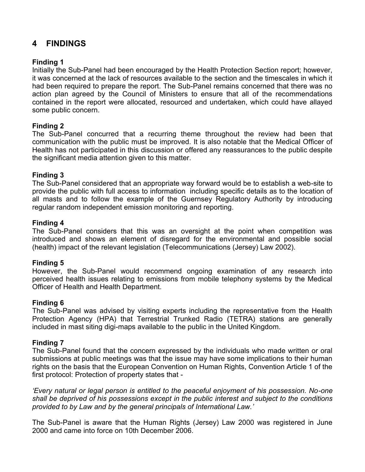## **4 FINDINGS**

## **Finding 1**

Initially the Sub-Panel had been encouraged by the Health Protection Section report; however, it was concerned at the lack of resources available to the section and the timescales in which it had been required to prepare the report. The Sub-Panel remains concerned that there was no action plan agreed by the Council of Ministers to ensure that all of the recommendations contained in the report were allocated, resourced and undertaken, which could have allayed some public concern.

## **Finding 2**

The Sub-Panel concurred that a recurring theme throughout the review had been that communication with the public must be improved. It is also notable that the Medical Officer of Health has not participated in this discussion or offered any reassurances to the public despite the significant media attention given to this matter.

## **Finding 3**

The Sub-Panel considered that an appropriate way forward would be to establish a web-site to provide the public with full access to information including specific details as to the location of all masts and to follow the example of the Guernsey Regulatory Authority by introducing regular random independent emission monitoring and reporting.

## **Finding 4**

The Sub-Panel considers that this was an oversight at the point when competition was introduced and shows an element of disregard for the environmental and possible social (health) impact of the relevant legislation (Telecommunications (Jersey) Law 2002).

## **Finding 5**

However, the Sub-Panel would recommend ongoing examination of any research into perceived health issues relating to emissions from mobile telephony systems by the Medical Officer of Health and Health Department.

## **Finding 6**

The Sub-Panel was advised by visiting experts including the representative from the Health Protection Agency (HPA) that Terrestrial Trunked Radio (TETRA) stations are generally included in mast siting digi-maps available to the public in the United Kingdom.

## **Finding 7**

The Sub-Panel found that the concern expressed by the individuals who made written or oral submissions at public meetings was that the issue may have some implications to their human rights on the basis that the European Convention on Human Rights, Convention Article 1 of the first protocol: Protection of property states that -

*'Every natural or legal person is entitled to the peaceful enjoyment of his possession. No-one shall be deprived of his possessions except in the public interest and subject to the conditions provided to by Law and by the general principals of International Law.'*

The Sub-Panel is aware that the Human Rights (Jersey) Law 2000 was registered in June 2000 and came into force on 10th December 2006.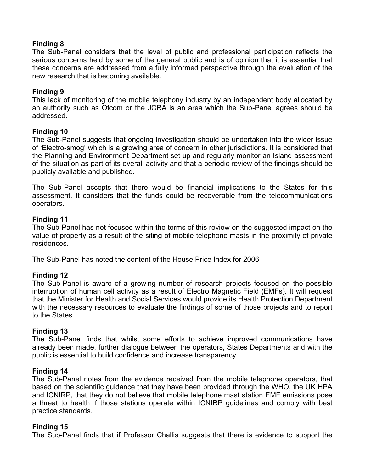## **Finding 8**

The Sub-Panel considers that the level of public and professional participation reflects the serious concerns held by some of the general public and is of opinion that it is essential that these concerns are addressed from a fully informed perspective through the evaluation of the new research that is becoming available.

## **Finding 9**

This lack of monitoring of the mobile telephony industry by an independent body allocated by an authority such as Ofcom or the JCRA is an area which the Sub-Panel agrees should be addressed.

## **Finding 10**

The Sub-Panel suggests that ongoing investigation should be undertaken into the wider issue of 'Electro-smog' which is a growing area of concern in other jurisdictions. It is considered that the Planning and Environment Department set up and regularly monitor an Island assessment of the situation as part of its overall activity and that a periodic review of the findings should be publicly available and published.

The Sub-Panel accepts that there would be financial implications to the States for this assessment. It considers that the funds could be recoverable from the telecommunications operators.

## **Finding 11**

The Sub-Panel has not focused within the terms of this review on the suggested impact on the value of property as a result of the siting of mobile telephone masts in the proximity of private residences.

The Sub-Panel has noted the content of the House Price Index for 2006

## **Finding 12**

The Sub-Panel is aware of a growing number of research projects focused on the possible interruption of human cell activity as a result of Electro Magnetic Field (EMFs). It will request that the Minister for Health and Social Services would provide its Health Protection Department with the necessary resources to evaluate the findings of some of those projects and to report to the States.

## **Finding 13**

The Sub-Panel finds that whilst some efforts to achieve improved communications have already been made, further dialogue between the operators, States Departments and with the public is essential to build confidence and increase transparency.

## **Finding 14**

The Sub-Panel notes from the evidence received from the mobile telephone operators, that based on the scientific guidance that they have been provided through the WHO, the UK HPA and ICNIRP, that they do not believe that mobile telephone mast station EMF emissions pose a threat to health if those stations operate within ICNIRP guidelines and comply with best practice standards.

## **Finding 15**

The Sub-Panel finds that if Professor Challis suggests that there is evidence to support the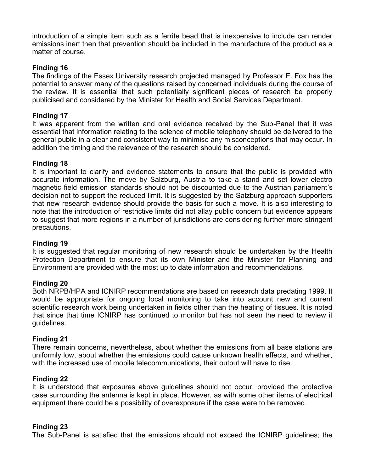introduction of a simple item such as a ferrite bead that is inexpensive to include can render emissions inert then that prevention should be included in the manufacture of the product as a matter of course.

## **Finding 16**

The findings of the Essex University research projected managed by Professor E. Fox has the potential to answer many of the questions raised by concerned individuals during the course of the review. It is essential that such potentially significant pieces of research be properly publicised and considered by the Minister for Health and Social Services Department.

## **Finding 17**

It was apparent from the written and oral evidence received by the Sub-Panel that it was essential that information relating to the science of mobile telephony should be delivered to the general public in a clear and consistent way to minimise any misconceptions that may occur. In addition the timing and the relevance of the research should be considered.

## **Finding 18**

It is important to clarify and evidence statements to ensure that the public is provided with accurate information. The move by Salzburg, Austria to take a stand and set lower electro magnetic field emission standards should not be discounted due to the Austrian parliament's decision not to support the reduced limit. It is suggested by the Salzburg approach supporters that new research evidence should provide the basis for such a move. It is also interesting to note that the introduction of restrictive limits did not allay public concern but evidence appears to suggest that more regions in a number of jurisdictions are considering further more stringent precautions.

## **Finding 19**

It is suggested that regular monitoring of new research should be undertaken by the Health Protection Department to ensure that its own Minister and the Minister for Planning and Environment are provided with the most up to date information and recommendations.

## **Finding 20**

Both NRPB/HPA and ICNIRP recommendations are based on research data predating 1999. It would be appropriate for ongoing local monitoring to take into account new and current scientific research work being undertaken in fields other than the heating of tissues. It is noted that since that time ICNIRP has continued to monitor but has not seen the need to review it guidelines.

## **Finding 21**

There remain concerns, nevertheless, about whether the emissions from all base stations are uniformly low, about whether the emissions could cause unknown health effects, and whether, with the increased use of mobile telecommunications, their output will have to rise.

## **Finding 22**

It is understood that exposures above guidelines should not occur, provided the protective case surrounding the antenna is kept in place. However, as with some other items of electrical equipment there could be a possibility of overexposure if the case were to be removed.

## **Finding 23**

The Sub-Panel is satisfied that the emissions should not exceed the ICNIRP guidelines; the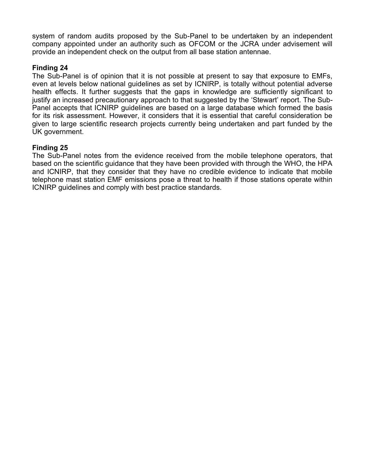system of random audits proposed by the Sub-Panel to be undertaken by an independent company appointed under an authority such as OFCOM or the JCRA under advisement will provide an independent check on the output from all base station antennae.

## **Finding 24**

The Sub-Panel is of opinion that it is not possible at present to say that exposure to EMFs, even at levels below national guidelines as set by ICNIRP, is totally without potential adverse health effects. It further suggests that the gaps in knowledge are sufficiently significant to justify an increased precautionary approach to that suggested by the 'Stewart' report. The Sub-Panel accepts that ICNIRP guidelines are based on a large database which formed the basis for its risk assessment. However, it considers that it is essential that careful consideration be given to large scientific research projects currently being undertaken and part funded by the UK government.

## **Finding 25**

The Sub-Panel notes from the evidence received from the mobile telephone operators, that based on the scientific guidance that they have been provided with through the WHO, the HPA and ICNIRP, that they consider that they have no credible evidence to indicate that mobile telephone mast station EMF emissions pose a threat to health if those stations operate within ICNIRP guidelines and comply with best practice standards.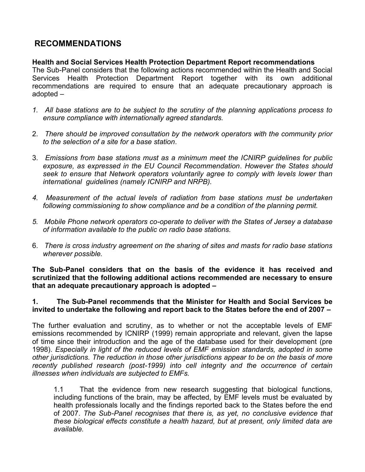## **RECOMMENDATIONS**

**Health and Social Services Health Protection Department Report recommendations** The Sub-Panel considers that the following actions recommended within the Health and Social Services Health Protection Department Report together with its own additional recommendations are required to ensure that an adequate precautionary approach is adopted –

- *1. All base stations are to be subject to the scrutiny of the planning applications process to ensure compliance with internationally agreed standards.*
- 2. *There should be improved consultation by the network operators with the community prior to the selection of a site for a base station*.
- 3. *Emissions from base stations must as a minimum meet the ICNIRP guidelines for public exposure, as expressed in the EU Council Recommendation*. *However the States should seek to ensure that Network operators voluntarily agree to comply with levels lower than international guidelines (namely ICNIRP and NRPB).*
- *4. Measurement of the actual levels of radiation from base stations must be undertaken following commissioning to show compliance and be a condition of the planning permit.*
- *5. Mobile Phone network operators co-operate to deliver with the States of Jersey a database of information available to the public on radio base stations.*
- 6. *There is cross industry agreement on the sharing of sites and masts for radio base stations wherever possible.*

**The Sub-Panel considers that on the basis of the evidence it has received and scrutinized that the following additional actions recommended are necessary to ensure that an adequate precautionary approach is adopted –**

## **1. The Sub-Panel recommends that the Minister for Health and Social Services be invited to undertake the following and report back to the States before the end of 2007 –**

The further evaluation and scrutiny, as to whether or not the acceptable levels of EMF emissions recommended by ICNIRP (1999) remain appropriate and relevant, given the lapse of time since their introduction and the age of the database used for their development (pre 1998). *Especially in light of the reduced levels of EMF emission standards, adopted in some other jurisdictions. The reduction in those other jurisdictions appear to be on the basis of more recently published research (post-1999) into cell integrity and the occurrence of certain illnesses when individuals are subjected to EMFs.*

1.1 That the evidence from new research suggesting that biological functions, including functions of the brain, may be affected, by EMF levels must be evaluated by health professionals locally and the findings reported back to the States before the end of 2007. *The Sub-Panel recognises that there is, as yet, no conclusive evidence that these biological effects constitute a health hazard, but at present, only limited data are available.*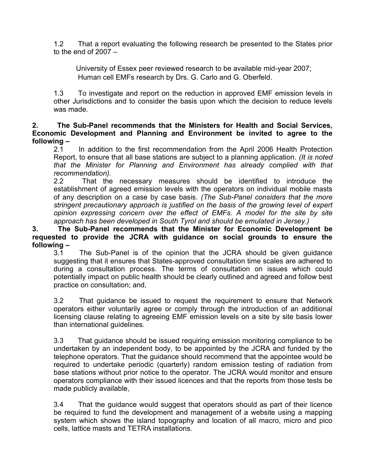1.2 That a report evaluating the following research be presented to the States prior to the end of  $2007 -$ 

 University of Essex peer reviewed research to be available mid-year 2007; Human cell EMFs research by Drs. G. Carlo and G. Oberfeld.

1.3 To investigate and report on the reduction in approved EMF emission levels in other Jurisdictions and to consider the basis upon which the decision to reduce levels was made.

**2. The Sub-Panel recommends that the Ministers for Health and Social Services, Economic Development and Planning and Environment be invited to agree to the following –**

In addition to the first recommendation from the April 2006 Health Protection Report, to ensure that all base stations are subject to a planning application. *(It is noted that the Minister for Planning and Environment has already complied with that recommendation).*

2.2 That the necessary measures should be identified to introduce the establishment of agreed emission levels with the operators on individual mobile masts of any description on a case by case basis*. (The Sub-Panel considers that the more stringent precautionary approach is justified on the basis of the growing level of expert opinion expressing concern over the effect of EMFs. A model for the site by site approach has been developed in South Tyrol and should be emulated in Jersey.)*

**3. The Sub-Panel recommends that the Minister for Economic Development be requested to provide the JCRA with guidance on social grounds to ensure the following –**

The Sub-Panel is of the opinion that the JCRA should be given guidance suggesting that it ensures that States-approved consultation time scales are adhered to during a consultation process. The terms of consultation on issues which could potentially impact on public health should be clearly outlined and agreed and follow best practice on consultation; and,

3.2 That guidance be issued to request the requirement to ensure that Network operators either voluntarily agree or comply through the introduction of an additional licensing clause relating to agreeing EMF emission levels on a site by site basis lower than international guidelines.

3.3 That guidance should be issued requiring emission monitoring compliance to be undertaken by an independent body, to be appointed by the JCRA and funded by the telephone operators. That the guidance should recommend that the appointee would be required to undertake periodic (quarterly) random emission testing of radiation from base stations without prior notice to the operator. The JCRA would monitor and ensure operators compliance with their issued licences and that the reports from those tests be made publicly available,

3.4 That the guidance would suggest that operators should as part of their licence be required to fund the development and management of a website using a mapping system which shows the island topography and location of all macro, micro and pico cells, lattice masts and TETRA installations.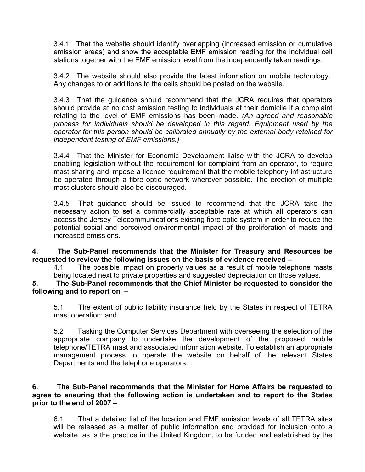3.4.1 That the website should identify overlapping (increased emission or cumulative emission areas) and show the acceptable EMF emission reading for the individual cell stations together with the EMF emission level from the independently taken readings.

3.4.2 The website should also provide the latest information on mobile technology. Any changes to or additions to the cells should be posted on the website.

3.4.3 That the guidance should recommend that the JCRA requires that operators should provide at no cost emission testing to individuals at their domicile if a complaint relating to the level of EMF emissions has been made. *(An agreed and reasonable process for individuals should be developed in this regard. Equipment used by the operator for this person should be calibrated annually by the external body retained for independent testing of EMF emissions.)*

3.4.4 That the Minister for Economic Development liaise with the JCRA to develop enabling legislation without the requirement for complaint from an operator, to require mast sharing and impose a licence requirement that the mobile telephony infrastructure be operated through a fibre optic network wherever possible. The erection of multiple mast clusters should also be discouraged.

3.4.5 That guidance should be issued to recommend that the JCRA take the necessary action to set a commercially acceptable rate at which all operators can access the Jersey Telecommunications existing fibre optic system in order to reduce the potential social and perceived environmental impact of the proliferation of masts and increased emissions.

**4. The Sub-Panel recommends that the Minister for Treasury and Resources be requested to review the following issues on the basis of evidence received –**

4.1 The possible impact on property values as a result of mobile telephone masts being located next to private properties and suggested depreciation on those values.

**5. The Sub-Panel recommends that the Chief Minister be requested to consider the following and to report on** –

5.1 The extent of public liability insurance held by the States in respect of TETRA mast operation; and,

5.2 Tasking the Computer Services Department with overseeing the selection of the appropriate company to undertake the development of the proposed mobile telephone/TETRA mast and associated information website. To establish an appropriate management process to operate the website on behalf of the relevant States Departments and the telephone operators.

## **6. The Sub-Panel recommends that the Minister for Home Affairs be requested to agree to ensuring that the following action is undertaken and to report to the States prior to the end of 2007 –**

6.1 That a detailed list of the location and EMF emission levels of all TETRA sites will be released as a matter of public information and provided for inclusion onto a website, as is the practice in the United Kingdom, to be funded and established by the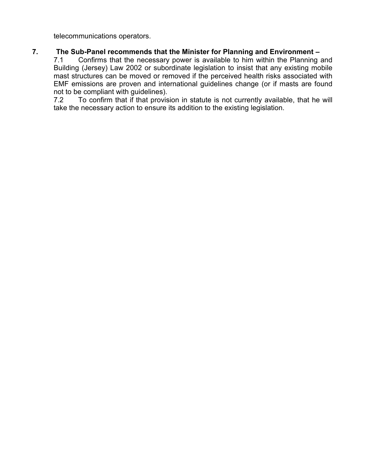telecommunications operators.

## **7. The Sub-Panel recommends that the Minister for Planning and Environment –**

7.1 Confirms that the necessary power is available to him within the Planning and Building (Jersey) Law 2002 or subordinate legislation to insist that any existing mobile mast structures can be moved or removed if the perceived health risks associated with EMF emissions are proven and international guidelines change (or if masts are found not to be compliant with guidelines).

7.2 To confirm that if that provision in statute is not currently available, that he will take the necessary action to ensure its addition to the existing legislation.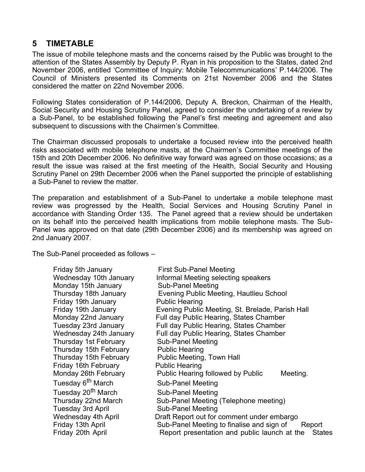## **5 TIMETABLE**

The issue of mobile telephone masts and the concerns raised by the Public was brought to the attention of the States Assembly by Deputy P. Ryan in his proposition to the States, dated 2nd November 2006, entitled 'Committee of Inquiry: Mobile Telecommunications' P.144/2006. The Council of Ministers presented its Comments on 21st November 2006 and the States considered the matter on 22nd November 2006.

Following States consideration of P.144/2006, Deputy A. Breckon, Chairman of the Health, Social Security and Housing Scrutiny Panel, agreed to consider the undertaking of a review by a Sub-Panel, to be established following the Panel's first meeting and agreement and also subsequent to discussions with the Chairmen's Committee.

The Chairman discussed proposals to undertake a focused review into the perceived health risks associated with mobile telephone masts, at the Chairmen's Committee meetings of the 15th and 20th December 2006. No definitive way forward was agreed on those occasions; as a result the issue was raised at the first meeting of the Health, Social Security and Housing Scrutiny Panel on 29th December 2006 when the Panel supported the principle of establishing a Sub-Panel to review the matter.

The preparation and establishment of a Sub-Panel to undertake a mobile telephone mast review was progressed by the Health, Social Services and Housing Scrutiny Panel in accordance with Standing Order 135. The Panel agreed that a review should be undertaken on its behalf into the perceived health implications from mobile telephone masts. The Sub-Panel was approved on that date (29th December 2006) and its membership was agreed on 2nd January 2007.

The Sub-Panel proceeded as follows –

| Friday 5th January             | <b>First Sub-Panel Meeting</b>                                |
|--------------------------------|---------------------------------------------------------------|
| Wednesday 10th January         | Informal Meeting selecting speakers                           |
| Monday 15th January            | <b>Sub-Panel Meeting</b>                                      |
| Thursday 18th January          | Evening Public Meeting, Hautlieu School                       |
| Friday 19th January            | <b>Public Hearing</b>                                         |
| Friday 19th January            | Evening Public Meeting, St. Brelade, Parish Hall              |
| Monday 22nd January            | Full day Public Hearing, States Chamber                       |
| Tuesday 23rd January           | Full day Public Hearing, States Chamber                       |
| Wednesday 24th January         | Full day Public Hearing, States Chamber                       |
| Thursday 1st February          | <b>Sub-Panel Meeting</b>                                      |
| Thursday 15th February         | <b>Public Hearing</b>                                         |
| Thursday 15th February         | Public Meeting, Town Hall                                     |
| Friday 16th February           | <b>Public Hearing</b>                                         |
| Monday 26th February           | Public Hearing followed by Public<br>Meeting.                 |
| Tuesday 6 <sup>th</sup> March  | <b>Sub-Panel Meeting</b>                                      |
| Tuesday 20 <sup>th</sup> March | <b>Sub-Panel Meeting</b>                                      |
| Thursday 22nd March            | Sub-Panel Meeting (Telephone meeting)                         |
| <b>Tuesday 3rd April</b>       | <b>Sub-Panel Meeting</b>                                      |
| <b>Wednesday 4th April</b>     | Draft Report out for comment under embargo                    |
| Friday 13th April              | Sub-Panel Meeting to finalise and sign of<br>Report           |
| Friday 20th April              | Report presentation and public launch at the<br><b>States</b> |
|                                |                                                               |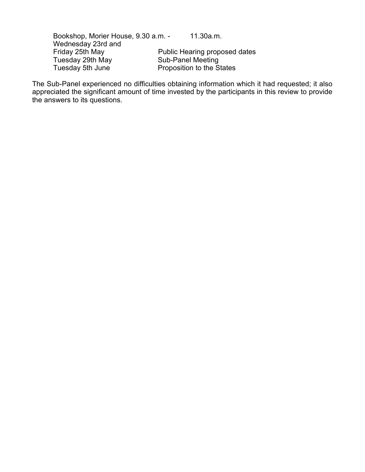Bookshop, Morier House, 9.30 a.m. - 11.30a.m. Wednesday 23rd and<br>Friday 25th May Public Hearing proposed dates<br>Sub-Panel Meeting Tuesday 29th May<br>Tuesday 5th June Proposition to the States

The Sub-Panel experienced no difficulties obtaining information which it had requested; it also appreciated the significant amount of time invested by the participants in this review to provide the answers to its questions.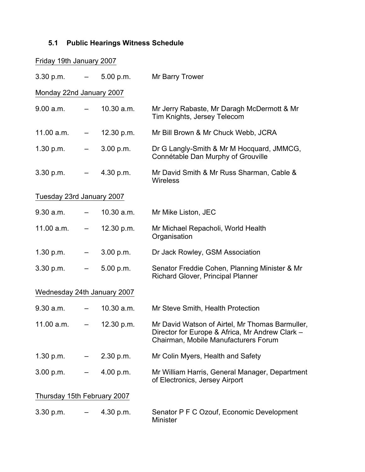## **5.1 Public Hearings Witness Schedule**

| Friday 19th January 2007    |                          |              |                                                                                                                                            |
|-----------------------------|--------------------------|--------------|--------------------------------------------------------------------------------------------------------------------------------------------|
| 3.30 p.m.                   |                          | $-5.00$ p.m. | Mr Barry Trower                                                                                                                            |
| Monday 22nd January 2007    |                          |              |                                                                                                                                            |
| 9.00 a.m.                   |                          | 10.30 a.m.   | Mr Jerry Rabaste, Mr Daragh McDermott & Mr<br>Tim Knights, Jersey Telecom                                                                  |
| 11.00 a.m.                  |                          | 12.30 p.m.   | Mr Bill Brown & Mr Chuck Webb, JCRA                                                                                                        |
| 1.30 p.m.                   | $\overline{\phantom{0}}$ | 3.00 p.m.    | Dr G Langly-Smith & Mr M Hocquard, JMMCG,<br>Connétable Dan Murphy of Grouville                                                            |
| 3.30 p.m.                   | $\overline{\phantom{a}}$ | 4.30 p.m.    | Mr David Smith & Mr Russ Sharman, Cable &<br><b>Wireless</b>                                                                               |
| Tuesday 23rd January 2007   |                          |              |                                                                                                                                            |
| 9.30 a.m.                   | $ -$                     | 10.30 a.m.   | Mr Mike Liston, JEC                                                                                                                        |
| 11.00 a.m.                  | $\overline{\phantom{a}}$ | 12.30 p.m.   | Mr Michael Repacholi, World Health<br>Organisation                                                                                         |
| 1.30 p.m.                   | $\overline{\phantom{m}}$ | 3.00 p.m.    | Dr Jack Rowley, GSM Association                                                                                                            |
| 3.30 p.m.                   |                          | 5.00 p.m.    | Senator Freddie Cohen, Planning Minister & Mr<br>Richard Glover, Principal Planner                                                         |
| Wednesday 24th January 2007 |                          |              |                                                                                                                                            |
| 9.30 a.m.                   | $ -$                     | 10.30 a.m.   | Mr Steve Smith, Health Protection                                                                                                          |
| 11.00 a.m.                  |                          | 12.30 p.m.   | Mr David Watson of Airtel, Mr Thomas Barmuller,<br>Director for Europe & Africa, Mr Andrew Clark -<br>Chairman, Mobile Manufacturers Forum |
| 1.30 p.m.                   |                          | 2.30 p.m.    | Mr Colin Myers, Health and Safety                                                                                                          |
| 3.00 p.m.                   |                          | 4.00 p.m.    | Mr William Harris, General Manager, Department<br>of Electronics, Jersey Airport                                                           |
| Thursday 15th February 2007 |                          |              |                                                                                                                                            |
| 3.30 p.m.                   |                          | 4.30 p.m.    | Senator P F C Ozouf, Economic Development<br><b>Minister</b>                                                                               |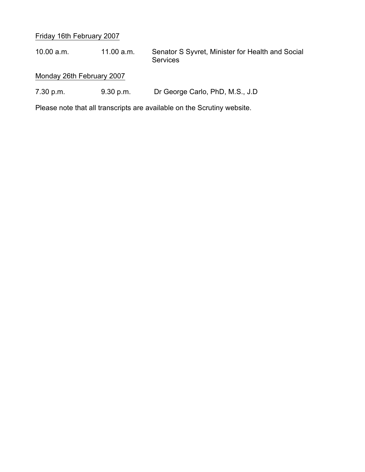## Friday 16th February 2007

10.00 a.m. 11.00 a.m. Senator S Syvret, Minister for Health and Social Services

## Monday 26th February 2007

7.30 p.m. 9.30 p.m. Dr George Carlo, PhD, M.S., J.D

Please note that all transcripts are available on the Scrutiny website.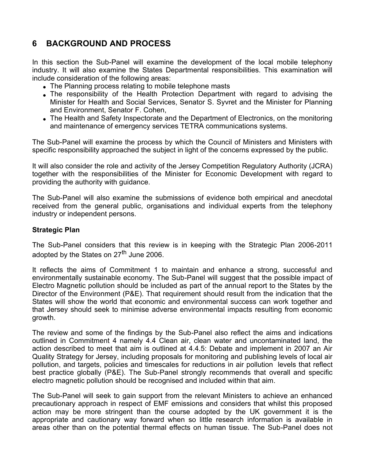## **6 BACKGROUND AND PROCESS**

In this section the Sub-Panel will examine the development of the local mobile telephony industry. It will also examine the States Departmental responsibilities. This examination will include consideration of the following areas:

- The Planning process relating to mobile telephone masts
- The responsibility of the Health Protection Department with regard to advising the Minister for Health and Social Services, Senator S. Syvret and the Minister for Planning and Environment, Senator F. Cohen,
- The Health and Safety Inspectorate and the Department of Electronics, on the monitoring and maintenance of emergency services TETRA communications systems.

The Sub-Panel will examine the process by which the Council of Ministers and Ministers with specific responsibility approached the subject in light of the concerns expressed by the public.

It will also consider the role and activity of the Jersey Competition Regulatory Authority (JCRA) together with the responsibilities of the Minister for Economic Development with regard to providing the authority with guidance.

The Sub-Panel will also examine the submissions of evidence both empirical and anecdotal received from the general public, organisations and individual experts from the telephony industry or independent persons.

## **Strategic Plan**

The Sub-Panel considers that this review is in keeping with the Strategic Plan 2006-2011 adopted by the States on 27<sup>th</sup> June 2006.

It reflects the aims of Commitment 1 to maintain and enhance a strong, successful and environmentally sustainable economy. The Sub-Panel will suggest that the possible impact of Electro Magnetic pollution should be included as part of the annual report to the States by the Director of the Environment (P&E). That requirement should result from the indication that the States will show the world that economic and environmental success can work together and that Jersey should seek to minimise adverse environmental impacts resulting from economic growth.

The review and some of the findings by the Sub-Panel also reflect the aims and indications outlined in Commitment 4 namely 4.4 Clean air, clean water and uncontaminated land, the action described to meet that aim is outlined at 4.4.5: Debate and implement in 2007 an Air Quality Strategy for Jersey, including proposals for monitoring and publishing levels of local air pollution, and targets, policies and timescales for reductions in air pollution levels that reflect best practice globally (P&E). The Sub-Panel strongly recommends that overall and specific electro magnetic pollution should be recognised and included within that aim.

The Sub-Panel will seek to gain support from the relevant Ministers to achieve an enhanced precautionary approach in respect of EMF emissions and considers that whilst this proposed action may be more stringent than the course adopted by the UK government it is the appropriate and cautionary way forward when so little research information is available in areas other than on the potential thermal effects on human tissue. The Sub-Panel does not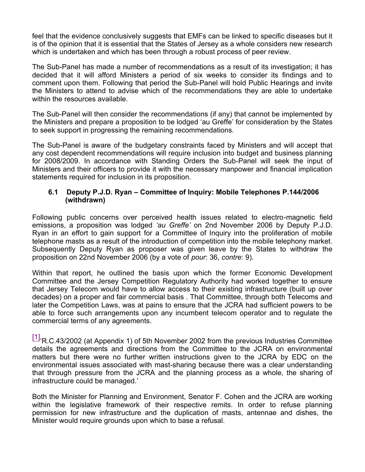feel that the evidence conclusively suggests that EMFs can be linked to specific diseases but it is of the opinion that it is essential that the States of Jersey as a whole considers new research which is undertaken and which has been through a robust process of peer review.

The Sub-Panel has made a number of recommendations as a result of its investigation; it has decided that it will afford Ministers a period of six weeks to consider its findings and to comment upon them. Following that period the Sub-Panel will hold Public Hearings and invite the Ministers to attend to advise which of the recommendations they are able to undertake within the resources available.

The Sub-Panel will then consider the recommendations (if any) that cannot be implemented by the Ministers and prepare a proposition to be lodged 'au Greffe' for consideration by the States to seek support in progressing the remaining recommendations.

The Sub-Panel is aware of the budgetary constraints faced by Ministers and will accept that any cost dependent recommendations will require inclusion into budget and business planning for 2008/2009. In accordance with Standing Orders the Sub-Panel will seek the input of Ministers and their officers to provide it with the necessary manpower and financial implication statements required for inclusion in its proposition.

## **6.1 Deputy P.J.D. Ryan – Committee of Inquiry: Mobile Telephones P.144/2006 (withdrawn)**

Following public concerns over perceived health issues related to electro-magnetic field emissions, a proposition was lodged *'au Greffe'* on 2nd November 2006 by Deputy P.J.D. Ryan in an effort to gain support for a Committee of Inquiry into the proliferation of mobile telephone masts as a result of the introduction of competition into the mobile telephony market. Subsequently Deputy Ryan as proposer was given leave by the States to withdraw the proposition on 22nd November 2006 (by a vote of *pour*: 36, *contre*: 9).

Within that report, he outlined the basis upon which the former Economic Development Committee and the Jersey Competition Regulatory Authority had worked together to ensure that Jersey Telecom would have to allow access to their existing infrastructure (built up over decades) on a proper and fair commercial basis . That Committee, through both Telecoms and later the Competition Laws, was at pains to ensure that the JCRA had sufficient powers to be able to force such arrangements upon any incumbent telecom operator and to regulate the commercial terms of any agreements.

 $[1]$ <sup> $R.C.43/2002$ </sup> (at Appendix 1) of 5th November 2002 from the previous Industries Committee details the agreements and directions from the Committee to the JCRA on environmental matters but there were no further written instructions given to the JCRA by EDC on the environmental issues associated with mast-sharing because there was a clear understanding that through pressure from the JCRA and the planning process as a whole, the sharing of infrastructure could be managed.'

Both the Minister for Planning and Environment, Senator F. Cohen and the JCRA are working within the legislative framework of their respective remits. In order to refuse planning permission for new infrastructure and the duplication of masts, antennae and dishes, the Minister would require grounds upon which to base a refusal.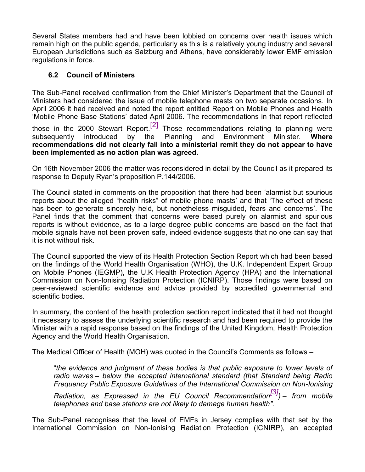Several States members had and have been lobbied on concerns over health issues which remain high on the public agenda, particularly as this is a relatively young industry and several European Jurisdictions such as Salzburg and Athens, have considerably lower EMF emission regulations in force.

## **6.2 Council of Ministers**

The Sub-Panel received confirmation from the Chief Minister's Department that the Council of Ministers had considered the issue of mobile telephone masts on two separate occasions. In April 2006 it had received and noted the report entitled Report on Mobile Phones and Health 'Mobile Phone Base Stations' dated April 2006. The recommendations in that report reflected those in the 2000 Stewart Report.<sup>[2]</sup> Those recommendations relating to planning were subsequently introduced by the Planning and Environment Minister. Where subsequently introduced by the Planning and Environment Minister. **Where recommendations did not clearly fall into a ministerial remit they do not appear to have been implemented as no action plan was agreed.**

On 16th November 2006 the matter was reconsidered in detail by the Council as it prepared its response to Deputy Ryan's proposition P.144/2006.

The Council stated in comments on the proposition that there had been 'alarmist but spurious reports about the alleged "health risks" of mobile phone masts' and that 'The effect of these has been to generate sincerely held, but nonetheless misguided, fears and concerns'. The Panel finds that the comment that concerns were based purely on alarmist and spurious reports is without evidence, as to a large degree public concerns are based on the fact that mobile signals have not been proven safe, indeed evidence suggests that no one can say that it is not without risk.

The Council supported the view of its Health Protection Section Report which had been based on the findings of the World Health Organisation (WHO), the U.K. Independent Expert Group on Mobile Phones (IEGMP), the U.K Health Protection Agency (HPA) and the International Commission on Non-Ionising Radiation Protection (ICNIRP). Those findings were based on peer-reviewed scientific evidence and advice provided by accredited governmental and scientific bodies.

In summary, the content of the health protection section report indicated that it had not thought it necessary to assess the underlying scientific research and had been required to provide the Minister with a rapid response based on the findings of the United Kingdom, Health Protection Agency and the World Health Organisation.

The Medical Officer of Health (MOH) was quoted in the Council's Comments as follows –

"*the evidence and judgment of these bodies is that public exposure to lower levels of radio waves – below the accepted international standard (that Standard being Radio Frequency Public Exposure Guidelines of the International Commission on Non-Ionising*

*Radiation, as Expressed in the EU Council Recommendation[3]) – from mobile telephones and base stations are not likely to damage human health".*

The Sub-Panel recognises that the level of EMFs in Jersey complies with that set by the International Commission on Non-Ionising Radiation Protection (ICNIRP), an accepted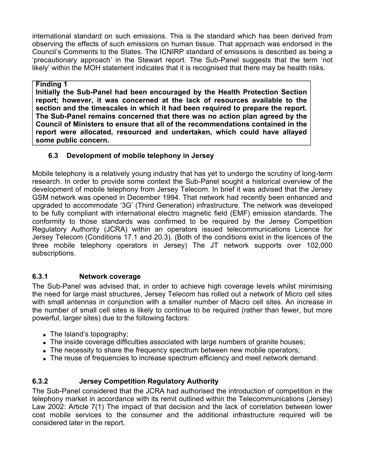international standard on such emissions. This is the standard which has been derived from observing the effects of such emissions on human tissue. That approach was endorsed in the Council's Comments to the States. The ICNIRP standard of emissions is described as being a 'precautionary approach' in the Stewart report. The Sub-Panel suggests that the term 'not likely' within the MOH statement indicates that it is recognised that there may be health risks.

## **Finding 1**

**Initially the Sub-Panel had been encouraged by the Health Protection Section report; however, it was concerned at the lack of resources available to the section and the timescales in which it had been required to prepare the report. The Sub-Panel remains concerned that there was no action plan agreed by the Council of Ministers to ensure that all of the recommendations contained in the report were allocated, resourced and undertaken, which could have allayed some public concern.**

## **6.3 Development of mobile telephony in Jersey**

Mobile telephony is a relatively young industry that has yet to undergo the scrutiny of long-term research. In order to provide some context the Sub-Panel sought a historical overview of the development of mobile telephony from Jersey Telecom. In brief it was advised that the Jersey GSM network was opened in December 1994. That network had recently been enhanced and upgraded to accommodate '3G' (Third Generation) infrastructure. The network was developed to be fully compliant with international electro magnetic field (EMF) emission standards. The conformity to those standards was confirmed to be required by the Jersey Competition Regulatory Authority (JCRA) within an operators issued telecommunications Licence for Jersey Telecom (Conditions 17.1 and 20.3). (Both of the conditions exist in the licences of the three mobile telephony operators in Jersey) The JT network supports over 102,000 subscriptions.

## **6.3.1 Network coverage**

The Sub-Panel was advised that, in order to achieve high coverage levels whilst minimising the need for large mast structures, Jersey Telecom has rolled out a network of Micro cell sites with small antennas in conjunction with a smaller number of Macro cell sites. An increase in the number of small cell sites is likely to continue to be required (rather than fewer, but more powerful, larger sites) due to the following factors:

- The Island's topography;
- The inside coverage difficulties associated with large numbers of granite houses;
- The necessity to share the frequency spectrum between new mobile operators;
- The reuse of frequencies to increase spectrum efficiency and meet network demand.

## **6.3.2 Jersey Competition Regulatory Authority**

The Sub-Panel considered that the JCRA had authorised the introduction of competition in the telephony market in accordance with its remit outlined within the Telecommunications (Jersey) Law 2002: Article 7(1) The impact of that decision and the lack of correlation between lower cost mobile services to the consumer and the additional infrastructure required will be considered later in the report.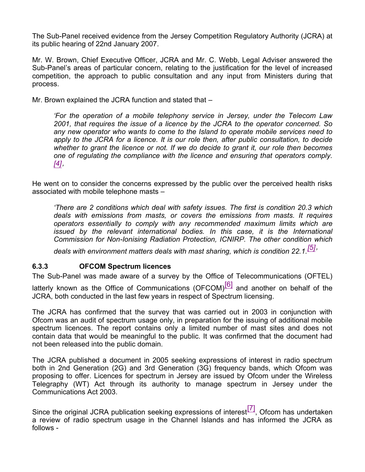The Sub-Panel received evidence from the Jersey Competition Regulatory Authority (JCRA) at its public hearing of 22nd January 2007.

Mr. W. Brown, Chief Executive Officer, JCRA and Mr. C. Webb, Legal Adviser answered the Sub-Panel's areas of particular concern, relating to the justification for the level of increased competition, the approach to public consultation and any input from Ministers during that process.

Mr. Brown explained the JCRA function and stated that –

*'For the operation of a mobile telephony service in Jersey, under the Telecom Law 2001, that requires the issue of a licence by the JCRA to the operator concerned. So any new operator who wants to come to the Island to operate mobile services need to apply to the JCRA for a licence. It is our role then, after public consultation, to decide whether to grant the licence or not. If we do decide to grant it, our role then becomes one of regulating the compliance with the licence and ensuring that operators comply. [4]'*

He went on to consider the concerns expressed by the public over the perceived health risks associated with mobile telephone masts –

*'There are 2 conditions which deal with safety issues. The first is condition 20.3 which deals with emissions from masts, or covers the emissions from masts. It requires operators essentially to comply with any recommended maximum limits which are issued by the relevant international bodies. In this case, it is the International Commission for Non-Ionising Radiation Protection, ICNIRP. The other condition which*

*deals with environment matters deals with mast sharing, which is condition 22.1.[5]'*

## **6.3.3 OFCOM Spectrum licences**

The Sub-Panel was made aware of a survey by the Office of Telecommunications (OFTEL) latterly known as the Office of Communications (OFCOM) $[6]$  and another on behalf of the JCRA, both conducted in the last few years in respect of Spectrum licensing.

The JCRA has confirmed that the survey that was carried out in 2003 in conjunction with Ofcom was an audit of spectrum usage only, in preparation for the issuing of additional mobile spectrum licences. The report contains only a limited number of mast sites and does not contain data that would be meaningful to the public. It was confirmed that the document had not been released into the public domain.

The JCRA published a document in 2005 seeking expressions of interest in radio spectrum both in 2nd Generation (2G) and 3rd Generation (3G) frequency bands, which Ofcom was proposing to offer. Licences for spectrum in Jersey are issued by Ofcom under the Wireless Telegraphy (WT) Act through its authority to manage spectrum in Jersey under the Communications Act 2003.

Since the original JCRA publication seeking expressions of interest $\begin{bmatrix} 7 \end{bmatrix}$ , Ofcom has undertaken a review of radio spectrum usage in the Channel Islands and has informed the JCRA as follows -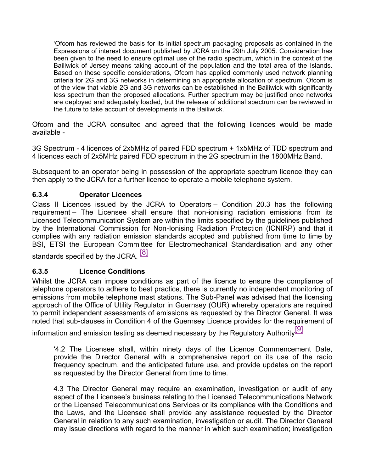'Ofcom has reviewed the basis for its initial spectrum packaging proposals as contained in the Expressions of interest document published by JCRA on the 29th July 2005. Consideration has been given to the need to ensure optimal use of the radio spectrum, which in the context of the Bailiwick of Jersey means taking account of the population and the total area of the Islands. Based on these specific considerations, Ofcom has applied commonly used network planning criteria for 2G and 3G networks in determining an appropriate allocation of spectrum. Ofcom is of the view that viable 2G and 3G networks can be established in the Bailiwick with significantly less spectrum than the proposed allocations. Further spectrum may be justified once networks are deployed and adequately loaded, but the release of additional spectrum can be reviewed in the future to take account of developments in the Bailiwick.'

Ofcom and the JCRA consulted and agreed that the following licences would be made available -

3G Spectrum - 4 licences of 2x5MHz of paired FDD spectrum + 1x5MHz of TDD spectrum and 4 licences each of 2x5MHz paired FDD spectrum in the 2G spectrum in the 1800MHz Band.

Subsequent to an operator being in possession of the appropriate spectrum licence they can then apply to the JCRA for a further licence to operate a mobile telephone system.

## **6.3.4 Operator Licences**

Class II Licences issued by the JCRA to Operators – Condition 20.3 has the following requirement – The Licensee shall ensure that non-ionising radiation emissions from its Licensed Telecommunication System are within the limits specified by the guidelines published by the International Commission for Non-Ionising Radiation Protection (ICNIRP) and that it complies with any radiation emission standards adopted and published from time to time by BSI, ETSI the European Committee for Electromechanical Standardisation and any other

standards specified by the JCRA. [8]

## **6.3.5 Licence Conditions**

Whilst the JCRA can impose conditions as part of the licence to ensure the compliance of telephone operators to adhere to best practice, there is currently no independent monitoring of emissions from mobile telephone mast stations. The Sub-Panel was advised that the licensing approach of the Office of Utility Regulator in Guernsey (OUR) whereby operators are required to permit independent assessments of emissions as requested by the Director General. It was noted that sub-clauses in Condition 4 of the Guernsey Licence provides for the requirement of

information and emission testing as deemed necessary by the Regulatory Authority $\boxed{9}$ 

'4.2 The Licensee shall, within ninety days of the Licence Commencement Date, provide the Director General with a comprehensive report on its use of the radio frequency spectrum, and the anticipated future use, and provide updates on the report as requested by the Director General from time to time.

4.3 The Director General may require an examination, investigation or audit of any aspect of the Licensee's business relating to the Licensed Telecommunications Network or the Licensed Telecommunications Services or its compliance with the Conditions and the Laws, and the Licensee shall provide any assistance requested by the Director General in relation to any such examination, investigation or audit. The Director General may issue directions with regard to the manner in which such examination; investigation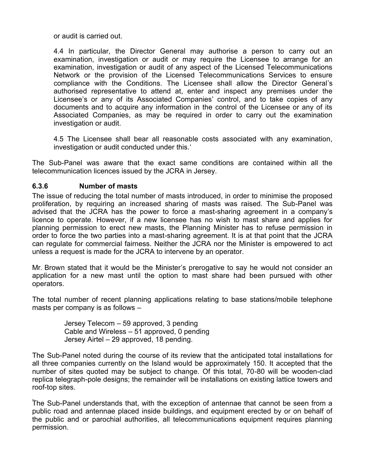or audit is carried out.

4.4 In particular, the Director General may authorise a person to carry out an examination, investigation or audit or may require the Licensee to arrange for an examination, investigation or audit of any aspect of the Licensed Telecommunications Network or the provision of the Licensed Telecommunications Services to ensure compliance with the Conditions. The Licensee shall allow the Director General's authorised representative to attend at, enter and inspect any premises under the Licensee's or any of its Associated Companies' control, and to take copies of any documents and to acquire any information in the control of the Licensee or any of its Associated Companies, as may be required in order to carry out the examination investigation or audit.

4.5 The Licensee shall bear all reasonable costs associated with any examination, investigation or audit conducted under this.'

The Sub-Panel was aware that the exact same conditions are contained within all the telecommunication licences issued by the JCRA in Jersey.

## **6.3.6 Number of masts**

The issue of reducing the total number of masts introduced, in order to minimise the proposed proliferation, by requiring an increased sharing of masts was raised. The Sub-Panel was advised that the JCRA has the power to force a mast-sharing agreement in a company's licence to operate. However, if a new licensee has no wish to mast share and applies for planning permission to erect new masts, the Planning Minister has to refuse permission in order to force the two parties into a mast-sharing agreement. It is at that point that the JCRA can regulate for commercial fairness. Neither the JCRA nor the Minister is empowered to act unless a request is made for the JCRA to intervene by an operator.

Mr. Brown stated that it would be the Minister's prerogative to say he would not consider an application for a new mast until the option to mast share had been pursued with other operators.

The total number of recent planning applications relating to base stations/mobile telephone masts per company is as follows –

> Jersey Telecom – 59 approved, 3 pending Cable and Wireless – 51 approved, 0 pending Jersey Airtel – 29 approved, 18 pending.

The Sub-Panel noted during the course of its review that the anticipated total installations for all three companies currently on the Island would be approximately 150. It accepted that the number of sites quoted may be subject to change. Of this total, 70-80 will be wooden-clad replica telegraph-pole designs; the remainder will be installations on existing lattice towers and roof-top sites.

The Sub-Panel understands that, with the exception of antennae that cannot be seen from a public road and antennae placed inside buildings, and equipment erected by or on behalf of the public and or parochial authorities, all telecommunications equipment requires planning permission.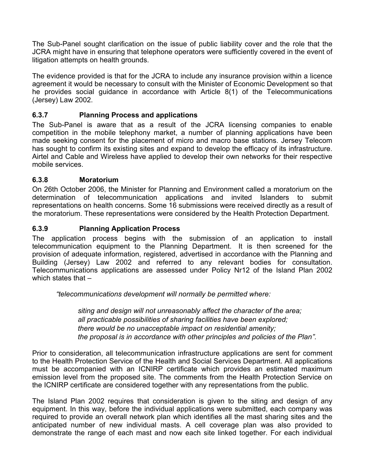The Sub-Panel sought clarification on the issue of public liability cover and the role that the JCRA might have in ensuring that telephone operators were sufficiently covered in the event of litigation attempts on health grounds.

The evidence provided is that for the JCRA to include any insurance provision within a licence agreement it would be necessary to consult with the Minister of Economic Development so that he provides social guidance in accordance with Article 8(1) of the Telecommunications (Jersey) Law 2002.

## **6.3.7 Planning Process and applications**

The Sub-Panel is aware that as a result of the JCRA licensing companies to enable competition in the mobile telephony market, a number of planning applications have been made seeking consent for the placement of micro and macro base stations. Jersey Telecom has sought to confirm its existing sites and expand to develop the efficacy of its infrastructure. Airtel and Cable and Wireless have applied to develop their own networks for their respective mobile services.

## **6.3.8 Moratorium**

On 26th October 2006, the Minister for Planning and Environment called a moratorium on the determination of telecommunication applications and invited Islanders to submit representations on health concerns. Some 16 submissions were received directly as a result of the moratorium. These representations were considered by the Health Protection Department.

## **6.3.9 Planning Application Process**

The application process begins with the submission of an application to install telecommunication equipment to the Planning Department. It is then screened for the provision of adequate information, registered, advertised in accordance with the Planning and Building (Jersey) Law 2002 and referred to any relevant bodies for consultation. Telecommunications applications are assessed under Policy Nr12 of the Island Plan 2002 which states that –

*"telecommunications development will normally be permitted where:*

 *siting and design will not unreasonably affect the character of the area; all practicable possibilities of sharing facilities have been explored; there would be no unacceptable impact on residential amenity; the proposal is in accordance with other principles and policies of the Plan".*

Prior to consideration, all telecommunication infrastructure applications are sent for comment to the Health Protection Service of the Health and Social Services Department. All applications must be accompanied with an ICNIRP certificate which provides an estimated maximum emission level from the proposed site. The comments from the Health Protection Service on the ICNIRP certificate are considered together with any representations from the public.

The Island Plan 2002 requires that consideration is given to the siting and design of any equipment. In this way, before the individual applications were submitted, each company was required to provide an overall network plan which identifies all the mast sharing sites and the anticipated number of new individual masts. A cell coverage plan was also provided to demonstrate the range of each mast and now each site linked together. For each individual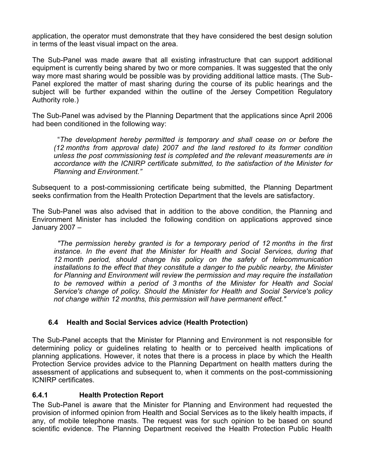application, the operator must demonstrate that they have considered the best design solution in terms of the least visual impact on the area.

The Sub-Panel was made aware that all existing infrastructure that can support additional equipment is currently being shared by two or more companies. It was suggested that the only way more mast sharing would be possible was by providing additional lattice masts. (The Sub-Panel explored the matter of mast sharing during the course of its public hearings and the subject will be further expanded within the outline of the Jersey Competition Regulatory Authority role.)

The Sub-Panel was advised by the Planning Department that the applications since April 2006 had been conditioned in the following way:

 "*The development hereby permitted is temporary and shall cease on or before the (12 months from approval date) 2007 and the land restored to its former condition unless the post commissioning test is completed and the relevant measurements are in accordance with the ICNIRP certificate submitted, to the satisfaction of the Minister for Planning and Environment."*

Subsequent to a post-commissioning certificate being submitted, the Planning Department seeks confirmation from the Health Protection Department that the levels are satisfactory.

The Sub-Panel was also advised that in addition to the above condition, the Planning and Environment Minister has included the following condition on applications approved since January 2007 –

 *"The permission hereby granted is for a temporary period of 12 months in the first instance. In the event that the Minister for Health and Social Services, during that 12 month period, should change his policy on the safety of telecommunication installations to the effect that they constitute a danger to the public nearby, the Minister for Planning and Environment will review the permission and may require the installation to be removed within a period of 3 months of the Minister for Health and Social Service's change of policy. Should the Minister for Health and Social Service's policy not change within 12 months, this permission will have permanent effect."*

## **6.4 Health and Social Services advice (Health Protection)**

The Sub-Panel accepts that the Minister for Planning and Environment is not responsible for determining policy or guidelines relating to health or to perceived health implications of planning applications. However, it notes that there is a process in place by which the Health Protection Service provides advice to the Planning Department on health matters during the assessment of applications and subsequent to, when it comments on the post-commissioning ICNIRP certificates.

## **6.4.1 Health Protection Report**

The Sub-Panel is aware that the Minister for Planning and Environment had requested the provision of informed opinion from Health and Social Services as to the likely health impacts, if any, of mobile telephone masts. The request was for such opinion to be based on sound scientific evidence. The Planning Department received the Health Protection Public Health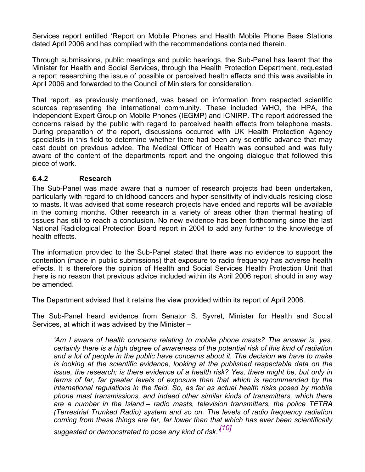Services report entitled 'Report on Mobile Phones and Health Mobile Phone Base Stations dated April 2006 and has complied with the recommendations contained therein.

Through submissions, public meetings and public hearings, the Sub-Panel has learnt that the Minister for Health and Social Services, through the Health Protection Department, requested a report researching the issue of possible or perceived health effects and this was available in April 2006 and forwarded to the Council of Ministers for consideration.

That report, as previously mentioned, was based on information from respected scientific sources representing the international community. These included WHO, the HPA, the Independent Expert Group on Mobile Phones (IEGMP) and ICNIRP. The report addressed the concerns raised by the public with regard to perceived health effects from telephone masts. During preparation of the report, discussions occurred with UK Health Protection Agency specialists in this field to determine whether there had been any scientific advance that may cast doubt on previous advice. The Medical Officer of Health was consulted and was fully aware of the content of the departments report and the ongoing dialogue that followed this piece of work.

## **6.4.2 Research**

The Sub-Panel was made aware that a number of research projects had been undertaken, particularly with regard to childhood cancers and hyper-sensitivity of individuals residing close to masts. It was advised that some research projects have ended and reports will be available in the coming months. Other research in a variety of areas other than thermal heating of tissues has still to reach a conclusion. No new evidence has been forthcoming since the last National Radiological Protection Board report in 2004 to add any further to the knowledge of health effects.

The information provided to the Sub-Panel stated that there was no evidence to support the contention (made in public submissions) that exposure to radio frequency has adverse health effects. It is therefore the opinion of Health and Social Services Health Protection Unit that there is no reason that previous advice included within its April 2006 report should in any way be amended.

The Department advised that it retains the view provided within its report of April 2006.

The Sub-Panel heard evidence from Senator S. Syvret, Minister for Health and Social Services, at which it was advised by the Minister –

*'Am I aware of health concerns relating to mobile phone masts? The answer is, yes, certainly there is a high degree of awareness of the potential risk of this kind of radiation and a lot of people in the public have concerns about it. The decision we have to make is looking at the scientific evidence, looking at the published respectable data on the issue, the research; is there evidence of a health risk? Yes, there might be, but only in terms of far, far greater levels of exposure than that which is recommended by the international regulations in the field. So, as far as actual health risks posed by mobile phone mast transmissions, and indeed other similar kinds of transmitters, which there are a number in the Island – radio masts, television transmitters, the police TETRA (Terrestrial Trunked Radio) system and so on. The levels of radio frequency radiation coming from these things are far, far lower than that which has ever been scientifically*

*suggested or demonstrated to pose any kind of risk.' [10]*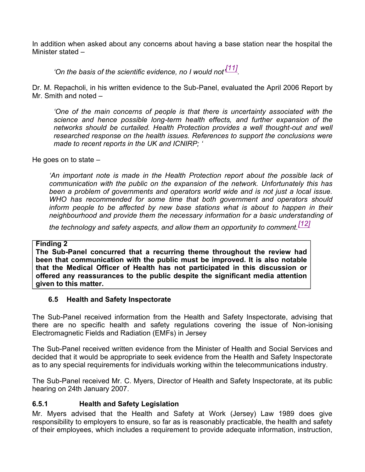In addition when asked about any concerns about having a base station near the hospital the Minister stated –

*'On the basis of the scientific evidence, no I would not' [11] .*

Dr. M. Repacholi, in his written evidence to the Sub-Panel, evaluated the April 2006 Report by Mr. Smith and noted –

*'One of the main concerns of people is that there is uncertainty associated with the science and hence possible long-term health effects, and further expansion of the networks should be curtailed. Health Protection provides a well thought-out and well researched response on the health issues. References to support the conclusions were made to recent reports in the UK and ICNIRP; '*

He goes on to state –

*'An important note is made in the Health Protection report about the possible lack of communication with the public on the expansion of the network. Unfortunately this has been a problem of governments and operators world wide and is not just a local issue. WHO has recommended for some time that both government and operators should inform people to be affected by new base stations what is about to happen in their neighbourhood and provide them the necessary information for a basic understanding of*

*the technology and safety aspects, and allow them an opportunity to comment.[12]*

## **Finding 2**

**The Sub-Panel concurred that a recurring theme throughout the review had been that communication with the public must be improved. It is also notable that the Medical Officer of Health has not participated in this discussion or offered any reassurances to the public despite the significant media attention given to this matter.**

## **6.5 Health and Safety Inspectorate**

The Sub-Panel received information from the Health and Safety Inspectorate, advising that there are no specific health and safety regulations covering the issue of Non-ionising Electromagnetic Fields and Radiation (EMFs) in Jersey

The Sub-Panel received written evidence from the Minister of Health and Social Services and decided that it would be appropriate to seek evidence from the Health and Safety Inspectorate as to any special requirements for individuals working within the telecommunications industry.

The Sub-Panel received Mr. C. Myers, Director of Health and Safety Inspectorate, at its public hearing on 24th January 2007.

## **6.5.1 Health and Safety Legislation**

Mr. Myers advised that the Health and Safety at Work (Jersey) Law 1989 does give responsibility to employers to ensure, so far as is reasonably practicable, the health and safety of their employees, which includes a requirement to provide adequate information, instruction,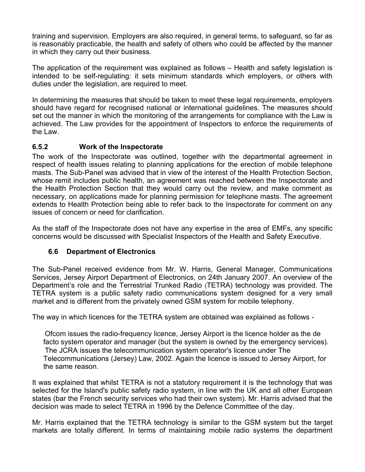training and supervision. Employers are also required, in general terms, to safeguard, so far as is reasonably practicable, the health and safety of others who could be affected by the manner in which they carry out their business.

The application of the requirement was explained as follows – Health and safety legislation is intended to be self-regulating: it sets minimum standards which employers, or others with duties under the legislation, are required to meet.

In determining the measures that should be taken to meet these legal requirements, employers should have regard for recognised national or international guidelines. The measures should set out the manner in which the monitoring of the arrangements for compliance with the Law is achieved. The Law provides for the appointment of Inspectors to enforce the requirements of the Law.

## **6.5.2 Work of the Inspectorate**

The work of the Inspectorate was outlined, together with the departmental agreement in respect of health issues relating to planning applications for the erection of mobile telephone masts. The Sub-Panel was advised that in view of the interest of the Health Protection Section, whose remit includes public health, an agreement was reached between the Inspectorate and the Health Protection Section that they would carry out the review, and make comment as necessary, on applications made for planning permission for telephone masts. The agreement extends to Health Protection being able to refer back to the Inspectorate for comment on any issues of concern or need for clarification.

As the staff of the Inspectorate does not have any expertise in the area of EMFs, any specific concerns would be discussed with Specialist Inspectors of the Health and Safety Executive.

## **6.6 Department of Electronics**

The Sub-Panel received evidence from Mr. W. Harris, General Manager, Communications Services, Jersey Airport Department of Electronics, on 24th January 2007. An overview of the Department's role and the Terrestrial Trunked Radio (TETRA) technology was provided. The TETRA system is a public safety radio communications system designed for a very small market and is different from the privately owned GSM system for mobile telephony.

The way in which licences for the TETRA system are obtained was explained as follows -

 Ofcom issues the radio-frequency licence, Jersey Airport is the licence holder as the de facto system operator and manager (but the system is owned by the emergency services). The JCRA issues the telecommunication system operator's licence under The Telecommunications (Jersey) Law, 2002. Again the licence is issued to Jersey Airport, for the same reason.

It was explained that whilst TETRA is not a statutory requirement it is the technology that was selected for the Island's public safety radio system, in line with the UK and all other European states (bar the French security services who had their own system). Mr. Harris advised that the decision was made to select TETRA in 1996 by the Defence Committee of the day.

Mr. Harris explained that the TETRA technology is similar to the GSM system but the target markets are totally different. In terms of maintaining mobile radio systems the department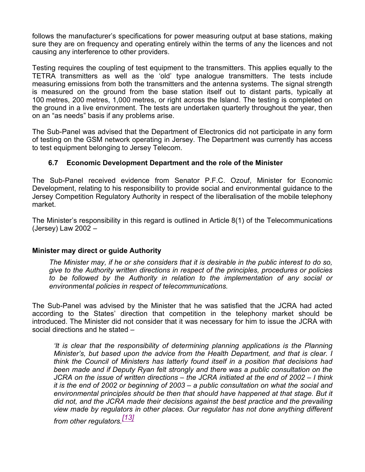follows the manufacturer's specifications for power measuring output at base stations, making sure they are on frequency and operating entirely within the terms of any the licences and not causing any interference to other providers.

Testing requires the coupling of test equipment to the transmitters. This applies equally to the TETRA transmitters as well as the 'old' type analogue transmitters. The tests include measuring emissions from both the transmitters and the antenna systems. The signal strength is measured on the ground from the base station itself out to distant parts, typically at 100 metres, 200 metres, 1,000 metres, or right across the Island. The testing is completed on the ground in a live environment. The tests are undertaken quarterly throughout the year, then on an "as needs" basis if any problems arise.

The Sub-Panel was advised that the Department of Electronics did not participate in any form of testing on the GSM network operating in Jersey. The Department was currently has access to test equipment belonging to Jersey Telecom.

## **6.7 Economic Development Department and the role of the Minister**

The Sub-Panel received evidence from Senator P.F.C. Ozouf, Minister for Economic Development, relating to his responsibility to provide social and environmental guidance to the Jersey Competition Regulatory Authority in respect of the liberalisation of the mobile telephony market.

The Minister's responsibility in this regard is outlined in Article 8(1) of the Telecommunications (Jersey) Law 2002 –

## **Minister may direct or guide Authority**

*The Minister may, if he or she considers that it is desirable in the public interest to do so, give to the Authority written directions in respect of the principles, procedures or policies to be followed by the Authority in relation to the implementation of any social or environmental policies in respect of telecommunications.*

The Sub-Panel was advised by the Minister that he was satisfied that the JCRA had acted according to the States' direction that competition in the telephony market should be introduced. The Minister did not consider that it was necessary for him to issue the JCRA with social directions and he stated –

*'It is clear that the responsibility of determining planning applications is the Planning Minister's, but based upon the advice from the Health Department, and that is clear. I think the Council of Ministers has latterly found itself in a position that decisions had been made and if Deputy Ryan felt strongly and there was a public consultation on the JCRA on the issue of written directions – the JCRA initiated at the end of 2002 – I think it is the end of 2002 or beginning of 2003 – a public consultation on what the social and environmental principles should be then that should have happened at that stage. But it did not, and the JCRA made their decisions against the best practice and the prevailing view made by regulators in other places. Our regulator has not done anything different*

*from other regulators.[13]*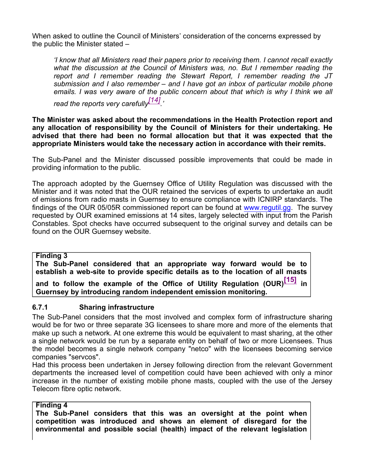When asked to outline the Council of Ministers' consideration of the concerns expressed by the public the Minister stated –

*'I know that all Ministers read their papers prior to receiving them. I cannot recall exactly what the discussion at the Council of Ministers was, no. But I remember reading the report and I remember reading the Stewart Report, I remember reading the JT submission and I also remember – and I have got an inbox of particular mobile phone emails. I was very aware of the public concern about that which is why I think we all read the reports very carefully[14] .'*

**The Minister was asked about the recommendations in the Health Protection report and any allocation of responsibility by the Council of Ministers for their undertaking. He advised that there had been no formal allocation but that it was expected that the appropriate Ministers would take the necessary action in accordance with their remits.**

The Sub-Panel and the Minister discussed possible improvements that could be made in providing information to the public.

The approach adopted by the Guernsey Office of Utility Regulation was discussed with the Minister and it was noted that the OUR retained the services of experts to undertake an audit of emissions from radio masts in Guernsey to ensure compliance with ICNIRP standards. The findings of the OUR 05/05R commissioned report can be found at <www.regutil.gg>. The survey requested by OUR examined emissions at 14 sites, largely selected with input from the Parish Constables. Spot checks have occurred subsequent to the original survey and details can be found on the OUR Guernsey website.

## **Finding 3**

**The Sub-Panel considered that an appropriate way forward would be to establish a web-site to provide specific details as to the location of all masts**

**and to follow the example of the Office of Utility Regulation (OUR)[15] in Guernsey by introducing random independent emission monitoring.**

## **6.7.1 Sharing infrastructure**

The Sub-Panel considers that the most involved and complex form of infrastructure sharing would be for two or three separate 3G licensees to share more and more of the elements that make up such a network. At one extreme this would be equivalent to mast sharing, at the other a single network would be run by a separate entity on behalf of two or more Licensees. Thus the model becomes a single network company "netco" with the licensees becoming service companies "servcos".

Had this process been undertaken in Jersey following direction from the relevant Government departments the increased level of competition could have been achieved with only a minor increase in the number of existing mobile phone masts, coupled with the use of the Jersey Telecom fibre optic network.

## **Finding 4**

**The Sub-Panel considers that this was an oversight at the point when competition was introduced and shows an element of disregard for the environmental and possible social (health) impact of the relevant legislation**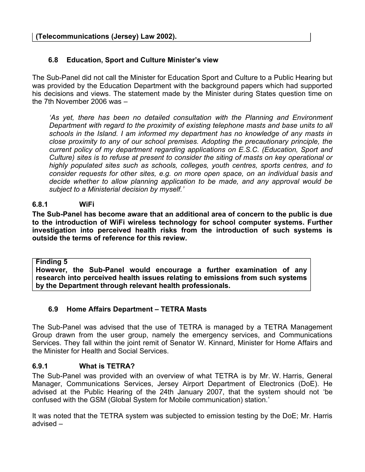## **6.8 Education, Sport and Culture Minister's view**

The Sub-Panel did not call the Minister for Education Sport and Culture to a Public Hearing but was provided by the Education Department with the background papers which had supported his decisions and views. The statement made by the Minister during States question time on the 7th November 2006 was –

*'As yet, there has been no detailed consultation with the Planning and Environment Department with regard to the proximity of existing telephone masts and base units to all schools in the Island. I am informed my department has no knowledge of any masts in close proximity to any of our school premises. Adopting the precautionary principle, the current policy of my department regarding applications on E.S.C. (Education, Sport and Culture) sites is to refuse at present to consider the siting of masts on key operational or highly populated sites such as schools, colleges, youth centres, sports centres, and to consider requests for other sites, e.g. on more open space, on an individual basis and decide whether to allow planning application to be made, and any approval would be subject to a Ministerial decision by myself.'*

### **6.8.1 WiFi**

**The Sub-Panel has become aware that an additional area of concern to the public is due to the introduction of WiFi wireless technology for school computer systems. Further investigation into perceived health risks from the introduction of such systems is outside the terms of reference for this review.**

**Finding 5**

**However, the Sub-Panel would encourage a further examination of any research into perceived health issues relating to emissions from such systems by the Department through relevant health professionals.**

#### **6.9 Home Affairs Department – TETRA Masts**

The Sub-Panel was advised that the use of TETRA is managed by a TETRA Management Group drawn from the user group, namely the emergency services, and Communications Services. They fall within the joint remit of Senator W. Kinnard, Minister for Home Affairs and the Minister for Health and Social Services.

#### **6.9.1 What is TETRA?**

The Sub-Panel was provided with an overview of what TETRA is by Mr. W. Harris, General Manager, Communications Services, Jersey Airport Department of Electronics (DoE). He advised at the Public Hearing of the 24th January 2007, that the system should not 'be confused with the GSM (Global System for Mobile communication) station.'

It was noted that the TETRA system was subjected to emission testing by the DoE; Mr. Harris advised –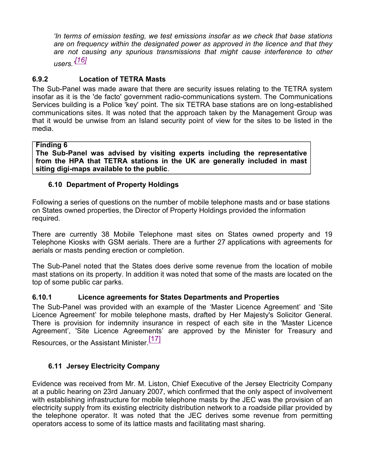*'In terms of emission testing, we test emissions insofar as we check that base stations are on frequency within the designated power as approved in the licence and that they are not causing any spurious transmissions that might cause interference to other users.' [16]*

# **6.9.2 Location of TETRA Masts**

The Sub-Panel was made aware that there are security issues relating to the TETRA system insofar as it is the 'de facto' government radio-communications system. The Communications Services building is a Police 'key' point. The six TETRA base stations are on long-established communications sites. It was noted that the approach taken by the Management Group was that it would be unwise from an Island security point of view for the sites to be listed in the media.

### **Finding 6**

**The Sub-Panel was advised by visiting experts including the representative from the HPA that TETRA stations in the UK are generally included in mast siting digi-maps available to the public**.

# **6.10 Department of Property Holdings**

Following a series of questions on the number of mobile telephone masts and or base stations on States owned properties, the Director of Property Holdings provided the information required.

There are currently 38 Mobile Telephone mast sites on States owned property and 19 Telephone Kiosks with GSM aerials. There are a further 27 applications with agreements for aerials or masts pending erection or completion.

The Sub-Panel noted that the States does derive some revenue from the location of mobile mast stations on its property. In addition it was noted that some of the masts are located on the top of some public car parks.

## **6.10.1 Licence agreements for States Departments and Properties**

The Sub-Panel was provided with an example of the 'Master Licence Agreement' and 'Site Licence Agreement' for mobile telephone masts, drafted by Her Majesty's Solicitor General. There is provision for indemnity insurance in respect of each site in the 'Master Licence Agreement', 'Site Licence Agreements' are approved by the Minister for Treasury and Resources, or the Assistant Minister.<sup>[17]</sup>

# **6.11 Jersey Electricity Company**

Evidence was received from Mr. M. Liston, Chief Executive of the Jersey Electricity Company at a public hearing on 23rd January 2007, which confirmed that the only aspect of involvement with establishing infrastructure for mobile telephone masts by the JEC was the provision of an electricity supply from its existing electricity distribution network to a roadside pillar provided by the telephone operator. It was noted that the JEC derives some revenue from permitting operators access to some of its lattice masts and facilitating mast sharing.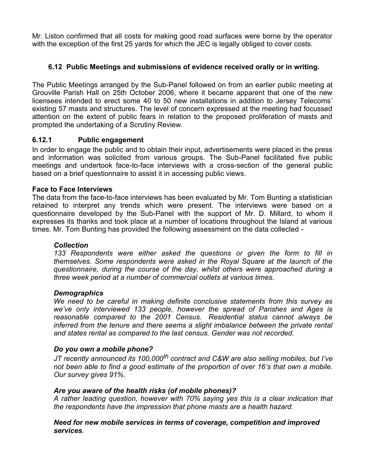Mr. Liston confirmed that all costs for making good road surfaces were borne by the operator with the exception of the first 25 yards for which the JEC is legally obliged to cover costs.

## **6.12 Public Meetings and submissions of evidence received orally or in writing.**

The Public Meetings arranged by the Sub-Panel followed on from an earlier public meeting at Grouville Parish Hall on 25th October 2006, where it became apparent that one of the new licensees intended to erect some 40 to 50 new installations in addition to Jersey Telecoms' existing 57 masts and structures. The level of concern expressed at the meeting had focussed attention on the extent of public fears in relation to the proposed proliferation of masts and prompted the undertaking of a Scrutiny Review.

# **6.12.1 Public engagement**

In order to engage the public and to obtain their input, advertisements were placed in the press and information was solicited from various groups. The Sub-Panel facilitated five public meetings and undertook face-to-face interviews with a cross-section of the general public based on a brief questionnaire to assist it in accessing public views.

### **Face to Face Interviews**

The data from the face-to-face interviews has been evaluated by Mr. Tom Bunting a statistician retained to interpret any trends which were present. The interviews were based on a questionnaire developed by the Sub-Panel with the support of Mr. D. Millard, to whom it expresses its thanks and took place at a number of locations throughout the Island at various times. Mr. Tom Bunting has provided the following assessment on the data collected -

## *Collection*

*133 Respondents were either asked the questions or given the form to fill in themselves. Some respondents were asked in the Royal Square at the launch of the questionnaire, during the course of the day, whilst others were approached during a three week period at a number of commercial outlets at various times.*

#### *Demographics*

*We need to be careful in making definite conclusive statements from this survey as we've only interviewed 133 people, however the spread of Parishes and Ages is reasonable compared to the 2001 Census. Residential status cannot always be inferred from the tenure and there seems a slight imbalance between the private rental and states rental as compared to the last census. Gender was not recorded.*

#### *Do you own a mobile phone?*

*JT recently announced its 100,000th contract and C&W are also selling mobiles, but I've not been able to find a good estimate of the proportion of over 16's that own a mobile. Our survey gives 91%.*

#### *Are you aware of the health risks (of mobile phones)?*

*A rather leading question, however with 70% saying yes this is a clear indication that the respondents have the impression that phone masts are a health hazard.*

#### *Need for new mobile services in terms of coverage, competition and improved services.*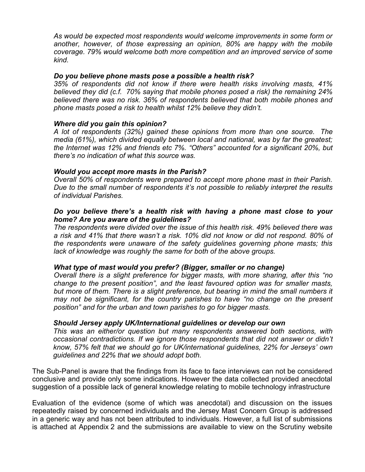*As would be expected most respondents would welcome improvements in some form or another, however, of those expressing an opinion, 80% are happy with the mobile coverage. 79% would welcome both more competition and an improved service of some kind.*

#### *Do you believe phone masts pose a possible a health risk?*

*35% of respondents did not know if there were health risks involving masts, 41% believed they did (c.f. 70% saying that mobile phones posed a risk) the remaining 24% believed there was no risk. 36% of respondents believed that both mobile phones and phone masts posed a risk to health whilst 12% believe they didn't.*

#### *Where did you gain this opinion?*

*A lot of respondents (32%) gained these opinions from more than one source. The media (61%), which divided equally between local and national, was by far the greatest; the Internet was 12% and friends etc 7%. "Others" accounted for a significant 20%, but there's no indication of what this source was.*

#### *Would you accept more masts in the Parish?*

*Overall 50% of respondents were prepared to accept more phone mast in their Parish. Due to the small number of respondents it's not possible to reliably interpret the results of individual Parishes.*

#### *Do you believe there's a health risk with having a phone mast close to your home? Are you aware of the guidelines?*

*The respondents were divided over the issue of this health risk. 49% believed there was a risk and 41% that there wasn't a risk. 10% did not know or did not respond. 80% of the respondents were unaware of the safety guidelines governing phone masts; this lack of knowledge was roughly the same for both of the above groups.*

#### *What type of mast would you prefer? (Bigger, smaller or no change)*

*Overall there is a slight preference for bigger masts, with more sharing, after this "no change to the present position", and the least favoured option was for smaller masts, but more of them. There is a slight preference, but bearing in mind the small numbers it may not be significant, for the country parishes to have "no change on the present position" and for the urban and town parishes to go for bigger masts.*

#### *Should Jersey apply UK/International guidelines or develop our own*

*This was an either/or question but many respondents answered both sections, with occasional contradictions. If we ignore those respondents that did not answer or didn't know, 57% felt that we should go for UK/international guidelines, 22% for Jerseys' own guidelines and 22% that we should adopt both.*

The Sub-Panel is aware that the findings from its face to face interviews can not be considered conclusive and provide only some indications. However the data collected provided anecdotal suggestion of a possible lack of general knowledge relating to mobile technology infrastructure

Evaluation of the evidence (some of which was anecdotal) and discussion on the issues repeatedly raised by concerned individuals and the Jersey Mast Concern Group is addressed in a generic way and has not been attributed to individuals. However, a full list of submissions is attached at Appendix 2 and the submissions are available to view on the Scrutiny website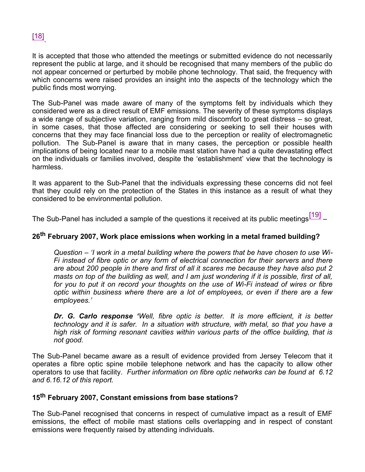

It is accepted that those who attended the meetings or submitted evidence do not necessarily represent the public at large, and it should be recognised that many members of the public do not appear concerned or perturbed by mobile phone technology. That said, the frequency with which concerns were raised provides an insight into the aspects of the technology which the public finds most worrying.

The Sub-Panel was made aware of many of the symptoms felt by individuals which they considered were as a direct result of EMF emissions. The severity of these symptoms displays a wide range of subjective variation, ranging from mild discomfort to great distress – so great, in some cases, that those affected are considering or seeking to sell their houses with concerns that they may face financial loss due to the perception or reality of electromagnetic pollution. The Sub-Panel is aware that in many cases, the perception or possible health implications of being located near to a mobile mast station have had a quite devastating effect on the individuals or families involved, despite the 'establishment' view that the technology is harmless.

It was apparent to the Sub-Panel that the individuals expressing these concerns did not feel that they could rely on the protection of the States in this instance as a result of what they considered to be environmental pollution.

The Sub-Panel has included a sample of the questions it received at its public meetings $^{\left[19\right]}$  –

#### **26th February 2007, Work place emissions when working in a metal framed building?**

*Question – 'I work in a metal building where the powers that be have chosen to use Wi-Fi instead of fibre optic or any form of electrical connection for their servers and there are about 200 people in there and first of all it scares me because they have also put 2 masts on top of the building as well, and I am just wondering if it is possible, first of all, for you to put it on record your thoughts on the use of Wi-Fi instead of wires or fibre optic within business where there are a lot of employees, or even if there are a few employees.'*

*Dr. G. Carlo response 'Well, fibre optic is better. It is more efficient, it is better technology and it is safer. In a situation with structure, with metal, so that you have a high risk of forming resonant cavities within various parts of the office building, that is not good.*

The Sub-Panel became aware as a result of evidence provided from Jersey Telecom that it operates a fibre optic spine mobile telephone network and has the capacity to allow other operators to use that facility. *Further information on fibre optic networks can be found at 6.12 and 6.16.12 of this report.*

#### **15th February 2007, Constant emissions from base stations?**

The Sub-Panel recognised that concerns in respect of cumulative impact as a result of EMF emissions, the effect of mobile mast stations cells overlapping and in respect of constant emissions were frequently raised by attending individuals.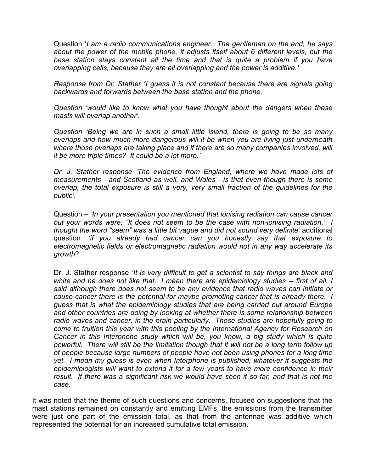Question '*I am a radio communications engineer. The gentleman on the end, he says about the power of the mobile phone, it adjusts itself about 6 different levels, but the base station stays constant all the time and that is quite a problem if you have overlapping cells, because they are all overlapping and the power is additive.'*

*Response from Dr. Stather 'I guess it is not constant because there are signals going backwards and forwards between the base station and the phone.*

*Question 'would like to know what you have thought about the dangers when these masts will overlap another'.*

*Question 'Being we are in such a small little island, there is going to be so many overlaps and how much more dangerous will it be when you are living just underneath* where those overlaps are taking place and if there are so many companies involved, will *it be more triple times? It could be a lot more.'*

*Dr. J. Stather response 'The evidence from England, where we have made lots of measurements - and Scotland as well, and Wales - is that even though there is some overlap, the total exposure is still a very, very small fraction of the guidelines for the public'.*

Question – '*In your presentation you mentioned that ionising radiation can cause cancer but your words were; "It does not seem to be the case with non-ionising radiation." I thought the word "seem" was a little bit vague and did not sound very definite'* additional question *'if you already had cancer can you honestly say that exposure to electromagnetic fields or electromagnetic radiation would not in any way accelerate its growth*?

Dr. J. Stather response '*It is very difficult to get a scientist to say things are black and white and he does not like that. I mean there are epidemiology studies -- first of all, I said although there does not seem to be any evidence that radio waves can initiate or cause cancer there is the potential for maybe promoting cancer that is already there. I guess that is what the epidemiology studies that are being carried out around Europe and other countries are doing by looking at whether there is some relationship between radio waves and cancer, in the brain particularly. Those studies are hopefully going to come to fruition this year with this pooling by the International Agency for Research on Cancer in this Interphone study which will be, you know, a big study which is quite powerful. There will still be the limitation though that it will not be a long term follow up of people because large numbers of people have not been using phones for a long time yet. I mean my guess is even when Interphone is published, whatever it suggests the epidemiologists will want to extend it for a few years to have more confidence in their result. If there was a significant risk we would have seen it so far, and that is not the case.*

It was noted that the theme of such questions and concerns, focused on suggestions that the mast stations remained on constantly and emitting EMFs, the emissions from the transmitter were just one part of the emission total, as that from the antennae was additive which represented the potential for an increased cumulative total emission.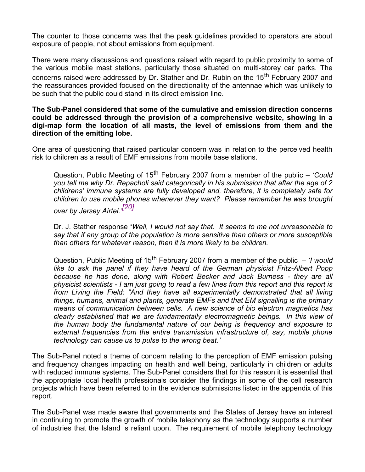The counter to those concerns was that the peak guidelines provided to operators are about exposure of people, not about emissions from equipment.

There were many discussions and questions raised with regard to public proximity to some of the various mobile mast stations, particularly those situated on multi-storey car parks. The concerns raised were addressed by Dr. Stather and Dr. Rubin on the 15<sup>th</sup> February 2007 and the reassurances provided focused on the directionality of the antennae which was unlikely to be such that the public could stand in its direct emission line.

#### **The Sub-Panel considered that some of the cumulative and emission direction concerns could be addressed through the provision of a comprehensive website, showing in a digi-map form the location of all masts, the level of emissions from them and the direction of the emitting lobe.**

One area of questioning that raised particular concern was in relation to the perceived health risk to children as a result of EMF emissions from mobile base stations.

Question, Public Meeting of 15<sup>th</sup> February 2007 from a member of the public – *'Could you tell me why Dr. Repacholi said categorically in his submission that after the age of 2 childrens' immune systems are fully developed and, therefore, it is completely safe for children to use mobile phones whenever they want? Please remember he was brought over by Jersey Airtel.' [20]*

Dr. J. Stather response **'***Well, I would not say that. It seems to me not unreasonable to say that if any group of the population is more sensitive than others or more susceptible than others for whatever reason, then it is more likely to be children.*

Question, Public Meeting of 15<sup>th</sup> February 2007 from a member of the public – *'I would like to ask the panel if they have heard of the German physicist Fritz-Albert Popp because he has done, along with Robert Becker and Jack Burness - they are all physicist scientists - I am just going to read a few lines from this report and this report is from Living the Field: "And they have all experimentally demonstrated that all living things, humans, animal and plants, generate EMFs and that EM signalling is the primary means of communication between cells. A new science of bio electron magnetics has clearly established that we are fundamentally electromagnetic beings. In this view of the human body the fundamental nature of our being is frequency and exposure to external frequencies from the entire transmission infrastructure of, say, mobile phone technology can cause us to pulse to the wrong beat.'*

The Sub-Panel noted a theme of concern relating to the perception of EMF emission pulsing and frequency changes impacting on health and well being, particularly in children or adults with reduced immune systems. The Sub-Panel considers that for this reason it is essential that the appropriate local health professionals consider the findings in some of the cell research projects which have been referred to in the evidence submissions listed in the appendix of this report.

The Sub-Panel was made aware that governments and the States of Jersey have an interest in continuing to promote the growth of mobile telephony as the technology supports a number of industries that the Island is reliant upon. The requirement of mobile telephony technology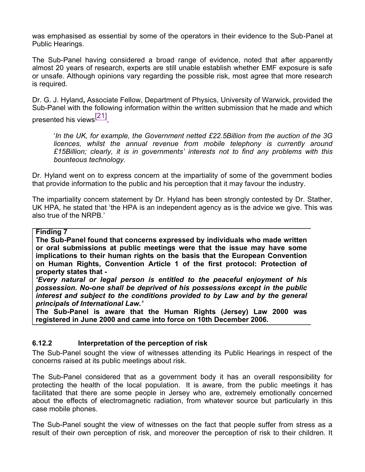was emphasised as essential by some of the operators in their evidence to the Sub-Panel at Public Hearings.

The Sub-Panel having considered a broad range of evidence, noted that after apparently almost 20 years of research, experts are still unable establish whether EMF exposure is safe or unsafe. Although opinions vary regarding the possible risk, most agree that more research is required.

Dr. G. J. Hyland**,** Associate Fellow, Department of Physics, University of Warwick, provided the Sub-Panel with the following information within the written submission that he made and which presented his views<sup>[21]</sup>,

'*In the UK, for example, the Government netted £22.5Billion from the auction of the 3G licences, whilst the annual revenue from mobile telephony is currently around £15Billion; clearly, it is in governments' interests not to find any problems with this bounteous technology.*

Dr. Hyland went on to express concern at the impartiality of some of the government bodies that provide information to the public and his perception that it may favour the industry.

The impartiality concern statement by Dr. Hyland has been strongly contested by Dr. Stather, UK HPA, he stated that 'the HPA is an independent agency as is the advice we give. This was also true of the NRPB.'

#### **Finding 7**

**The Sub-Panel found that concerns expressed by individuals who made written or oral submissions at public meetings were that the issue may have some implications to their human rights on the basis that the European Convention on Human Rights, Convention Article 1 of the first protocol: Protection of property states that -**

*'Every natural or legal person is entitled to the peaceful enjoyment of his possession. No-one shall be deprived of his possessions except in the public interest and subject to the conditions provided to by Law and by the general principals of International Law.'*

**The Sub-Panel is aware that the Human Rights (Jersey) Law 2000 was registered in June 2000 and came into force on 10th December 2006.**

#### **6.12.2 Interpretation of the perception of risk**

The Sub-Panel sought the view of witnesses attending its Public Hearings in respect of the concerns raised at its public meetings about risk.

The Sub-Panel considered that as a government body it has an overall responsibility for protecting the health of the local population. It is aware, from the public meetings it has facilitated that there are some people in Jersey who are, extremely emotionally concerned about the effects of electromagnetic radiation, from whatever source but particularly in this case mobile phones.

The Sub-Panel sought the view of witnesses on the fact that people suffer from stress as a result of their own perception of risk, and moreover the perception of risk to their children. It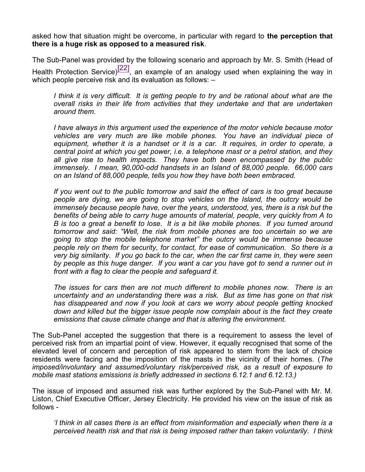asked how that situation might be overcome, in particular with regard to **the perception that there is a huge risk as opposed to a measured risk**.

The Sub-Panel was provided by the following scenario and approach by Mr. S. Smith (Head of Health Protection Service)<sup>[22]</sup>, an example of an analogy used when explaining the way in which people perceive risk and its evaluation as follows:  $-$ 

*I think it is very difficult. It is getting people to try and be rational about what are the overall risks in their life from activities that they undertake and that are undertaken around them.*

*I have always in this argument used the experience of the motor vehicle because motor vehicles are very much are like mobile phones. You have an individual piece of equipment, whether it is a handset or it is a car. It requires, in order to operate, a central point at which you get power, i.e. a telephone mast or a petrol station, and they all give rise to health impacts. They have both been encompassed by the public immensely. I mean, 90,000-odd handsets in an Island of 88,000 people. 66,000 cars on an Island of 88,000 people, tells you how they have both been embraced.*

*If you went out to the public tomorrow and said the effect of cars is too great because people are dying, we are going to stop vehicles on the Island, the outcry would be immensely because people have, over the years, understood, yes, there is a risk but the benefits of being able to carry huge amounts of material, people, very quickly from A to B is too a great a benefit to lose. It is a bit like mobile phones. If you turned around tomorrow and said: "Well, the risk from mobile phones are too uncertain so we are going to stop the mobile telephone market" the outcry would be immense because people rely on them for security, for contact, for ease of communication. So there is a very big similarity. If you go back to the car, when the car first came in, they were seen by people as this huge danger. If you want a car you have got to send a runner out in front with a flag to clear the people and safeguard it.*

*The issues for cars then are not much different to mobile phones now. There is an uncertainty and an understanding there was a risk. But as time has gone on that risk has disappeared and now if you look at cars we worry about people getting knocked down and killed but the bigger issue people now complain about is the fact they create emissions that cause climate change and that is altering the environment.*

The Sub-Panel accepted the suggestion that there is a requirement to assess the level of perceived risk from an impartial point of view. However, it equally recognised that some of the elevated level of concern and perception of risk appeared to stem from the lack of choice residents were facing and the imposition of the masts in the vicinity of their homes. (*The imposed/involuntary and assumed/voluntary risk/perceived risk, as a result of exposure to mobile mast stations emissions is briefly addressed in sections 6.12.1 and 6.12.13.)*

The issue of imposed and assumed risk was further explored by the Sub-Panel with Mr. M. Liston, Chief Executive Officer, Jersey Electricity. He provided his view on the issue of risk as follows -

*'I think in all cases there is an effect from misinformation and especially when there is a perceived health risk and that risk is being imposed rather than taken voluntarily. I think*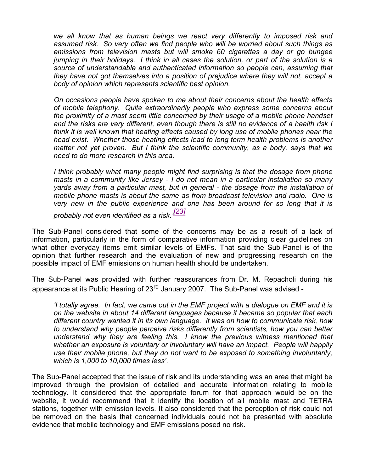*we all know that as human beings we react very differently to imposed risk and assumed risk. So very often we find people who will be worried about such things as emissions from television masts but will smoke 60 cigarettes a day or go bungee jumping in their holidays. I think in all cases the solution, or part of the solution is a source of understandable and authenticated information so people can, assuming that they have not got themselves into a position of prejudice where they will not, accept a body of opinion which represents scientific best opinion.*

*On occasions people have spoken to me about their concerns about the health effects of mobile telephony. Quite extraordinarily people who express some concerns about the proximity of a mast seem little concerned by their usage of a mobile phone handset and the risks are very different, even though there is still no evidence of a health risk I think it is well known that heating effects caused by long use of mobile phones near the head exist. Whether those heating effects lead to long term health problems is another matter not yet proven. But I think the scientific community, as a body, says that we need to do more research in this area.*

*I think probably what many people might find surprising is that the dosage from phone masts in a community like Jersey - I do not mean in a particular installation so many yards away from a particular mast, but in general - the dosage from the installation of mobile phone masts is about the same as from broadcast television and radio. One is very new in the public experience and one has been around for so long that it is*

*probably not even identified as a risk.' [23]*

The Sub-Panel considered that some of the concerns may be as a result of a lack of information, particularly in the form of comparative information providing clear guidelines on what other everyday items emit similar levels of EMFs. That said the Sub-Panel is of the opinion that further research and the evaluation of new and progressing research on the possible impact of EMF emissions on human health should be undertaken.

The Sub-Panel was provided with further reassurances from Dr. M. Repacholi during his appearance at its Public Hearing of 23<sup>rd</sup> January 2007. The Sub-Panel was advised -

*'I totally agree. In fact, we came out in the EMF project with a dialogue on EMF and it is on the website in about 14 different languages because it became so popular that each different country wanted it in its own language. It was on how to communicate risk, how to understand why people perceive risks differently from scientists, how you can better understand why they are feeling this. I know the previous witness mentioned that whether an exposure is voluntary or involuntary will have an impact. People will happily use their mobile phone, but they do not want to be exposed to something involuntarily, which is 1,000 to 10,000 times less'.*

The Sub-Panel accepted that the issue of risk and its understanding was an area that might be improved through the provision of detailed and accurate information relating to mobile technology. It considered that the appropriate forum for that approach would be on the website, it would recommend that it identify the location of all mobile mast and TETRA stations, together with emission levels. It also considered that the perception of risk could not be removed on the basis that concerned individuals could not be presented with absolute evidence that mobile technology and EMF emissions posed no risk.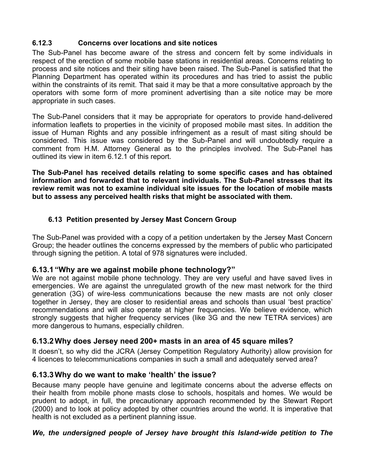## **6.12.3 Concerns over locations and site notices**

The Sub-Panel has become aware of the stress and concern felt by some individuals in respect of the erection of some mobile base stations in residential areas. Concerns relating to process and site notices and their siting have been raised. The Sub-Panel is satisfied that the Planning Department has operated within its procedures and has tried to assist the public within the constraints of its remit. That said it may be that a more consultative approach by the operators with some form of more prominent advertising than a site notice may be more appropriate in such cases.

The Sub-Panel considers that it may be appropriate for operators to provide hand-delivered information leaflets to properties in the vicinity of proposed mobile mast sites. In addition the issue of Human Rights and any possible infringement as a result of mast siting should be considered. This issue was considered by the Sub-Panel and will undoubtedly require a comment from H.M. Attorney General as to the principles involved. The Sub-Panel has outlined its view in item 6.12.1 of this report.

**The Sub-Panel has received details relating to some specific cases and has obtained information and forwarded that to relevant individuals. The Sub-Panel stresses that its review remit was not to examine individual site issues for the location of mobile masts but to assess any perceived health risks that might be associated with them.**

## **6.13 Petition presented by Jersey Mast Concern Group**

The Sub-Panel was provided with a copy of a petition undertaken by the Jersey Mast Concern Group; the header outlines the concerns expressed by the members of public who participated through signing the petition. A total of 978 signatures were included.

## **6.13.1 "Why are we against mobile phone technology?"**

We are not against mobile phone technology. They are very useful and have saved lives in emergencies. We are against the unregulated growth of the new mast network for the third generation (3G) of wire-less communications because the new masts are not only closer together in Jersey, they are closer to residential areas and schools than usual 'best practice' recommendations and will also operate at higher frequencies. We believe evidence, which strongly suggests that higher frequency services (like 3G and the new TETRA services) are more dangerous to humans, especially children.

## **6.13.2Why does Jersey need 200+ masts in an area of 45 square miles?**

It doesn't, so why did the JCRA (Jersey Competition Regulatory Authority) allow provision for 4 licences to telecommunications companies in such a small and adequately served area?

## **6.13.3Why do we want to make 'health' the issue?**

Because many people have genuine and legitimate concerns about the adverse effects on their health from mobile phone masts close to schools, hospitals and homes. We would be prudent to adopt, in full, the precautionary approach recommended by the Stewart Report (2000) and to look at policy adopted by other countries around the world. It is imperative that health is not excluded as a pertinent planning issue.

## *We, the undersigned people of Jersey have brought this Island-wide petition to The*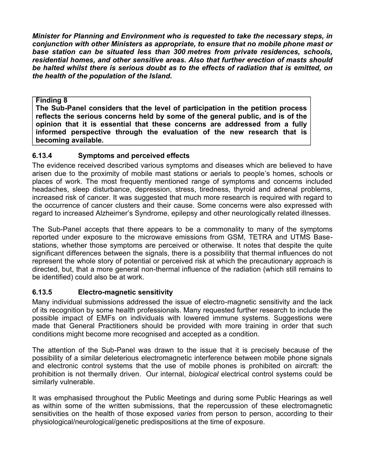*Minister for Planning and Environment who is requested to take the necessary steps, in conjunction with other Ministers as appropriate, to ensure that no mobile phone mast or base station can be situated less than 300 metres from private residences, schools, residential homes, and other sensitive areas. Also that further erection of masts should be halted whilst there is serious doubt as to the effects of radiation that is emitted, on the health of the population of the Island.*

#### **Finding 8**

**The Sub-Panel considers that the level of participation in the petition process reflects the serious concerns held by some of the general public, and is of the opinion that it is essential that these concerns are addressed from a fully informed perspective through the evaluation of the new research that is becoming available.**

## **6.13.4 Symptoms and perceived effects**

The evidence received described various symptoms and diseases which are believed to have arisen due to the proximity of mobile mast stations or aerials to people's homes, schools or places of work. The most frequently mentioned range of symptoms and concerns included headaches, sleep disturbance, depression, stress, tiredness, thyroid and adrenal problems, increased risk of cancer. It was suggested that much more research is required with regard to the occurrence of cancer clusters and their cause. Some concerns were also expressed with regard to increased Alzheimer's Syndrome, epilepsy and other neurologically related illnesses.

The Sub-Panel accepts that there appears to be a commonality to many of the symptoms reported under exposure to the microwave emissions from GSM, TETRA and UTMS Basestations, whether those symptoms are perceived or otherwise. It notes that despite the quite significant differences between the signals, there is a possibility that thermal influences do not represent the whole story of potential or perceived risk at which the precautionary approach is directed, but, that a more general non-thermal influence of the radiation (which still remains to be identified) could also be at work.

## **6.13.5 Electro-magnetic sensitivity**

Many individual submissions addressed the issue of electro-magnetic sensitivity and the lack of its recognition by some health professionals. Many requested further research to include the possible impact of EMFs on individuals with lowered immune systems. Suggestions were made that General Practitioners should be provided with more training in order that such conditions might become more recognised and accepted as a condition.

The attention of the Sub-Panel was drawn to the issue that it is precisely because of the possibility of a similar deleterious electromagnetic interference between mobile phone signals and electronic control systems that the use of mobile phones is prohibited on aircraft: the prohibition is not thermally driven. Our internal, *biological* electrical control systems could be similarly vulnerable.

It was emphasised throughout the Public Meetings and during some Public Hearings as well as within some of the written submissions, that the repercussion of these electromagnetic sensitivities on the health of those exposed *varies* from person to person, according to their physiological/neurological/genetic predispositions at the time of exposure.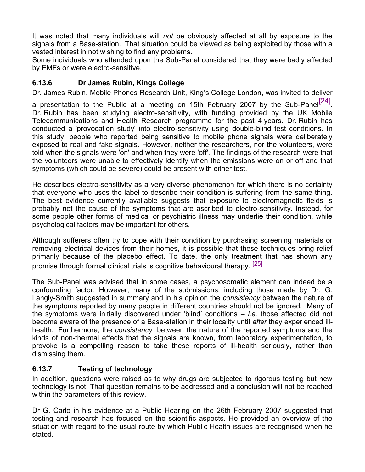It was noted that many individuals will *not* be obviously affected at all by exposure to the signals from a Base-station. That situation could be viewed as being exploited by those with a vested interest in not wishing to find any problems.

Some individuals who attended upon the Sub-Panel considered that they were badly affected by EMFs or were electro-sensitive.

## **6.13.6 Dr James Rubin, Kings College**

Dr. James Rubin, Mobile Phones Research Unit, King's College London, was invited to deliver

a presentation to the Public at a meeting on 15th February 2007 by the Sub-Panel $\overline{[24]}$ . Dr. Rubin has been studying electro-sensitivity, with funding provided by the UK Mobile Telecommunications and Health Research programme for the past 4 years. Dr. Rubin has conducted a 'provocation study' into electro-sensitivity using double-blind test conditions. In this study, people who reported being sensitive to mobile phone signals were deliberately exposed to real and fake signals. However, neither the researchers, nor the volunteers, were told when the signals were 'on' and when they were 'off'. The findings of the research were that the volunteers were unable to effectively identify when the emissions were on or off and that symptoms (which could be severe) could be present with either test.

He describes electro-sensitivity as a very diverse phenomenon for which there is no certainty that everyone who uses the label to describe their condition is suffering from the same thing. The best evidence currently available suggests that exposure to electromagnetic fields is probably not the cause of the symptoms that are ascribed to electro-sensitivity. Instead, for some people other forms of medical or psychiatric illness may underlie their condition, while psychological factors may be important for others.

Although sufferers often try to cope with their condition by purchasing screening materials or removing electrical devices from their homes, it is possible that these techniques bring relief primarily because of the placebo effect. To date, the only treatment that has shown any promise through formal clinical trials is cognitive behavioural therapy. [25]

The Sub-Panel was advised that in some cases, a psychosomatic element can indeed be a confounding factor. However, many of the submissions, including those made by Dr. G. Langly-Smith suggested in summary and in his opinion the *consistency* between the nature of the symptoms reported by many people in different countries should not be ignored. Many of the symptoms were initially discovered under 'blind' conditions – *i.e.* those affected did not become aware of the presence of a Base-station in their locality until *after* they experienced illhealth. Furthermore, the *consistency* between the nature of the reported symptoms and the kinds of non-thermal effects that the signals are known, from laboratory experimentation, to provoke is a compelling reason to take these reports of ill-health seriously, rather than dismissing them.

## **6.13.7 Testing of technology**

In addition, questions were raised as to why drugs are subjected to rigorous testing but new technology is not. That question remains to be addressed and a conclusion will not be reached within the parameters of this review.

Dr G. Carlo in his evidence at a Public Hearing on the 26th February 2007 suggested that testing and research has focused on the scientific aspects. He provided an overview of the situation with regard to the usual route by which Public Health issues are recognised when he stated.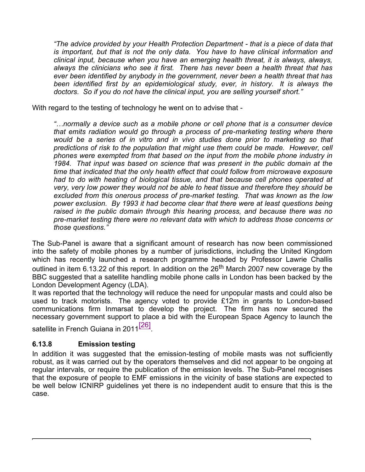*"The advice provided by your Health Protection Department - that is a piece of data that is important, but that is not the only data. You have to have clinical information and clinical input, because when you have an emerging health threat, it is always, always, always the clinicians who see it first. There has never been a health threat that has ever been identified by anybody in the government, never been a health threat that has been identified first by an epidemiological study, ever, in history. It is always the doctors. So if you do not have the clinical input, you are selling yourself short."*

With regard to the testing of technology he went on to advise that -

*"…normally a device such as a mobile phone or cell phone that is a consumer device that emits radiation would go through a process of pre-marketing testing where there would be a series of in vitro and in vivo studies done prior to marketing so that predictions of risk to the population that might use them could be made. However, cell phones were exempted from that based on the input from the mobile phone industry in 1984. That input was based on science that was present in the public domain at the time that indicated that the only health effect that could follow from microwave exposure had to do with heating of biological tissue, and that because cell phones operated at very, very low power they would not be able to heat tissue and therefore they should be excluded from this onerous process of pre-market testing. That was known as the low power exclusion. By 1993 it had become clear that there were at least questions being raised in the public domain through this hearing process, and because there was no pre-market testing there were no relevant data with which to address those concerns or those questions."*

The Sub-Panel is aware that a significant amount of research has now been commissioned into the safety of mobile phones by a number of jurisdictions, including the United Kingdom which has recently launched a research programme headed by Professor Lawrie Challis outlined in item 6.13.22 of this report. In addition on the  $26<sup>th</sup>$  March 2007 new coverage by the BBC suggested that a satellite handling mobile phone calls in London has been backed by the London Development Agency (LDA).

It was reported that the technology will reduce the need for unpopular masts and could also be used to track motorists. The agency voted to provide £12m in grants to London-based communications firm Inmarsat to develop the project. The firm has now secured the necessary government support to place a bid with the European Space Agency to launch the satellite in French Guiana in 2011<sup>[26]</sup>.

## **6.13.8 Emission testing**

In addition it was suggested that the emission-testing of mobile masts was not sufficiently robust, as it was carried out by the operators themselves and did not appear to be ongoing at regular intervals, or require the publication of the emission levels. The Sub-Panel recognises that the exposure of people to EMF emissions in the vicinity of base stations are expected to be well below ICNIRP guidelines yet there is no independent audit to ensure that this is the case.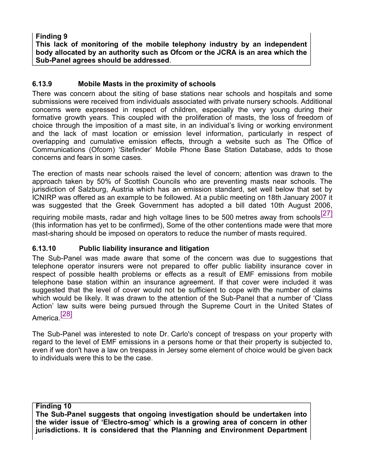**Finding 9 This lack of monitoring of the mobile telephony industry by an independent body allocated by an authority such as Ofcom or the JCRA is an area which the Sub-Panel agrees should be addressed**.

#### **6.13.9 Mobile Masts in the proximity of schools**

There was concern about the siting of base stations near schools and hospitals and some submissions were received from individuals associated with private nursery schools. Additional concerns were expressed in respect of children, especially the very young during their formative growth years. This coupled with the proliferation of masts, the loss of freedom of choice through the imposition of a mast site, in an individual's living or working environment and the lack of mast location or emission level information, particularly in respect of overlapping and cumulative emission effects, through a website such as The Office of Communications (Ofcom) 'Sitefinder' Mobile Phone Base Station Database, adds to those concerns and fears in some cases.

The erection of masts near schools raised the level of concern; attention was drawn to the approach taken by 50% of Scottish Councils who are preventing masts near schools. The jurisdiction of Salzburg, Austria which has an emission standard, set well below that set by ICNIRP was offered as an example to be followed. At a public meeting on 18th January 2007 it was suggested that the Greek Government has adopted a bill dated 10th August 2006,

requiring mobile masts, radar and high voltage lines to be 500 metres away from schools<sup>[27]</sup> (this information has yet to be confirmed), Some of the other contentions made were that more mast-sharing should be imposed on operators to reduce the number of masts required.

## **6.13.10 Public liability insurance and litigation**

The Sub-Panel was made aware that some of the concern was due to suggestions that telephone operator insurers were not prepared to offer public liability insurance cover in respect of possible health problems or effects as a result of EMF emissions from mobile telephone base station within an insurance agreement. If that cover were included it was suggested that the level of cover would not be sufficient to cope with the number of claims which would be likely. It was drawn to the attention of the Sub-Panel that a number of 'Class Action' law suits were being pursued through the Supreme Court in the United States of America<sup>[28]</sup>

The Sub-Panel was interested to note Dr. Carlo's concept of trespass on your property with regard to the level of EMF emissions in a persons home or that their property is subjected to, even if we don't have a law on trespass in Jersey some element of choice would be given back to individuals were this to be the case.

**Finding 10**

**The Sub-Panel suggests that ongoing investigation should be undertaken into the wider issue of 'Electro-smog' which is a growing area of concern in other jurisdictions. It is considered that the Planning and Environment Department**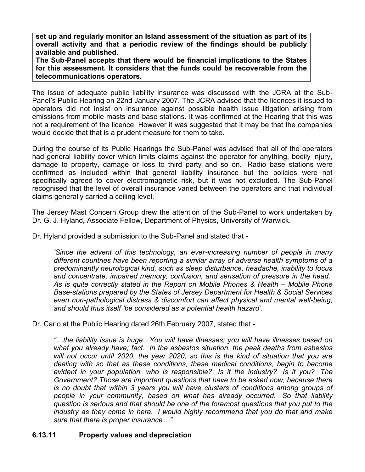**set up and regularly monitor an Island assessment of the situation as part of its overall activity and that a periodic review of the findings should be publicly available and published.**

**The Sub-Panel accepts that there would be financial implications to the States for this assessment. It considers that the funds could be recoverable from the telecommunications operators.**

The issue of adequate public liability insurance was discussed with the JCRA at the Sub-Panel's Public Hearing on 22nd January 2007. The JCRA advised that the licences it issued to operators did not insist on insurance against possible health issue litigation arising from emissions from mobile masts and base stations. It was confirmed at the Hearing that this was not a requirement of the licence. However it was suggested that it may be that the companies would decide that that is a prudent measure for them to take.

During the course of its Public Hearings the Sub-Panel was advised that all of the operators had general liability cover which limits claims against the operator for anything, bodily injury, damage to property, damage or loss to third party and so on. Radio base stations were confirmed as included within that general liability insurance but the policies were not specifically agreed to cover electromagnetic risk, but it was not excluded. The Sub-Panel recognised that the level of overall insurance varied between the operators and that individual claims generally carried a ceiling level.

The Jersey Mast Concern Group drew the attention of the Sub-Panel to work undertaken by Dr. G. J. Hyland**,** Associate Fellow, Department of Physics, University of Warwick.

Dr. Hyland provided a submission to the Sub-Panel and stated that -

*'Since the advent of this technology, an ever-increasing number of people in many different countries have been reporting a similar array of adverse health symptoms of a predominantly neurological kind, such as sleep disturbance, headache, inability to focus and concentrate, impaired memory, confusion, and sensation of pressure in the head. As is quite correctly stated in the Report on Mobile Phones & Health – Mobile Phone Base-stations prepared by the States of Jersey Department for Health & Social Services even non-pathological distress & discomfort can affect physical and mental well-being, and should thus itself 'be considered as a potential health hazard'*.

Dr. Carlo at the Public Hearing dated 26th February 2007, stated that -

*"…the liability issue is huge. You will have illnesses; you will have illnesses based on what you already have; fact. In the asbestos situation, the peak deaths from asbestos will not occur until 2020, the year 2020, so this is the kind of situation that you are dealing with so that as these conditions, these medical conditions, begin to become evident in your population, who is responsible? Is it the industry? Is it you? The Government? Those are important questions that have to be asked now, because there is no doubt that within 3 years you will have clusters of conditions among groups of people in your community, based on what has already occurred. So that liability question is serious and that should be one of the foremost questions that you put to the industry as they come in here. I would highly recommend that you do that and make sure that there is proper insurance…"*

#### **6.13.11 Property values and depreciation**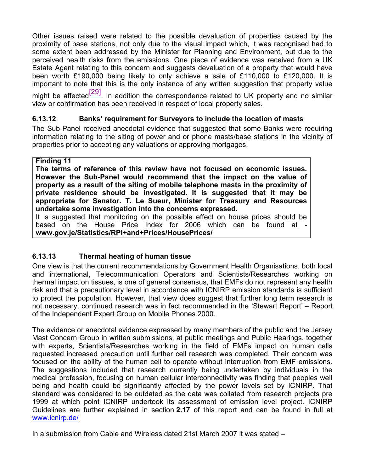Other issues raised were related to the possible devaluation of properties caused by the proximity of base stations, not only due to the visual impact which, it was recognised had to some extent been addressed by the Minister for Planning and Environment, but due to the perceived health risks from the emissions. One piece of evidence was received from a UK Estate Agent relating to this concern and suggests devaluation of a property that would have been worth £190,000 being likely to only achieve a sale of £110,000 to £120,000. It is important to note that this is the only instance of any written suggestion that property value

might be affected $\frac{[29]}{[29]}$ . In addition the correspondence related to UK property and no similar view or confirmation has been received in respect of local property sales.

## **6.13.12 Banks' requirement for Surveyors to include the location of masts**

The Sub-Panel received anecdotal evidence that suggested that some Banks were requiring information relating to the siting of power and or phone masts/base stations in the vicinity of properties prior to accepting any valuations or approving mortgages.

## **Finding 11**

**The terms of reference of this review have not focused on economic issues. However the Sub-Panel would recommend that the impact on the value of property as a result of the siting of mobile telephone masts in the proximity of private residence should be investigated. It is suggested that it may be appropriate for Senator. T. Le Sueur, Minister for Treasury and Resources undertake some investigation into the concerns expressed.**

It is suggested that monitoring on the possible effect on house prices should be based on the House Price Index for 2006 which can be found at **www.gov.je/Statistics/RPI+and+Prices/HousePrices/**

## **6.13.13 Thermal heating of human tissue**

One view is that the current recommendations by Government Health Organisations, both local and international, Telecommunication Operators and Scientists/Researches working on thermal impact on tissues, is one of general consensus, that EMFs do not represent any health risk and that a precautionary level in accordance with ICNIRP emission standards is sufficient to protect the population. However, that view does suggest that further long term research is not necessary, continued research was in fact recommended in the 'Stewart Report' – Report of the Independent Expert Group on Mobile Phones 2000.

The evidence or anecdotal evidence expressed by many members of the public and the Jersey Mast Concern Group in written submissions, at public meetings and Public Hearings, together with experts, Scientists/Researches working in the field of EMFs impact on human cells requested increased precaution until further cell research was completed. Their concern was focused on the ability of the human cell to operate without interruption from EMF emissions. The suggestions included that research currently being undertaken by individuals in the medical profession, focusing on human cellular interconnectivity was finding that peoples well being and health could be significantly affected by the power levels set by ICNIRP. That standard was considered to be outdated as the data was collated from research projects pre 1999 at which point ICNIRP undertook its assessment of emission level project. ICNIRP Guidelines are further explained in section **2.17** of this report and can be found in full at <www.icnirp.de/>

In a submission from Cable and Wireless dated 21st March 2007 it was stated –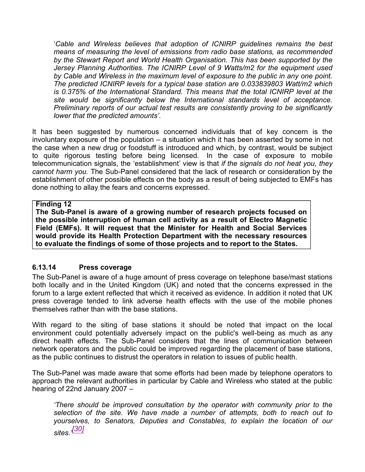'*Cable and Wireless believes that adoption of ICNIRP guidelines remains the best means of measuring the level of emissions from radio base stations, as recommended by the Stewart Report and World Health Organisation. This has been supported by the Jersey Planning Authorities. The ICNIRP Level of 9 Watts/m2 for the equipment used by Cable and Wireless in the maximum level of exposure to the public in any one point. The predicted ICNIRP levels for a typical base station are 0.033839803 Watt/m2 which is 0.375% of the International Standard. This means that the total ICNIRP level at the site would be significantly below the International standards level of acceptance. Preliminary reports of our actual test results are consistently proving to be significantly lower that the predicted amounts'.*

It has been suggested by numerous concerned individuals that of key concern is the involuntary exposure of the population – a situation which it has been asserted by some in not the case when a new drug or foodstuff is introduced and which, by contrast, would be subject to quite rigorous testing before being licensed. In the case of exposure to mobile telecommunication signals, the 'establishment' view is that *if the signals do not heat you, they cannot harm you.* The Sub-Panel considered that the lack of research or consideration by the establishment of other possible effects on the body as a result of being subjected to EMFs has done nothing to allay the fears and concerns expressed.

#### **Finding 12**

**The Sub-Panel is aware of a growing number of research projects focused on the possible interruption of human cell activity as a result of Electro Magnetic Field (EMFs). It will request that the Minister for Health and Social Services [would provide its Health Protection Department wit](www.gov.je/Statistics/RPI+and+Prices/HousePrices/)h the necessary resources to evaluate the findings of some of those projects and to report to the States.**

#### **6.13.14 Press coverage**

The Sub-Panel is aware of a huge amount of press coverage on telephone base/mast stations both locally and in the United Kingdom (UK) and noted that the concerns expressed in the forum to a large extent reflected that which it received as evidence. In addition it noted that UK press coverage tended to link adverse health effects with the use of the mobile phones themselves rather than with the base stations.

With regard to the siting of base stations it should be noted that impact on the local environment could potentially adversely impact on the public's well-being as much as any direct health effects. The Sub-Panel considers that the lines of communication between network operators and the public could be improved regarding the placement of base stations, as the public continues to distrust the operators in relation to issues of public health.

The Sub-Panel was made aware that some efforts had been made by telephone operators to approach the relevant authorities in particular by Cable and Wireless who stated at the public hearing of 22nd January 2007 –

*'There should be improved consultation by the operator with community prior to the selection of the site. We have made a number of attempts, both to reach out to yourselves, to Senators, Deputies and Constables, to explain the location of our sites.' [30]*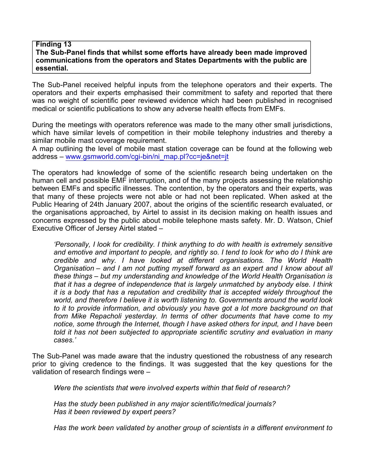#### **Finding 13 The Sub-Panel finds that whilst some efforts have already been made improved communications from the operators and States Departments with the public are essential.**

The Sub-Panel received helpful inputs from the telephone operators and their experts. The operators and their experts emphasised their commitment to safety and reported that there was no weight of scientific peer reviewed evidence which had been published in recognised medical or scientific publications to show any adverse health effects from EMFs.

During the meetings with operators reference was made to the many other small jurisdictions, which have similar levels of competition in their mobile telephony industries and thereby a similar mobile mast coverage requirement.

A map outlining the level of mobile mast station coverage can be found at the following web address – [www.gsmworld.com/cgi-bin/ni\\_map.pl](www.gsmworld.com/cgi-bin/ni_map.pl)?cc=je&net=jt

The operators had knowledge of some of the scientific research being undertaken on the human cell and possible EMF interruption, and of the many projects assessing the relationship between EMFs and specific illnesses. The contention, by the operators and their experts, was that many of these projects were not able or had not been replicated. When asked at the Public Hearing of 24th January 2007, about the origins of the scientific research evaluated, or the organisations approached, by Airtel to assist in its decision making on health issues and concerns expressed by the public about mobile telephone masts safety. Mr. D. Watson, Chief Executive Officer of Jersey Airtel stated –

*'Personally, I look for credibility. I think anything to do with health is extremely sensitive and emotive and important to people, and rightly so. I tend to look for who do I think are credible and why. I have looked at different organisations. The World Health Organisation – and I am not putting myself forward as an expert and I know about all these things – but my understanding and knowledge of the World Health Organisation is that it has a degree of independence that is largely unmatched by anybody else. I think it is a body that has a reputation and credibility that is accepted widely throughout the world, and therefore I believe it is worth listening to. Governments around the world look to it to provide information, and obviously you have got a lot more background on that from Mike Repacholi yesterday. In terms of other documents that have come to my notice, some through the Internet, though I have asked others for input, and I have been told it has not been subjected to appropriate scientific scrutiny and evaluation in many cases.'*

The Sub-Panel was made aware that the industry questioned the robustness of any research prior to giving credence to the findings. It was suggested that the key questions for the validation of research findings were –

*Were the scientists that were involved experts within that field of research?*

*Has the study been published in any major scientific/medical journals? Has it been reviewed by expert peers?*

*Has the work been validated by another group of scientists in a different environment to*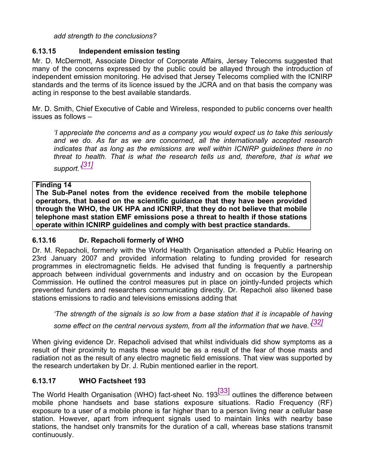*add strength to the conclusions?*

### **6.13.15 Independent emission testing**

Mr. D. McDermott, Associate Director of Corporate Affairs, Jersey Telecoms suggested that many of the concerns expressed by the public could be allayed through the introduction of independent emission monitoring. He advised that Jersey Telecoms complied with the ICNIRP standards and the terms of its licence issued by the JCRA and on that basis the company was acting in response to the best available standards.

Mr. D. Smith, Chief Executive of Cable and Wireless, responded to public concerns over health issues as follows –

*'I appreciate the concerns and as a company you would expect us to take this seriously and we do. As far as we are concerned, all the internationally accepted research indicates that as long as the emissions are well within ICNIRP guidelines there in no threat to health. That is what the research tells us and, therefore, that is what we support.' [31]*

#### **Finding 14**

**The Sub-Panel notes from the evidence received from the mobile telephone operators, that based on the scientific guidance that they have been provided through the WHO, the UK HPA and ICNIRP, that they do not believe that mobile telephone mast station EMF emissions pose a threat to health if those stations operate within ICNIRP guidelines and comply with best practice standards.**

## **6.13.16 Dr. Repacholi formerly of WHO**

Dr. M. Repacholi, formerly with the World Health Organisation attended a Public Hearing on 23rd January 2007 and provided information relating to funding provided for research programmes in electromagnetic fields. He advised that funding is frequently a partnership approach between individual governments and industry and on occasion by the European Commission. He outlined the control measures put in place on jointly-funded projects which prevented funders and researchers communicating directly. Dr. Repacholi also likened base stations emissions to radio and televisions emissions adding that

*'The strength of the signals is so low from a base station that it is incapable of having some effect on the central nervous system, from all the information that we have.' [32]*

When giving evidence Dr. Repacholi advised that whilst individuals did show symptoms as a result of their proximity to masts these would be as a result of the fear of those masts and radiation not as the result of any electro magnetic field emissions. That view was supported by the research undertaken by Dr. J. Rubin mentioned earlier in the report.

## **6.13.17 WHO Factsheet 193**

The World Health Organisation (WHO) fact-sheet No. 193<sup>[33]</sup> outlines the difference between mobile phone handsets and base stations exposure situations. Radio Frequency (RF) exposure to a user of a mobile phone is far higher than to a person living near a cellular base station. However, apart from infrequent signals used to maintain links with nearby base stations, the handset only transmits for the duration of a call, whereas base stations transmit continuously.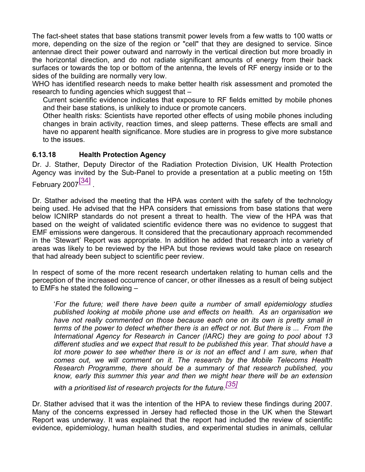The fact-sheet states that base stations transmit power levels from a few watts to 100 watts or more, depending on the size of the region or "cell" that they are designed to service. Since antennae direct their power outward and narrowly in the vertical direction but more broadly in the horizontal direction, and do not radiate significant amounts of energy from their back surfaces or towards the top or bottom of the antenna, the levels of RF energy inside or to the sides of the building are normally very low.

WHO has identified research needs to make better health risk assessment and promoted the research to funding agencies which suggest that –

Current scientific evidence indicates that exposure to RF fields emitted by mobile phones and their base stations, is unlikely to induce or promote cancers.

Other health risks: Scientists have reported other effects of using mobile phones including changes in brain activity, reaction times, and sleep patterns. These effects are small and have no apparent health significance. More studies are in progress to give more substance to the issues.

## **6.13.18 Health Protection Agency**

Dr. J. Stather, Deputy Director of the Radiation Protection Division, UK Health Protection Agency was invited by the Sub-Panel to provide a presentation at a public meeting on 15th February 2007<sup>[34]</sup>

Dr. Stather advised the meeting that the HPA was content with the safety of the technology being used. He advised that the HPA considers that emissions from base stations that were below ICNIRP standards do not present a threat to health. The view of the HPA was that based on the weight of validated scientific evidence there was no evidence to suggest that EMF emissions were dangerous. It considered that the precautionary approach recommended in the 'Stewart' Report was appropriate. In addition he added that research into a variety of areas was likely to be reviewed by the HPA but those reviews would take place on research that had already been subject to scientific peer review.

In respect of some of the more recent research undertaken relating to human cells and the perception of the increased occurrence of cancer, or other illnesses as a result of being subject to EMFs he stated the following –

'*For the future; well there have been quite a number of small epidemiology studies published looking at mobile phone use and effects on health. As an organisation we have not really commented on those because each one on its own is pretty small in terms of the power to detect whether there is an effect or not. But there is ... From the International Agency for Research in Cancer (IARC) they are going to pool about 13 different studies and we expect that result to be published this year. That should have a lot more power to see whether there is or is not an effect and I am sure, when that comes out, we will comment on it. The research by the Mobile Telecoms Health Research Programme, there should be a summary of that research published, you know, early this summer this year and then we might hear there will be an extension*

*with a prioritised list of research projects for the future.[35]*

Dr. Stather advised that it was the intention of the HPA to review these findings during 2007. Many of the concerns expressed in Jersey had reflected those in the UK when the Stewart Report was underway. It was explained that the report had included the review of scientific evidence, epidemiology, human health studies, and experimental studies in animals, cellular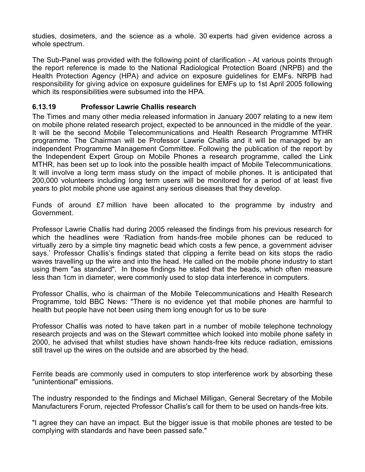studies, dosimeters, and the science as a whole. 30 experts had given evidence across a whole spectrum.

The Sub-Panel was provided with the following point of clarification - At various points through the report reference is made to the National Radiological Protection Board (NRPB) and the Health Protection Agency (HPA) and advice on exposure guidelines for EMFs. NRPB had responsibility for giving advice on exposure guidelines for EMFs up to 1st April 2005 following which its responsibilities were subsumed into the HPA.

### **6.13.19 Professor Lawrie Challis research**

The Times and many other media released information in January 2007 relating to a new item on mobile phone related research project, expected to be announced in the middle of the year. It will be the second Mobile Telecommunications and Health Research Programme MTHR programme. The Chairman will be Professor Lawrie Challis and it will be managed by an independent Programme Management Committee. Following the publication of the report by the Independent Expert Group on Mobile Phones a research programme, called the Link MTHR, has been set up to look into the possible health impact of Mobile Telecommunications. It will involve a long term mass study on the impact of mobile phones. It is anticipated that 200,000 volunteers including long term users will be monitored for a period of at least five years to plot mobile phone use against any serious diseases that they develop.

Funds of around £7 million have been allocated to the programme by industry and Government.

Professor Lawrie Challis had during 2005 released the findings from his previous research for which the headlines were 'Radiation from hands-free mobile phones can be reduced to virtually zero by a simple tiny magnetic bead which costs a few pence, a government adviser says.' Professor Challis's findings stated that clipping a ferrite bead on kits stops the radio waves travelling up the wire and into the head. He called on the mobile phone industry to start using them "as standard". In those findings he stated that the beads, which often measure less than 1cm in diameter, were commonly used to stop data interference in computers.

Professor Challis, who is chairman of the Mobile Telecommunications and Health Research Programme, told BBC News: "There is no evidence yet that mobile phones are harmful to health but people have not been using them long enough for us to be sure

Professor Challis was noted to have taken part in a number of mobile telephone technology research projects and was on the Stewart committee which looked into mobile phone safety in 2000, he advised that whilst studies have shown hands-free kits reduce radiation, emissions still travel up the wires on the outside and are absorbed by the head.

Ferrite beads are commonly used in computers to stop interference work by absorbing these "unintentional" emissions.

The industry responded to the findings and Michael Milligan, General Secretary of the Mobile Manufacturers Forum, rejected Professor Challis's call for them to be used on hands-free kits.

"I agree they can have an impact. But the bigger issue is that mobile phones are tested to be complying with standards and have been passed safe."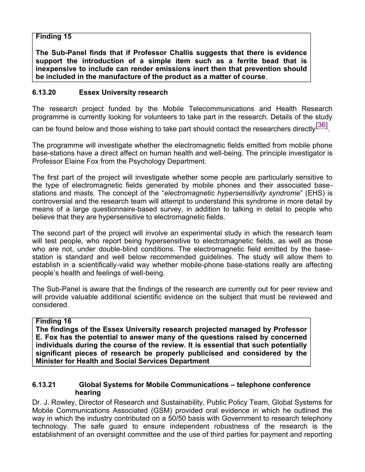## **Finding 15**

**The Sub-Panel finds that if Professor Challis suggests that there is evidence support the introduction of a simple item such as a ferrite bead that is inexpensive to include can render emissions inert then that prevention should be included in the manufacture of the product as a matter of course**.

#### **6.13.20 Essex University research**

The research project funded by the Mobile Telecommunications and Health Research programme is currently looking for volunteers to take part in the research. Details of the study

can be found below and those wishing to take part should contact the researchers directly $^{\text{[36]}}$ .

The programme will investigate whether the electromagnetic fields emitted from mobile phone base-stations have a direct affect on human health and well-being. The principle investigator is Professor Elaine Fox from the Psychology Department.

The first part of the project will investigate whether some people are particularly sensitive to the type of electromagnetic fields generated by mobile phones and their associated basestations and masts. The concept of the "*electromagnetic hypersensitivity syndrome*" (EHS) is controversial and the research team will attempt to understand this syndrome in more detail by means of a large questionnaire-based survey, in addition to talking in detail to people who believe that they are hypersensitive to electromagnetic fields.

The second part of the project will involve an experimental study in which the research team will test people, who report being hypersensitive to electromagnetic fields, as well as those who are not, under double-blind conditions. The electromagnetic field emitted by the basestation is standard and well below recommended guidelines. The study will allow them to establish in a scientifically-valid way whether mobile-phone base-stations really are affecting people's health and feelings of well-being.

The Sub-Panel is aware that the findings of the research are currently out for peer review and will provide valuable additional scientific evidence on the subject that must be reviewed and considered.

#### **Finding 16**

**The findings of the Essex University research projected managed by Professor E. Fox has the potential to answer many of the questions raised by concerned individuals during the course of the review. It is essential that such potentially significant pieces of research be properly publicised and considered by the Minister for Health and Social Services Department**

#### **6.13.21 Global Systems for Mobile Communications – telephone conference hearing**

Dr. J. Rowley, Director of Research and Sustainability, Public Policy Team, Global Systems for Mobile Communications Associated (GSM) provided oral evidence in which he outlined the way in which the industry contributed on a 50/50 basis with Government to research telephony technology. The safe guard to ensure independent robustness of the research is the establishment of an oversight committee and the use of third parties for payment and reporting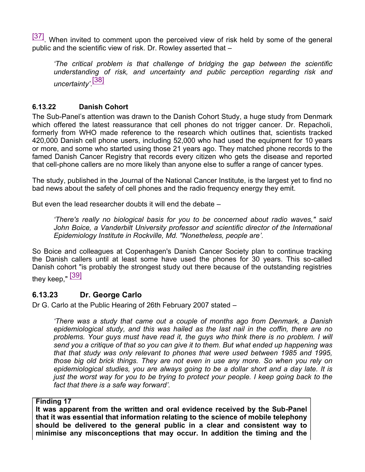[37] When invited to comment upon the perceived view of risk held by some of the general public and the scientific view of risk. Dr. Rowley asserted that –

*'The critical problem is that challenge of bridging the gap between the scientific understanding of risk, and uncertainty and public perception regarding risk and uncertainty'*. [38]

## **6.13.22 Danish Cohort**

The Sub-Panel's attention was drawn to the Danish Cohort Study, a huge study from Denmark which offered the latest reassurance that cell phones do not trigger cancer. Dr. Repacholi, formerly from WHO made reference to the research which outlines that, scientists tracked 420,000 Danish cell phone users, including 52,000 who had used the equipment for 10 years or more, and some who started using those 21 years ago. They matched phone records to the famed Danish Cancer Registry that records every citizen who gets the disease and reported that cell-phone callers are no more likely than anyone else to suffer a range of cancer types.

The study, published in the Journal of the National Cancer Institute, is the largest yet to find no bad news about the safety of cell phones and the radio frequency energy they emit.

But even the lead researcher doubts it will end the debate –

*'There's really no biological basis for you to be concerned about radio waves," said John Boice, a Vanderbilt University professor and scientific director of the International Epidemiology Institute in Rockville, Md. "Nonetheless, people are'.*

So Boice and colleagues at Copenhagen's Danish Cancer Society plan to continue tracking the Danish callers until at least some have used the phones for 30 years. This so-called Danish cohort "is probably the strongest study out there because of the outstanding registries they keep," [39]

# **6.13.23 Dr. George Carlo**

Dr G. Carlo at the Public Hearing of 26th February 2007 stated –

*'There was a study that came out a couple of months ago from Denmark, a Danish epidemiological study, and this was hailed as the last nail in the coffin, there are no problems. Your guys must have read it, the guys who think there is no problem. I will send you a critique of that so you can give it to them. But what ended up happening was that that study was only relevant to phones that were used between 1985 and 1995, those big old brick things. They are not even in use any more. So when you rely on epidemiological studies, you are always going to be a dollar short and a day late. It is just the worst way for you to be trying to protect your people. I keep going back to the fact that there is a safe way forward'.*

#### **Finding 17**

**It was apparent from the written and oral evidence received by the Sub-Panel that it was essential that information relating to the science of mobile telephony should be delivered to the general public in a clear and consistent way to minimise any misconceptions that may occur. In addition the timing and the**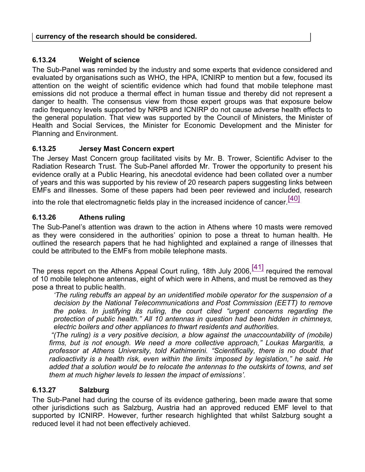## **6.13.24 Weight of science**

The Sub-Panel was reminded by the industry and some experts that evidence considered and evaluated by organisations such as WHO, the HPA, ICNIRP to mention but a few, focused its attention on the weight of scientific evidence which had found that mobile telephone mast emissions did not produce a thermal effect in human tissue and thereby did not represent a danger to health. The consensus view from those expert groups was that exposure below radio frequency levels supported by NRPB and ICNIRP do not cause adverse health effects to the general population. That view was supported by the Council of Ministers, the Minister of Health and Social Services, the Minister for Economic Development and the Minister for Planning and Environment.

#### **6.13.25 Jersey Mast Concern expert**

The Jersey Mast Concern group facilitated visits by Mr. B. Trower, Scientific Adviser to the Radiation Research Trust. The Sub-Panel afforded Mr. Trower the opportunity to present his evidence orally at a Public Hearing, his anecdotal evidence had been collated over a number of years and this was supported by his review of 20 research papers suggesting links between EMFs and illnesses. Some of these papers had been peer reviewed and included, research

into the role that electromagnetic fields play in the increased incidence of cancer.<sup>[40]</sup>

### **6.13.26 Athens ruling**

The Sub-Panel's attention was drawn to the action in Athens where 10 masts were removed as they were considered in the authorities' opinion to pose a threat to human health. He outlined the research papers that he had highlighted and explained a range of illnesses that could be attributed to the EMFs from mobile telephone masts.

The press report on the Athens Appeal Court ruling, 18th July 2006, $\frac{[41]}{]}$  required the removal of 10 mobile telephone antennas, eight of which were in Athens, and must be removed as they pose a threat to public health.

*'The ruling rebuffs an appeal by an unidentified mobile operator for the suspension of a decision by the National Telecommunications and Post Commission (EETT) to remove the poles. In justifying its ruling, the court cited "urgent concerns regarding the protection of public health." All 10 antennas in question had been hidden in chimneys, electric boilers and other appliances to thwart residents and authorities.*

*"(The ruling) is a very positive decision, a blow against the unaccountability of (mobile) firms, but is not enough. We need a more collective approach," Loukas Margaritis, a professor at Athens University, told Kathimerini. "Scientifically, there is no doubt that radioactivity is a health risk, even within the limits imposed by legislation," he said. He added that a solution would be to relocate the antennas to the outskirts of towns, and set them at much higher levels to lessen the impact of emissions'.*

#### **6.13.27 Salzburg**

The Sub-Panel had during the course of its evidence gathering, been made aware that some other jurisdictions such as Salzburg, Austria had an approved reduced EMF level to that supported by ICNIRP. However, further research highlighted that whilst Salzburg sought a reduced level it had not been effectively achieved.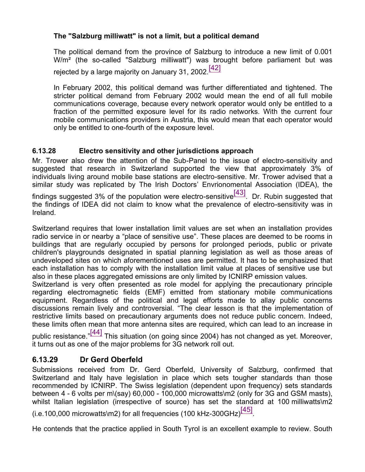# **The "Salzburg milliwatt" is not a limit, but a political demand**

The political demand from the province of Salzburg to introduce a new limit of 0.001 W/m² (the so-called "Salzburg milliwatt") was brought before parliament but was rejected by a large majority on January 31, 2002.<sup>[42]</sup>

In February 2002, this political demand was further differentiated and tightened. The stricter political demand from February 2002 would mean the end of all full mobile communications coverage, because every network operator would only be entitled to a fraction of the permitted exposure level for its radio networks. With the current four mobile communications providers in Austria, this would mean that each operator would only be entitled to one-fourth of the exposure level.

# **6.13.28 Electro sensitivity and other jurisdictions approach**

Mr. Trower also drew the attention of the Sub-Panel to the issue of electro-sensitivity and suggested that research in Switzerland supported the view that approximately 3% of individuals living around mobile base stations are electro-sensitive. Mr. Trower advised that a similar study was replicated by The Irish Doctors' Envrionomental Association (IDEA), the findings suggested 3% of the population were electro-sensitive<sup>[43]</sup>. Dr. Rubin suggested that

the findings of IDEA did not claim to know what the prevalence of electro-sensitivity was in Ireland.

Switzerland requires that lower installation limit values are set when an installation provides radio service in or nearby a "place of sensitive use". These places are deemed to be rooms in buildings that are regularly occupied by persons for prolonged periods, public or private children's playgrounds designated in spatial planning legislation as well as those areas of undeveloped sites on which aforementioned uses are permitted. It has to be emphasized that each installation has to comply with the installation limit value at places of sensitive use but also in these places aggregated emissions are only limited by ICNIRP emission values.

Switzerland is very often presented as role model for applying the precautionary principle regarding electromagnetic fields (EMF) emitted from stationary mobile communications equipment. Regardless of the political and legal efforts made to allay public concerns discussions remain lively and controversial. "The clear lesson is that the implementation of restrictive limits based on precautionary arguments does not reduce public concern. Indeed, these limits often mean that more antenna sites are required, which can lead to an increase in

public resistance."<sup>[44]</sup> This situation (on going since 2004) has not changed as yet. Moreover, it turns out as one of the major problems for 3G network roll out.

# **6.13.29 Dr Gerd Oberfeld**

Submissions received from Dr. Gerd Oberfeld, University of Salzburg, confirmed that Switzerland and Italy have legislation in place which sets tougher standards than those recommended by ICNIRP. The Swiss legislation (dependent upon frequency) sets standards between 4 - 6 volts per m\(say) 60,000 - 100,000 microwatts\m2 (only for 3G and GSM masts), whilst Italian legislation (irrespective of source) has set the standard at 100 milliwatts\m2

(i.e.100,000 microwatts\m2) for all frequencies (100 kHz-300GHz) $^{[45]}$ .

He contends that the practice applied in South Tyrol is an excellent example to review. South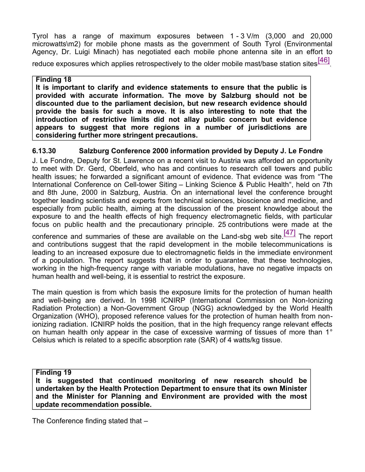Tyrol has a range of maximum exposures between 1 - 3 V/m (3,000 and 20,000 microwatts\m2) for mobile phone masts as the government of South Tyrol (Environmental Agency, Dr. Luigi Minach) has negotiated each mobile phone antenna site in an effort to

reduce exposures which applies retrospectively to the older mobile mast/base station sites $^{\text{[46]}}$ 

#### **Finding 18**

**It is important to clarify and evidence statements to ensure that the public is provided with accurate information. The move by Salzburg should not be discounted due to the parliament decision, but new research evidence should provide the basis for such a move. It is also interesting to note that the introduction of restrictive limits did not allay public concern but evidence appears to suggest that more regions in a number of jurisdictions are considering further more stringent precautions.**

## **6.13.30 Salzburg Conference 2000 information provided by Deputy J. Le Fondre**

J. Le Fondre, Deputy for St. Lawrence on a recent visit to Austria was afforded an opportunity to meet with Dr. Gerd, Oberfeld, who has and continues to research cell towers and public health issues; he forwarded a significant amount of evidence. That evidence was from "The International Conference on Cell-tower Siting – Linking Science & Public Health", held on 7th and 8th June, 2000 in Salzburg, Austria. On an international level the conference brought together leading scientists and experts from technical sciences, bioscience and medicine, and especially from public health, aiming at the discussion of the present knowledge about the exposure to and the health effects of high frequency electromagnetic fields, with particular focus on public health and the precautionary principle. 25 contributions were made at the

conference and summaries of these are available on the Land-sbg web site. $\frac{[47]}{[47]}$  The report and contributions suggest that the rapid development in the mobile telecommunications is leading to an increased exposure due to electromagnetic fields in the immediate environment of a population. The report suggests that in order to guarantee, that these technologies, working in the high-frequency range with variable modulations, have no negative impacts on human health and well-being, it is essential to restrict the exposure.

The main question is from which basis the exposure limits for the protection of human health and well-being are derived. In 1998 ICNIRP (International Commission on Non-Ionizing Radiation Protection) a Non-Government Group (NGG) acknowledged by the World Health Organization (WHO), proposed reference values for the protection of human health from nonionizing radiation. ICNIRP holds the position, that in the high frequency range relevant effects on human health only appear in the case of excessive warming of tissues of more than 1° Celsius which is related to a specific absorption rate (SAR) of 4 watts/kg tissue.

**Finding 19**

**It is suggested that continued monitoring of new research should be undertaken by the Health Protection Department to ensure that its own Minister and the Minister for Planning and Environment are provided with the most update recommendation possible.**

The Conference finding stated that –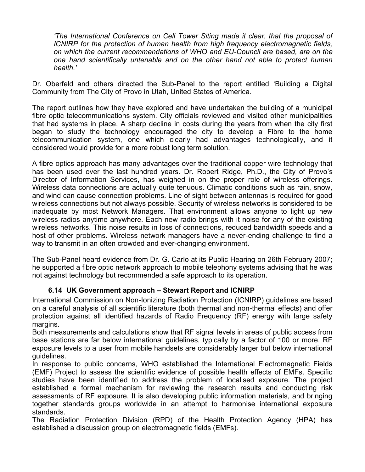*'The International Conference on Cell Tower Siting made it clear, that the proposal of ICNIRP for the protection of human health from high frequency electromagnetic fields, on which the current recommendations of WHO and EU-Council are based, are on the one hand scientifically untenable and on the other hand not able to protect human health.'*

Dr. Oberfeld and others directed the Sub-Panel to the report entitled 'Building a Digital Community from The City of Provo in Utah, United States of America.

The report outlines how they have explored and have undertaken the building of a municipal fibre optic telecommunications system. City officials reviewed and visited other municipalities that had systems in place. A sharp decline in costs during the years from when the city first began to study the technology encouraged the city to develop a Fibre to the home telecommunication system, one which clearly had advantages technologically, and it considered would provide for a more robust long term solution.

A fibre optics approach has many advantages over the traditional copper wire technology that has been used over the last hundred years. Dr. Robert Ridge, Ph.D., the City of Provo's Director of Information Services, has weighed in on the proper role of wireless offerings. Wireless data connections are actually quite tenuous. Climatic conditions such as rain, snow, and wind can cause connection problems. Line of sight between antennas is required for good wireless connections but not always possible. Security of wireless networks is considered to be inadequate by most Network Managers. That environment allows anyone to light up new wireless radios anytime anywhere. Each new radio brings with it noise for any of the existing wireless networks. This noise results in loss of connections, reduced bandwidth speeds and a host of other problems. Wireless network managers have a never-ending challenge to find a way to transmit in an often crowded and ever-changing environment.

The Sub-Panel heard evidence from Dr. G. Carlo at its Public Hearing on 26th February 2007; he supported a fibre optic network approach to mobile telephony systems advising that he was not against technology but recommended a safe approach to its operation.

## **6.14 UK Government approach – Stewart Report and ICNIRP**

International Commission on Non-Ionizing Radiation Protection (ICNIRP) guidelines are based on a careful analysis of all scientific literature (both thermal and non-thermal effects) and offer protection against all identified hazards of Radio Frequency (RF) energy with large safety margins.

Both measurements and calculations show that RF signal levels in areas of public access from base stations are far below international guidelines, typically by a factor of 100 or more. RF exposure levels to a user from mobile handsets are considerably larger but below international guidelines.

In response to public concerns, WHO established the International Electromagnetic Fields (EMF) Project to assess the scientific evidence of possible health effects of EMFs. Specific studies have been identified to address the problem of localised exposure. The project established a formal mechanism for reviewing the research results and conducting risk assessments of RF exposure. It is also developing public information materials, and bringing together standards groups worldwide in an attempt to harmonise international exposure standards.

The Radiation Protection Division (RPD) of the Health Protection Agency (HPA) has established a discussion group on electromagnetic fields (EMFs).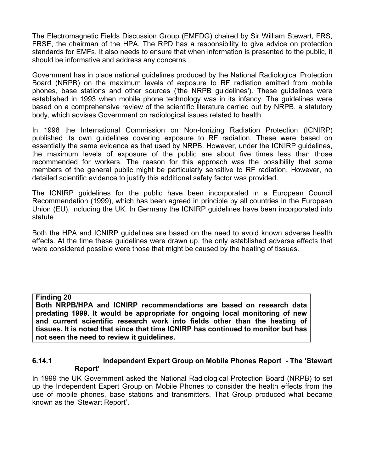The Electromagnetic Fields Discussion Group (EMFDG) chaired by Sir William Stewart, FRS, FRSE, the chairman of the HPA. The RPD has a responsibility to give advice on protection standards for EMFs. It also needs to ensure that when information is presented to the public, it should be informative and address any concerns.

Government has in place national guidelines produced by the National Radiological Protection Board (NRPB) on the maximum levels of exposure to RF radiation emitted from mobile phones, base stations and other sources ('the NRPB guidelines'). These guidelines were established in 1993 when mobile phone technology was in its infancy. The guidelines were based on a comprehensive review of the scientific literature carried out by NRPB, a statutory body, which advises Government on radiological issues related to health.

In 1998 the International Commission on Non-Ionizing Radiation Protection (ICNIRP) published its own guidelines covering exposure to RF radiation. These were based on essentially the same evidence as that used by NRPB. However, under the ICNIRP guidelines, the maximum levels of exposure of the public are about five times less than those recommended for workers. The reason for this approach was the possibility that some members of the general public might be particularly sensitive to RF radiation. However, no detailed scientific evidence to justify this additional safety factor was provided.

The ICNIRP guidelines for the public have been incorporated in a European Council Recommendation (1999), which has been agreed in principle by all countries in the European Union (EU), including the UK. In Germany the ICNIRP guidelines have been incorporated into statute

Both the HPA and ICNIRP guidelines are based on the need to avoid known adverse health effects. At the time these guidelines were drawn up, the only established adverse effects that were considered possible were those that might be caused by the heating of tissues.

#### **Finding 20**

**Both NRPB/HPA and ICNIRP recommendations are based on research data predating 1999. It would be appropriate for ongoing local monitoring of new and current scientific research work into fields other than the heating of tissues. It is noted that since that time ICNIRP has continued to monitor but has not seen the need to review it guidelines.**

#### **6.14.1 Independent Expert Group on Mobile Phones Report - The 'Stewart Report'**

In 1999 the UK Government asked the National Radiological Protection Board (NRPB) to set up the Independent Expert Group on Mobile Phones to consider the health effects from the use of mobile phones, base stations and transmitters. That Group produced what became known as the 'Stewart Report'.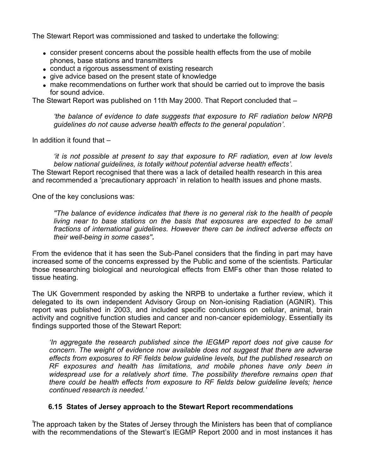The Stewart Report was commissioned and tasked to undertake the following:

- consider present concerns about the possible health effects from the use of mobile phones, base stations and transmitters
- conduct a rigorous assessment of existing research
- give advice based on the present state of knowledge
- make recommendations on further work that should be carried out to improve the basis for sound advice.

The Stewart Report was published on 11th May 2000. That Report concluded that –

*'the balance of evidence to date suggests that exposure to RF radiation below NRPB guidelines do not cause adverse health effects to the general population'*.

In addition it found that –

*'it is not possible at present to say that exposure to RF radiation, even at low levels below national guidelines, is totally without potential adverse health effects'.* The Stewart Report recognised that there was a lack of detailed health research in this area and recommended a 'precautionary approach' in relation to health issues and phone masts.

One of the key conclusions was:

*''The balance of evidence indicates that there is no general risk to the health of people living near to base stations on the basis that exposures are expected to be small fractions of international guidelines. However there can be indirect adverse effects on their well-being in some cases''.*

From the evidence that it has seen the Sub-Panel considers that the finding in part may have increased some of the concerns expressed by the Public and some of the scientists. Particular those researching biological and neurological effects from EMFs other than those related to tissue heating.

The UK Government responded by asking the NRPB to undertake a further review, which it delegated to its own independent Advisory Group on Non-ionising Radiation (AGNIR). This report was published in 2003, and included specific conclusions on cellular, animal, brain activity and cognitive function studies and cancer and non-cancer epidemiology. Essentially its findings supported those of the Stewart Report:

*'In aggregate the research published since the IEGMP report does not give cause for concern. The weight of evidence now available does not suggest that there are adverse effects from exposures to RF fields below guideline levels, but the published research on RF exposures and health has limitations, and mobile phones have only been in widespread use for a relatively short time. The possibility therefore remains open that there could be health effects from exposure to RF fields below guideline levels; hence continued research is needed.'*

#### **6.15 States of Jersey approach to the Stewart Report recommendations**

The approach taken by the States of Jersey through the Ministers has been that of compliance with the recommendations of the Stewart's IEGMP Report 2000 and in most instances it has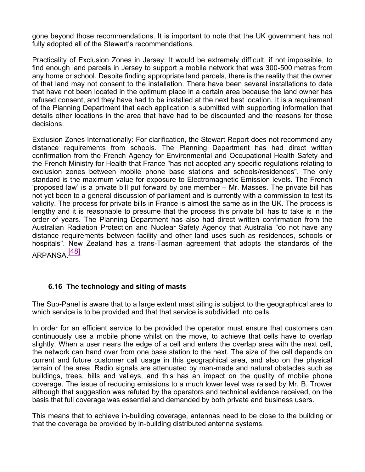gone beyond those recommendations. It is important to note that the UK government has not fully adopted all of the Stewart's recommendations.

Practicality of Exclusion Zones in Jersey: It would be extremely difficult, if not impossible, to find enough land parcels in Jersey to support a mobile network that was 300-500 metres from any home or school. Despite finding appropriate land parcels, there is the reality that the owner of that land may not consent to the installation. There have been several installations to date that have not been located in the optimum place in a certain area because the land owner has refused consent, and they have had to be installed at the next best location. It is a requirement of the Planning Department that each application is submitted with supporting information that details other locations in the area that have had to be discounted and the reasons for those decisions.

Exclusion Zones Internationally: For clarification, the Stewart Report does not recommend any distance requirements from schools. The Planning Department has had direct written confirmation from the French Agency for Environmental and Occupational Health Safety and the French Ministry for Health that France "has not adopted any specific regulations relating to exclusion zones between mobile phone base stations and schools/residences". The only standard is the maximum value for exposure to Electromagnetic Emission levels. The French 'proposed law' is a private bill put forward by one member – Mr. Masses. The private bill has not yet been to a general discussion of parliament and is currently with a commission to test its validity. The process for private bills in France is almost the same as in the UK. The process is lengthy and it is reasonable to presume that the process this private bill has to take is in the order of years. The Planning Department has also had direct written confirmation from the Australian Radiation Protection and Nuclear Safety Agency that Australia "do not have any distance requirements between facility and other land uses such as residences, schools or hospitals". New Zealand has a trans-Tasman agreement that adopts the standards of the ARPANSA<sup>[48]</sup>

## **6.16 The technology and siting of masts**

The Sub-Panel is aware that to a large extent mast siting is subject to the geographical area to which service is to be provided and that that service is subdivided into cells.

In order for an efficient service to be provided the operator must ensure that customers can continuously use a mobile phone whilst on the move, to achieve that cells have to overlap slightly. When a user nears the edge of a cell and enters the overlap area with the next cell, the network can hand over from one base station to the next. The size of the cell depends on current and future customer call usage in this geographical area, and also on the physical terrain of the area. Radio signals are attenuated by man-made and natural obstacles such as buildings, trees, hills and valleys, and this has an impact on the quality of mobile phone coverage. The issue of reducing emissions to a much lower level was raised by Mr. B. Trower although that suggestion was refuted by the operators and technical evidence received, on the basis that full coverage was essential and demanded by both private and business users.

This means that to achieve in-building coverage, antennas need to be close to the building or that the coverage be provided by in-building distributed antenna systems.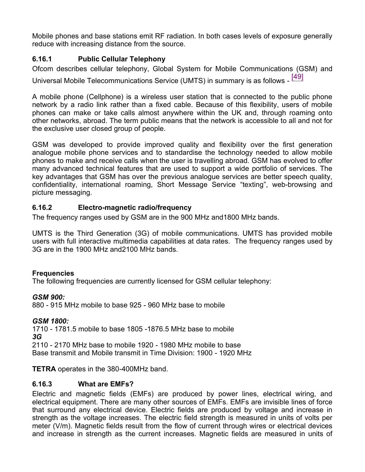Mobile phones and base stations emit RF radiation. In both cases levels of exposure generally reduce with increasing distance from the source.

# **6.16.1 Public Cellular Telephony**

Ofcom describes cellular telephony, Global System for Mobile Communications (GSM) and Universal Mobile Telecommunications Service (UMTS) in summary is as follows - [49]

A mobile phone (Cellphone) is a wireless user station that is connected to the public phone network by a radio link rather than a fixed cable. Because of this flexibility, users of mobile phones can make or take calls almost anywhere within the UK and, through roaming onto other networks, abroad. The term public means that the network is accessible to all and not for the exclusive user closed group of people.

GSM was developed to provide improved quality and flexibility over the first generation analogue mobile phone services and to standardise the technology needed to allow mobile phones to make and receive calls when the user is travelling abroad. GSM has evolved to offer many advanced technical features that are used to support a wide portfolio of services. The key advantages that GSM has over the previous analogue services are better speech quality, confidentiality, international roaming, Short Message Service "texting", web-browsing and picture messaging.

## **6.16.2 Electro-magnetic radio/frequency**

The frequency ranges used by GSM are in the 900 MHz and1800 MHz bands.

UMTS is the Third Generation (3G) of mobile communications. UMTS has provided mobile users with full interactive multimedia capabilities at data rates. The frequency ranges used by 3G are in the 1900 MHz and2100 MHz bands.

## **Frequencies**

The following frequencies are currently licensed for GSM cellular telephony:

## *GSM 900:*

880 - 915 MHz mobile to base 925 - 960 MHz base to mobile

#### *GSM 1800:*

1710 - 1781.5 mobile to base 1805 -1876.5 MHz base to mobile *3G* 2110 - 2170 MHz base to mobile 1920 - 1980 MHz mobile to base Base transmit and Mobile transmit in Time Division: 1900 - 1920 MHz

**TETRA** operates in the 380-400MHz band.

## **6.16.3 What are EMFs?**

Electric and magnetic fields (EMFs) are produced by power lines, electrical wiring, and electrical equipment. There are many other sources of EMFs. EMFs are invisible lines of force that surround any electrical device. Electric fields are produced by voltage and increase in strength as the voltage increases. The electric field strength is measured in units of volts per meter (V/m). Magnetic fields result from the flow of current through wires or electrical devices and increase in strength as the current increases. Magnetic fields are measured in units of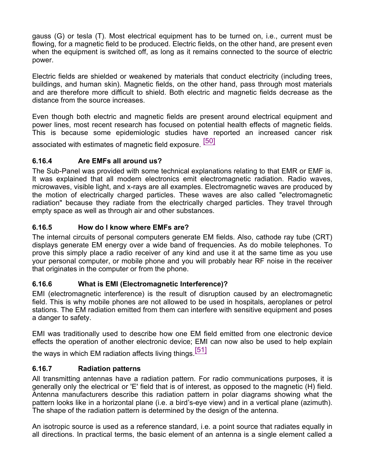gauss (G) or tesla (T). Most electrical equipment has to be turned on, i.e., current must be flowing, for a magnetic field to be produced. Electric fields, on the other hand, are present even when the equipment is switched off, as long as it remains connected to the source of electric power.

Electric fields are shielded or weakened by materials that conduct electricity (including trees, buildings, and human skin). Magnetic fields, on the other hand, pass through most materials and are therefore more difficult to shield. Both electric and magnetic fields decrease as the distance from the source increases.

Even though both electric and magnetic fields are present around electrical equipment and power lines, most recent research has focused on potential health effects of magnetic fields. This is because some epidemiologic studies have reported an increased cancer risk

associated with estimates of magnetic field exposure. [50]

# **6.16.4 Are EMFs all around us?**

The Sub-Panel was provided with some technical explanations relating to that EMR or EMF is. It was explained that all modern electronics emit electromagnetic radiation. Radio waves, microwaves, visible light, and x-rays are all examples. Electromagnetic waves are produced by the motion of electrically charged particles. These waves are also called "electromagnetic radiation" because they radiate from the electrically charged particles. They travel through empty space as well as through air and other substances.

# **6.16.5 How do I know where EMFs are?**

The internal circuits of personal computers generate EM fields. Also, cathode ray tube (CRT) displays generate EM energy over a wide band of frequencies. As do mobile telephones. To prove this simply place a radio receiver of any kind and use it at the same time as you use your personal computer, or mobile phone and you will probably hear RF noise in the receiver that originates in the computer or from the phone.

# **6.16.6 What is EMI (Electromagnetic Interference)?**

EMI (electromagnetic interference) is the result of disruption caused by an electromagnetic field. This is why mobile phones are not allowed to be used in hospitals, aeroplanes or petrol stations. The EM radiation emitted from them can interfere with sensitive equipment and poses a danger to safety.

EMI was traditionally used to describe how one EM field emitted from one electronic device effects the operation of another electronic device; EMI can now also be used to help explain

the ways in which EM radiation affects living things.<sup>[51]</sup>

# **6.16.7 Radiation patterns**

All transmitting antennas have a radiation pattern. For radio communications purposes, it is generally only the electrical or 'E' field that is of interest, as opposed to the magnetic (H) field. Antenna manufacturers describe this radiation pattern in polar diagrams showing what the pattern looks like in a horizontal plane (i.e. a bird's-eye view) and in a vertical plane (azimuth). The shape of the radiation pattern is determined by the design of the antenna.

An isotropic source is used as a reference standard, i.e. a point source that radiates equally in all directions. In practical terms, the basic element of an antenna is a single element called a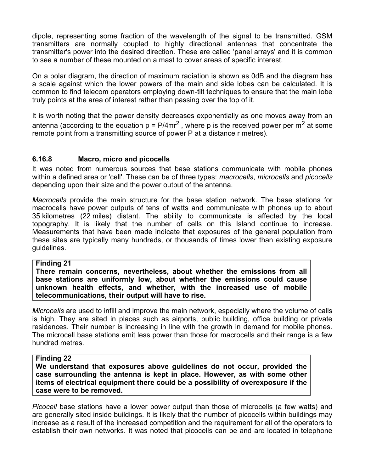dipole, representing some fraction of the wavelength of the signal to be transmitted. GSM transmitters are normally coupled to highly directional antennas that concentrate the transmitter's power into the desired direction. These are called 'panel arrays' and it is common to see a number of these mounted on a mast to cover areas of specific interest.

On a polar diagram, the direction of maximum radiation is shown as 0dB and the diagram has a scale against which the lower powers of the main and side lobes can be calculated. It is common to find telecom operators employing down-tilt techniques to ensure that the main lobe truly points at the area of interest rather than passing over the top of it.

It is worth noting that the power density decreases exponentially as one moves away from an antenna (according to the equation p = P/4 $\pi$ r<sup>2</sup> , where p is the received power per m<sup>2</sup> at some remote point from a transmitting source of power P at a distance r metres).

### **6.16.8 Macro, micro and picocells**

It was noted from numerous sources that base stations communicate with mobile phones within a defined area or 'cell'. These can be of three types: *macrocells*, *microcells* and *picocells* depending upon their size and the power output of the antenna.

*Macrocells* provide the main structure for the base station network. The base stations for macrocells have power outputs of tens of watts and communicate with phones up to about 35 kilometres (22 miles) distant. The ability to communicate is affected by the local topography. It is likely that the number of cells on this Island continue to increase. Measurements that have been made indicate that exposures of the general population from these sites are typically many hundreds, or thousands of times lower than existing exposure guidelines.

#### **Finding 21**

**There remain concerns, nevertheless, about whether the emissions from all base stations are uniformly low, about whether the emissions could cause unknown health effects, and whether, with the increased use of mobile telecommunications, their output will have to rise.**

*Microcells* are used to infill and improve the main network, especially where the volume of calls is high. They are sited in places such as airports, public building, office building or private residences. Their number is increasing in line with the growth in demand for mobile phones. The microcell base stations emit less power than those for macrocells and their range is a few hundred metres.

#### **Finding 22**

**We understand that exposures above guidelines do not occur, provided the case surrounding the antenna is kept in place. However, as with some other items of electrical equipment there could be a possibility of overexposure if the case were to be removed.**

*Picocell* base stations have a lower power output than those of microcells (a few watts) and are generally sited inside buildings. It is likely that the number of picocells within buildings may increase as a result of the increased competition and the requirement for all of the operators to establish their own networks. It was noted that picocells can be and are located in telephone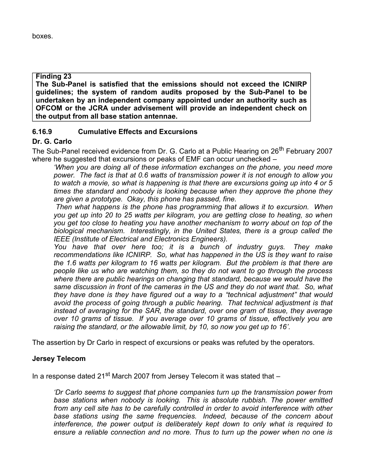#### **Finding 23**

**The Sub-Panel is satisfied that the emissions should not exceed the ICNIRP guidelines; the system of random audits proposed by the Sub-Panel to be undertaken by an independent company appointed under an authority such as OFCOM or the JCRA under advisement will provide an independent check on the output from all base station antennae.**

## **6.16.9 Cumulative Effects and Excursions**

### **Dr. G. Carlo**

The Sub-Panel received evidence from Dr. G. Carlo at a Public Hearing on 26<sup>th</sup> February 2007 where he suggested that excursions or peaks of EMF can occur unchecked –

*'When you are doing all of these information exchanges on the phone, you need more power. The fact is that at 0.6 watts of transmission power it is not enough to allow you to watch a movie, so what is happening is that there are excursions going up into 4 or 5 times the standard and nobody is looking because when they approve the phone they are given a prototype. Okay, this phone has passed, fine.*

*Then what happens is the phone has programming that allows it to excursion. When you get up into 20 to 25 watts per kilogram, you are getting close to heating, so when you get too close to heating you have another mechanism to worry about on top of the biological mechanism. Interestingly, in the United States, there is a group called the IEEE (Institute of Electrical and Electronics Engineers).*

*You have that over here too; it is a bunch of industry guys. They make recommendations like ICNIRP. So, what has happened in the US is they want to raise the 1.6 watts per kilogram to 16 watts per kilogram. But the problem is that there are people like us who are watching them, so they do not want to go through the process where there are public hearings on changing that standard, because we would have the same discussion in front of the cameras in the US and they do not want that. So, what they have done is they have figured out a way to a "technical adjustment" that would avoid the process of going through a public hearing. That technical adjustment is that instead of averaging for the SAR, the standard, over one gram of tissue, they average over 10 grams of tissue. If you average over 10 grams of tissue, effectively you are raising the standard, or the allowable limit, by 10, so now you get up to 16'.*

The assertion by Dr Carlo in respect of excursions or peaks was refuted by the operators.

#### **Jersey Telecom**

In a response dated 21st March 2007 from Jersey Telecom it was stated that *–*

*'Dr Carlo seems to suggest that phone companies turn up the transmission power from base stations when nobody is looking. This is absolute rubbish. The power emitted from any cell site has to be carefully controlled in order to avoid interference with other base stations using the same frequencies. Indeed, because of the concern about interference, the power output is deliberately kept down to only what is required to ensure a reliable connection and no more. Thus to turn up the power when no one is*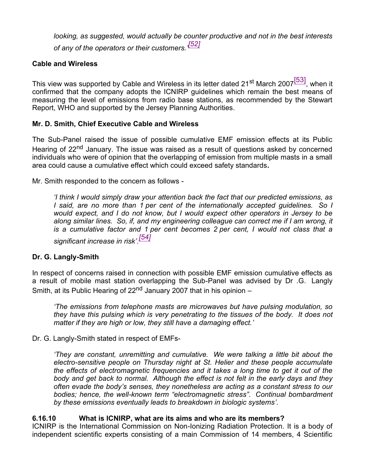*looking, as suggested, would actually be counter productive and not in the best interests of any of the operators or their customers.' [52]*

### **Cable and Wireless**

This view was supported by Cable and Wireless in its letter dated 21<sup>st</sup> March 2007<sup>[53]</sup>, when it confirmed that the company adopts the ICNIRP guidelines which remain the best means of measuring the level of emissions from radio base stations, as recommended by the Stewart Report, WHO and supported by the Jersey Planning Authorities.

#### **Mr. D. Smith, Chief Executive Cable and Wireless**

The Sub-Panel raised the issue of possible cumulative EMF emission effects at its Public Hearing of 22<sup>nd</sup> January. The issue was raised as a result of questions asked by concerned individuals who were of opinion that the overlapping of emission from multiple masts in a small area could cause a cumulative effect which could exceed safety standards**.**

Mr. Smith responded to the concern as follows -

*'I think I would simply draw your attention back the fact that our predicted emissions, as I said, are no more than 1 per cent of the internationally accepted guidelines. So I would expect, and I do not know, but I would expect other operators in Jersey to be along similar lines. So, if, and my engineering colleague can correct me if I am wrong, it is a cumulative factor and 1 per cent becomes 2 per cent, I would not class that a significant increase in risk'. [54]*

#### **Dr. G. Langly-Smith**

In respect of concerns raised in connection with possible EMF emission cumulative effects as a result of mobile mast station overlapping the Sub-Panel was advised by Dr .G. Langly Smith, at its Public Hearing of  $22<sup>nd</sup>$  January 2007 that in his opinion –

*'The emissions from telephone masts are microwaves but have pulsing modulation, so they have this pulsing which is very penetrating to the tissues of the body. It does not matter if they are high or low, they still have a damaging effect.'*

Dr. G. Langly-Smith stated in respect of EMFs-

*'They are constant, unremitting and cumulative. We were talking a little bit about the electro-sensitive people on Thursday night at St. Helier and these people accumulate the effects of electromagnetic frequencies and it takes a long time to get it out of the body and get back to normal. Although the effect is not felt in the early days and they often evade the body's senses, they nonetheless are acting as a constant stress to our bodies; hence, the well-known term "electromagnetic stress". Continual bombardment by these emissions eventually leads to breakdown in biologic systems'.*

#### **6.16.10 What is ICNIRP, what are its aims and who are its members?**

ICNIRP is the International Commission on Non-Ionizing Radiation Protection. It is a body of independent scientific experts consisting of a main Commission of 14 members, 4 Scientific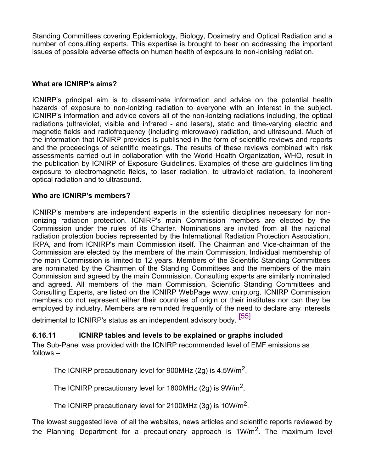Standing Committees covering Epidemiology, Biology, Dosimetry and Optical Radiation and a number of consulting experts. This expertise is brought to bear on addressing the important issues of possible adverse effects on human health of exposure to non-ionising radiation.

## **What are ICNIRP's aims?**

ICNIRP's principal aim is to disseminate information and advice on the potential health hazards of exposure to non-ionizing radiation to everyone with an interest in the subject. ICNIRP's information and advice covers all of the non-ionizing radiations including, the optical radiations (ultraviolet, visible and infrared - and lasers), static and time-varying electric and magnetic fields and radiofrequency (including microwave) radiation, and ultrasound. Much of the information that ICNIRP provides is published in the form of scientific reviews and reports and the proceedings of scientific meetings. The results of these reviews combined with risk assessments carried out in collaboration with the World Health Organization, WHO, result in the publication by ICNIRP of Exposure Guidelines. Examples of these are guidelines limiting exposure to electromagnetic fields, to laser radiation, to ultraviolet radiation, to incoherent optical radiation and to ultrasound.

## **Who are ICNIRP's members?**

ICNIRP's members are independent experts in the scientific disciplines necessary for nonionizing radiation protection. ICNIRP's main Commission members are elected by the Commission under the rules of its Charter. Nominations are invited from all the national radiation protection bodies represented by the International Radiation Protection Association, IRPA, and from ICNIRP's main Commission itself. The Chairman and Vice-chairman of the Commission are elected by the members of the main Commission. Individual membership of the main Commission is limited to 12 years. Members of the Scientific Standing Committees are nominated by the Chairmen of the Standing Committees and the members of the main Commission and agreed by the main Commission. Consulting experts are similarly nominated and agreed. All members of the main Commission, Scientific Standing Committees and Consulting Experts, are listed on the ICNIRP WebPage [www.icnirp.org.](www.icnirp.org) ICNIRP Commission members do not represent either their countries of origin or their institutes nor can they be employed by industry. Members are reminded frequently of the need to declare any interests

detrimental to ICNIRP's status as an independent advisory body. [55]

## **6.16.11 ICNIRP tables and levels to be explained or graphs included**

The Sub-Panel was provided with the ICNIRP recommended level of EMF emissions as follows –

The ICNIRP precautionary level for 900MHz (2g) is 4.5W/m<sup>2</sup>,

The ICNIRP precautionary level for 1800MHz (2g) is  $9W/m^2$ ,

The ICNIRP precautionary level for 2100MHz (3g) is 10W/m<sup>2</sup>.

The lowest suggested level of all the websites, news articles and scientific reports reviewed by the Planning Department for a precautionary approach is 1W/m<sup>2</sup>. The maximum level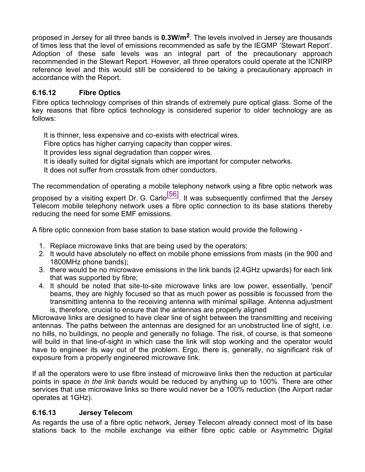proposed in Jersey for all three bands is **0.3W/m<sup>2</sup>** . The levels involved in Jersey are thousands of times less that the level of emissions recommended as safe by the IEGMP 'Stewart Report'. Adoption of these safe levels was an integral part of the precautionary approach recommended in the Stewart Report. However, all three operators could operate at the ICNIRP reference level and this would still be considered to be taking a precautionary approach in accordance with the Report.

## **6.16.12 Fibre Optics**

Fibre optics technology comprises of thin strands of extremely pure optical glass. Some of the key reasons that fibre optics technology is considered superior to older technology are as follows:

It is thinner, less expensive and co-exists with electrical wires.

Fibre optics has higher carrying capacity than copper wires.

It provides less signal degradation than copper wires.

It is ideally suited for digital signals which are important for computer networks.

It does not suffer from crosstalk from other conductors.

The recommendation of operating a mobile telephony network using a fibre optic network was

proposed by a visiting expert Dr. G. Carlo $\frac{[56]}{[56]}$ . It was subsequently confirmed that the Jersey Telecom mobile telephony network uses a fibre optic connection to its base stations thereby reducing the need for some EMF emissions.

A fibre optic connexion from base station to base station would provide the following -

- 1. Replace microwave links that are being used by the operators;
- 2. It would have absolutely no effect on mobile phone emissions from masts (in the 900 and 1800MHz phone bands);
- 3. there would be no microwave emissions in the link bands (2.4GHz upwards) for each link that was supported by fibre;
- 4. It should be noted that site-to-site microwave links are low power, essentially, 'pencil' beams, they are highly focused so that as much power as possible is focussed from the transmitting antenna to the receiving antenna with minimal spillage. Antenna adjustment is, therefore, crucial to ensure that the antennas are properly aligned

Microwave links are designed to have clear line of sight between the transmitting and receiving antennas. The paths between the antennas are designed for an unobstructed line of sight, i.e. no hills, no buildings, no people and generally no foliage. The risk, of course, is that someone will build in that line-of-sight in which case the link will stop working and the operator would have to engineer its way out of the problem. Ergo, there is, generally, no significant risk of exposure from a properly engineered microwave link.

If all the operators were to use fibre instead of microwave links then the reduction at particular points in space *in the link bands* would be reduced by anything up to 100%. There are other services that use microwave links so there would never be a 100% reduction (the Airport radar operates at 1GHz).

## **6.16.13 Jersey Telecom**

As regards the use of a fibre optic network, Jersey Telecom already connect most of its base stations back to the mobile exchange via either fibre optic cable or Asymmetric Digital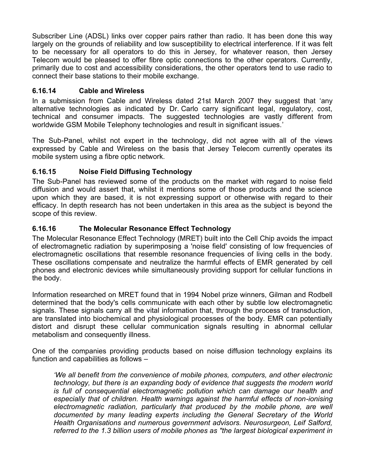Subscriber Line (ADSL) links over copper pairs rather than radio. It has been done this way largely on the grounds of reliability and low susceptibility to electrical interference. If it was felt to be necessary for all operators to do this in Jersey, for whatever reason, then Jersey Telecom would be pleased to offer fibre optic connections to the other operators. Currently, primarily due to cost and accessibility considerations, the other operators tend to use radio to connect their base stations to their mobile exchange.

## **6.16.14 Cable and Wireless**

In a submission from Cable and Wireless dated 21st March 2007 they suggest that 'any alternative technologies as indicated by Dr. Carlo carry significant legal, regulatory, cost, technical and consumer impacts. The suggested technologies are vastly different from worldwide GSM Mobile Telephony technologies and result in significant issues.'

The Sub-Panel, whilst not expert in the technology, did not agree with all of the views expressed by Cable and Wireless on the basis that Jersey Telecom currently operates its mobile system using a fibre optic network.

## **6.16.15 Noise Field Diffusing Technology**

The Sub-Panel has reviewed some of the products on the market with regard to noise field diffusion and would assert that, whilst it mentions some of those products and the science upon which they are based, it is not expressing support or otherwise with regard to their efficacy. In depth research has not been undertaken in this area as the subject is beyond the scope of this review.

## **6.16.16 The Molecular Resonance Effect Technology**

The Molecular Resonance Effect Technology (MRET) built into the Cell Chip avoids the impact of electromagnetic radiation by superimposing a 'noise field' consisting of low frequencies of electromagnetic oscillations that resemble resonance frequencies of living cells in the body. These oscillations compensate and neutralize the harmful effects of EMR generated by cell phones and electronic devices while simultaneously providing support for cellular functions in the body.

Information researched on MRET found that in 1994 Nobel prize winners, Gilman and Rodbell determined that the body's cells communicate with each other by subtle low electromagnetic signals. These signals carry all the vital information that, through the process of transduction, are translated into biochemical and physiological processes of the body. EMR can potentially distort and disrupt these cellular communication signals resulting in abnormal cellular metabolism and consequently illness.

One of the companies providing products based on noise diffusion technology explains its function and capabilities as follows –

*'We all benefit from the convenience of mobile phones, computers, and other electronic technology, but there is an expanding body of evidence that suggests the modern world is full of consequential electromagnetic pollution which can damage our health and especially that of children. Health warnings against the harmful effects of non-ionising electromagnetic radiation, particularly that produced by the mobile phone, are well documented by many leading experts including the General Secretary of the World Health Organisations and numerous government advisors. Neurosurgeon, Leif Salford, referred to the 1.3 billion users of mobile phones as "the largest biological experiment in*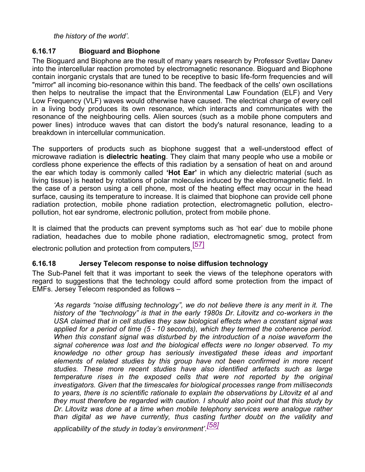#### *the history of the world'.*

## **6.16.17 Bioguard and Biophone**

The Bioguard and Biophone are the result of many years research by Professor Svetlav Danev into the intercellular reaction promoted by electromagnetic resonance. Bioguard and Biophone contain inorganic crystals that are tuned to be receptive to basic life-form frequencies and will "mirror" all incoming bio-resonance within this band. The feedback of the cells' own oscillations then helps to neutralise the impact that the Environmental Law Foundation (ELF) and Very Low Frequency (VLF) waves would otherwise have caused. The electrical charge of every cell in a living body produces its own resonance, which interacts and communicates with the resonance of the neighbouring cells. Alien sources (such as a mobile phone computers and power lines) introduce waves that can distort the body's natural resonance, leading to a breakdown in intercellular communication.

The supporters of products such as biophone suggest that a well-understood effect of microwave radiation is **dielectric heating**. They claim that many people who use a mobile or cordless phone experience the effects of this radiation by a sensation of heat on and around the ear which today is commonly called **'Hot Ear'** in which any dielectric material (such as living tissue) is heated by rotations of polar molecules induced by the electromagnetic field. In the case of a person using a cell phone, most of the heating effect may occur in the head surface, causing its temperature to increase. It is claimed that biophone can provide cell phone radiation protection, mobile phone radiation protection, electromagnetic pollution, electropollution, hot ear syndrome, electronic pollution, protect from mobile phone.

It is claimed that the products can prevent symptoms such as 'hot ear' due to mobile phone radiation, headaches due to mobile phone radiation, electromagnetic smog, protect from

electronic pollution and protection from computers.<sup>[57]</sup>

## **6.16.18 Jersey Telecom response to noise diffusion technology**

The Sub-Panel felt that it was important to seek the views of the telephone operators with regard to suggestions that the technology could afford some protection from the impact of EMFs. Jersey Telecom responded as follows –

*'As regards "noise diffusing technology", we do not believe there is any merit in it. The history of the "technology" is that in the early 1980s Dr. Litovitz and co-workers in the USA claimed that in cell studies they saw biological effects when a constant signal was applied for a period of time (5 - 10 seconds), which they termed the coherence period. When this constant signal was disturbed by the introduction of a noise waveform the signal coherence was lost and the biological effects were no longer observed. To my knowledge no other group has seriously investigated these ideas and important elements of related studies by this group have not been confirmed in more recent studies. These more recent studies have also identified artefacts such as large temperature rises in the exposed cells that were not reported by the original investigators. Given that the timescales for biological processes range from milliseconds to years, there is no scientific rationale to explain the observations by Litovitz et al and they must therefore be regarded with caution. I should also point out that this study by Dr. Litovitz was done at a time when mobile telephony services were analogue rather than digital as we have currently, thus casting further doubt on the validity and applicability of the study in today's environment'. [58]*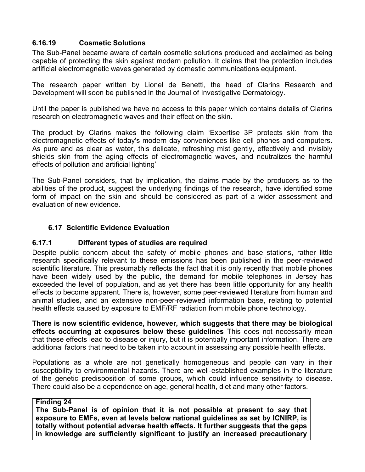## **6.16.19 Cosmetic Solutions**

The Sub-Panel became aware of certain cosmetic solutions produced and acclaimed as being capable of protecting the skin against modern pollution. It claims that the protection includes artificial electromagnetic waves generated by domestic communications equipment.

The research paper written by Lionel de Benetti, the head of Clarins Research and Development will soon be published in the Journal of Investigative Dermatology.

Until the paper is published we have no access to this paper which contains details of Clarins research on electromagnetic waves and their effect on the skin.

The product by Clarins makes the following claim 'Expertise 3P protects skin from the electromagnetic effects of today's modern day conveniences like cell phones and computers. As pure and as clear as water, this delicate, refreshing mist gently, effectively and invisibly shields skin from the aging effects of electromagnetic waves, and neutralizes the harmful effects of pollution and artificial lighting'

The Sub-Panel considers, that by implication, the claims made by the producers as to the abilities of the product, suggest the underlying findings of the research, have identified some form of impact on the skin and should be considered as part of a wider assessment and evaluation of new evidence.

### **6.17 Scientific Evidence Evaluation**

### **6.17.1 Different types of studies are required**

Despite public concern about the safety of mobile phones and base stations, rather little research specifically relevant to these emissions has been published in the peer-reviewed scientific literature. This presumably reflects the fact that it is only recently that mobile phones have been widely used by the public, the demand for mobile telephones in Jersey has exceeded the level of population, and as yet there has been little opportunity for any health effects to become apparent. There is, however, some peer-reviewed literature from human and animal studies, and an extensive non-peer-reviewed information base, relating to potential health effects caused by exposure to EMF/RF radiation from mobile phone technology.

**There is now scientific evidence, however, which suggests that there may be biological effects occurring at exposures below these guidelines** This does not necessarily mean that these effects lead to disease or injury, but it is potentially important information. There are additional factors that need to be taken into account in assessing any possible health effects.

Populations as a whole are not genetically homogeneous and people can vary in their susceptibility to environmental hazards. There are well-established examples in the literature of the genetic predisposition of some groups, which could influence sensitivity to disease. There could also be a dependence on age, general health, diet and many other factors.

### **Finding 24**

**The Sub-Panel is of opinion that it is not possible at present to say that exposure to EMFs, even at levels below national guidelines as set by ICNIRP, is totally without potential adverse health effects. It further suggests that the gaps in knowledge are sufficiently significant to justify an increased precautionary**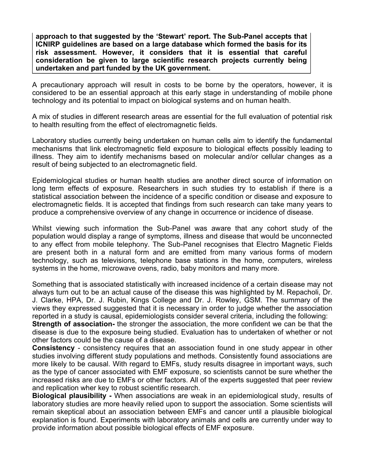**approach to that suggested by the 'Stewart' report. The Sub-Panel accepts that ICNIRP guidelines are based on a large database which formed the basis for its risk assessment. However, it considers that it is essential that careful consideration be given to large scientific research projects currently being undertaken and part funded by the UK government.**

A precautionary approach will result in costs to be borne by the operators, however, it is considered to be an essential approach at this early stage in understanding of mobile phone technology and its potential to impact on biological systems and on human health.

A mix of studies in different research areas are essential for the full evaluation of potential risk to health resulting from the effect of electromagnetic fields.

Laboratory studies currently being undertaken on human cells aim to identify the fundamental mechanisms that link electromagnetic field exposure to biological effects possibly leading to illness. They aim to identify mechanisms based on molecular and/or cellular changes as a result of being subjected to an electromagnetic field.

Epidemiological studies or human health studies are another direct source of information on long term effects of exposure. Researchers in such studies try to establish if there is a statistical association between the incidence of a specific condition or disease and exposure to electromagnetic fields. It is accepted that findings from such research can take many years to produce a comprehensive overview of any change in occurrence or incidence of disease.

Whilst viewing such information the Sub-Panel was aware that any cohort study of the population would display a range of symptoms, illness and disease that would be unconnected to any effect from mobile telephony. The Sub-Panel recognises that Electro Magnetic Fields are present both in a natural form and are emitted from many various forms of modern technology, such as televisions, telephone base stations in the home, computers, wireless systems in the home, microwave ovens, radio, baby monitors and many more.

Something that is associated statistically with increased incidence of a certain disease may not always turn out to be an actual cause of the disease this was highlighted by M. Repacholi, Dr. J. Clarke, HPA, Dr. J. Rubin, Kings College and Dr. J. Rowley, GSM. The summary of the views they expressed suggested that it is necessary in order to judge whether the association reported in a study is causal, epidemiologists consider several criteria, including the following:

**Strength of association-** the stronger the association, the more confident we can be that the disease is due to the exposure being studied. Evaluation has to undertaken of whether or not other factors could be the cause of a disease.

**Consistency** - consistency requires that an association found in one study appear in other studies involving different study populations and methods. Consistently found associations are more likely to be causal. With regard to EMFs, study results disagree in important ways, such as the type of cancer associated with EMF exposure, so scientists cannot be sure whether the increased risks are due to EMFs or other factors. All of the experts suggested that peer review and replication wher key to robust scientific research.

**Biological plausibility -** When associations are weak in an epidemiological study, results of laboratory studies are more heavily relied upon to support the association. Some scientists will remain skeptical about an association between EMFs and cancer until a plausible biological explanation is found. Experiments with laboratory animals and cells are currently under way to provide information about possible biological effects of EMF exposure.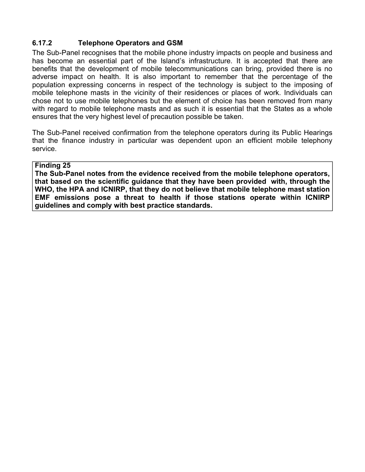## **6.17.2 Telephone Operators and GSM**

The Sub-Panel recognises that the mobile phone industry impacts on people and business and has become an essential part of the Island's infrastructure. It is accepted that there are benefits that the development of mobile telecommunications can bring, provided there is no adverse impact on health. It is also important to remember that the percentage of the population expressing concerns in respect of the technology is subject to the imposing of mobile telephone masts in the vicinity of their residences or places of work. Individuals can chose not to use mobile telephones but the element of choice has been removed from many with regard to mobile telephone masts and as such it is essential that the States as a whole ensures that the very highest level of precaution possible be taken.

The Sub-Panel received confirmation from the telephone operators during its Public Hearings that the finance industry in particular was dependent upon an efficient mobile telephony service.

#### **Finding 25**

**The Sub-Panel notes from the evidence received from the mobile telephone operators, that based on the scientific guidance that they have been provided with, through the WHO, the HPA and ICNIRP, that they do not believe that mobile telephone mast station EMF emissions pose a threat to health if those stations operate within ICNIRP guidelines and comply with best practice standards.**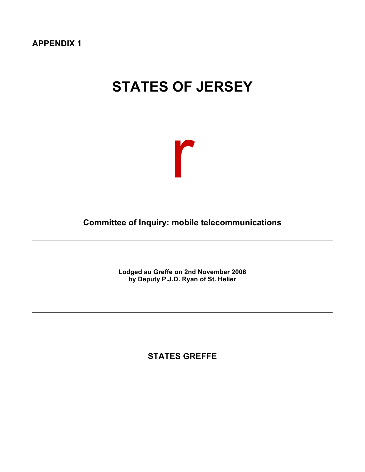**APPENDIX 1**

# **STATES OF JERSEY**



**Committee of Inquiry: mobile telecommunications**

**Lodged au Greffe on 2nd November 2006 by Deputy P.J.D. Ryan of St. Helier**

**STATES GREFFE**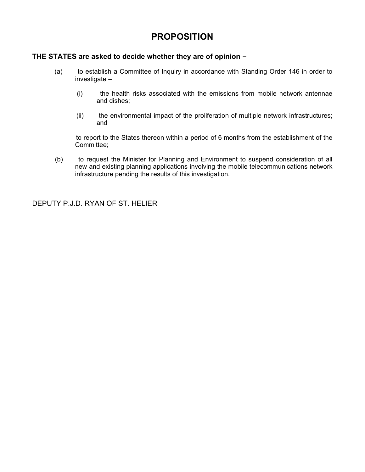## **PROPOSITION**

#### **THE STATES are asked to decide whether they are of opinion**

- (a) to establish a Committee of Inquiry in accordance with Standing Order 146 in order to investigate –
	- (i) the health risks associated with the emissions from mobile network antennae and dishes;
	- (ii) the environmental impact of the proliferation of multiple network infrastructures; and

 to report to the States thereon within a period of 6 months from the establishment of the Committee;

 (b) to request the Minister for Planning and Environment to suspend consideration of all new and existing planning applications involving the mobile telecommunications network infrastructure pending the results of this investigation.

DEPUTY P.J.D. RYAN OF ST. HELIER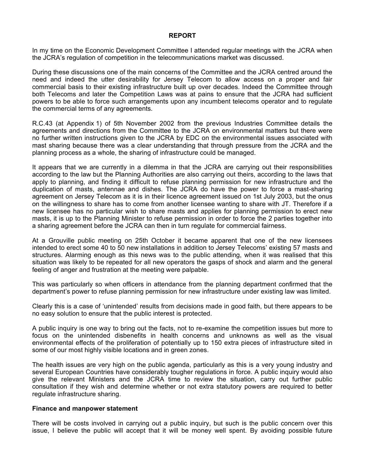#### **REPORT**

In my time on the Economic Development Committee I attended regular meetings with the JCRA when the JCRA's regulation of competition in the telecommunications market was discussed.

During these discussions one of the main concerns of the Committee and the JCRA centred around the need and indeed the utter desirability for Jersey Telecom to allow access on a proper and fair commercial basis to their existing infrastructure built up over decades. Indeed the Committee through both Telecoms and later the Competition Laws was at pains to ensure that the JCRA had sufficient powers to be able to force such arrangements upon any incumbent telecoms operator and to regulate the commercial terms of any agreements.

R.C.43 (at Appendix 1) of 5th November 2002 from the previous Industries Committee details the agreements and directions from the Committee to the JCRA on environmental matters but there were no further written instructions given to the JCRA by EDC on the environmental issues associated with mast sharing because there was a clear understanding that through pressure from the JCRA and the planning process as a whole, the sharing of infrastructure could be managed.

It appears that we are currently in a dilemma in that the JCRA are carrying out their responsibilities according to the law but the Planning Authorities are also carrying out theirs, according to the laws that apply to planning, and finding it difficult to refuse planning permission for new infrastructure and the duplication of masts, antennae and dishes. The JCRA do have the power to force a mast-sharing agreement on Jersey Telecom as it is in their licence agreement issued on 1st July 2003, but the onus on the willingness to share has to come from another licensee wanting to share with JT. Therefore if a new licensee has no particular wish to share masts and applies for planning permission to erect new masts, it is up to the Planning Minister to refuse permission in order to force the 2 parties together into a sharing agreement before the JCRA can then in turn regulate for commercial fairness.

At a Grouville public meeting on 25th October it became apparent that one of the new licensees intended to erect some 40 to 50 new installations in addition to Jersey Telecoms' existing 57 masts and structures. Alarming enough as this news was to the public attending, when it was realised that this situation was likely to be repeated for all new operators the gasps of shock and alarm and the general feeling of anger and frustration at the meeting were palpable.

This was particularly so when officers in attendance from the planning department confirmed that the department's power to refuse planning permission for new infrastructure under existing law was limited.

Clearly this is a case of 'unintended' results from decisions made in good faith, but there appears to be no easy solution to ensure that the public interest is protected.

A public inquiry is one way to bring out the facts, not to re-examine the competition issues but more to focus on the unintended disbenefits in health concerns and unknowns as well as the visual environmental effects of the proliferation of potentially up to 150 extra pieces of infrastructure sited in some of our most highly visible locations and in green zones.

The health issues are very high on the public agenda, particularly as this is a very young industry and several European Countries have considerably tougher regulations in force. A public inquiry would also give the relevant Ministers and the JCRA time to review the situation, carry out further public consultation if they wish and determine whether or not extra statutory powers are required to better regulate infrastructure sharing.

#### **Finance and manpower statement**

There will be costs involved in carrying out a public inquiry, but such is the public concern over this issue, I believe the public will accept that it will be money well spent. By avoiding possible future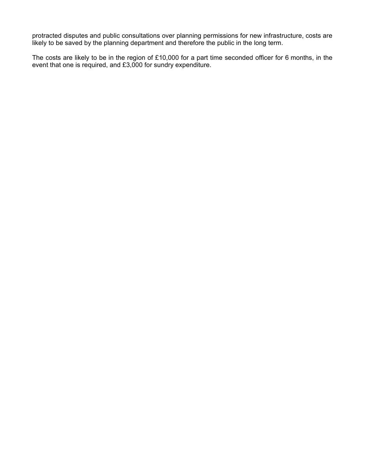protracted disputes and public consultations over planning permissions for new infrastructure, costs are likely to be saved by the planning department and therefore the public in the long term.

The costs are likely to be in the region of £10,000 for a part time seconded officer for 6 months, in the event that one is required, and £3,000 for sundry expenditure.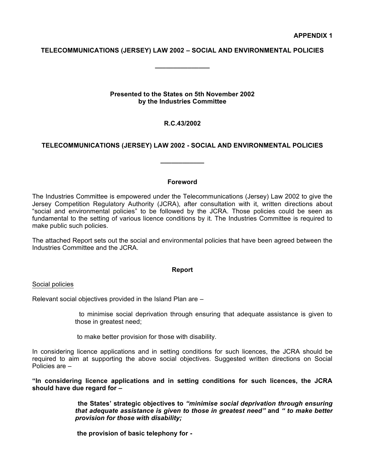#### **TELECOMMUNICATIONS (JERSEY) LAW 2002 – SOCIAL AND ENVIRONMENTAL POLICIES**

**\_\_\_\_\_\_\_\_\_\_\_\_\_\_\_**

#### **Presented to the States on 5th November 2002 by the Industries Committee**

#### **R.C.43/2002**

#### **TELECOMMUNICATIONS (JERSEY) LAW 2002 - SOCIAL AND ENVIRONMENTAL POLICIES**

**\_\_\_\_\_\_\_\_\_\_\_\_**

#### **Foreword**

The Industries Committee is empowered under the Telecommunications (Jersey) Law 2002 to give the Jersey Competition Regulatory Authority (JCRA), after consultation with it, written directions about "social and environmental policies" to be followed by the JCRA. Those policies could be seen as fundamental to the setting of various licence conditions by it. The Industries Committee is required to make public such policies.

The attached Report sets out the social and environmental policies that have been agreed between the Industries Committee and the JCRA.

#### **Report**

Social policies

Relevant social objectives provided in the Island Plan are –

 to minimise social deprivation through ensuring that adequate assistance is given to those in greatest need;

to make better provision for those with disability.

In considering licence applications and in setting conditions for such licences, the JCRA should be required to aim at supporting the above social objectives. Suggested written directions on Social Policies are –

**"In considering licence applications and in setting conditions for such licences, the JCRA should have due regard for –**

> **the States' strategic objectives to** *"minimise social deprivation through ensuring that adequate assistance is given to those in greatest need"* **and** *" to make better provision for those with disability;*

 **the provision of basic telephony for -**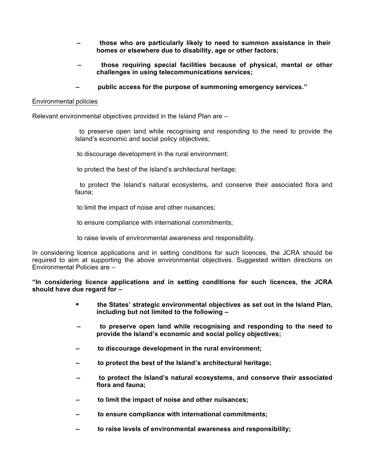- **those who are particularly likely to need to summon assistance in their homes or elsewhere due to disability, age or other factors;**
- **those requiring special facilities because of physical, mental or other challenges in using telecommunications services;**
- **public access for the purpose of summoning emergency services."**

#### Environmental policies

Relevant environmental objectives provided in the Island Plan are –

 to preserve open land while recognising and responding to the need to provide the Island's economic and social policy objectives;

to discourage development in the rural environment;

to protect the best of the Island's architectural heritage;

 to protect the Island's natural ecosystems, and conserve their associated flora and fauna;

to limit the impact of noise and other nuisances;

to ensure compliance with international commitments;

to raise levels of environmental awareness and responsibility.

In considering licence applications and in setting conditions for such licences, the JCRA should be required to aim at supporting the above environmental objectives. Suggested written directions on Environmental Policies are –

**"In considering licence applications and in setting conditions for such licences, the JCRA should have due regard for –**

- **the States' strategic environmental objectives as set out in the Island Plan, including but not limited to the following –**
- **to preserve open land while recognising and responding to the need to provide the Island's economic and social policy objectives;**
- **to discourage development in the rural environment;**
- **to protect the best of the Island's architectural heritage;**
- **to protect the Island's natural ecosystems, and conserve their associated flora and fauna;**
- **to limit the impact of noise and other nuisances;**
- **to ensure compliance with international commitments;**
- **to raise levels of environmental awareness and responsibility;**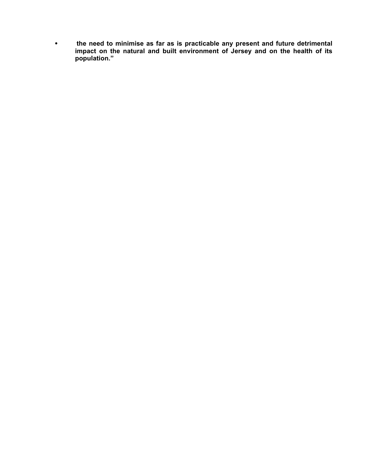**the need to minimise as far as is practicable any present and future detrimental impact on the natural and built environment of Jersey and on the health of its population."**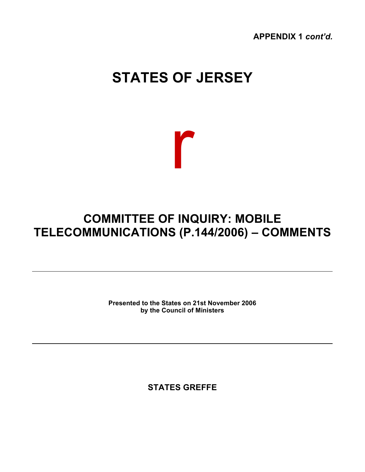**APPENDIX 1** *cont'd.*

# **STATES OF JERSEY**



# **COMMITTEE OF INQUIRY: MOBILE TELECOMMUNICATIONS (P.144/2006) – COMMENTS**

**Presented to the States on 21st November 2006 by the Council of Ministers**

**STATES GREFFE**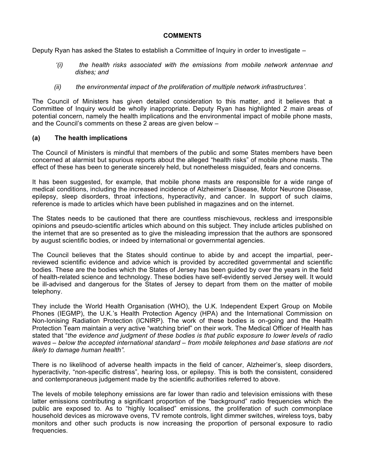#### **COMMENTS**

Deputy Ryan has asked the States to establish a Committee of Inquiry in order to investigate –

- *'(i) the health risks associated with the emissions from mobile network antennae and dishes; and*
- *(ii) the environmental impact of the proliferation of multiple network infrastructures'.*

The Council of Ministers has given detailed consideration to this matter, and it believes that a Committee of Inquiry would be wholly inappropriate. Deputy Ryan has highlighted 2 main areas of potential concern, namely the health implications and the environmental impact of mobile phone masts, and the Council's comments on these 2 areas are given below –

#### **(a) The health implications**

The Council of Ministers is mindful that members of the public and some States members have been concerned at alarmist but spurious reports about the alleged "health risks" of mobile phone masts. The effect of these has been to generate sincerely held, but nonetheless misguided, fears and concerns.

It has been suggested, for example, that mobile phone masts are responsible for a wide range of medical conditions, including the increased incidence of Alzheimer's Disease, Motor Neurone Disease, epilepsy, sleep disorders, throat infections, hyperactivity, and cancer. In support of such claims, reference is made to articles which have been published in magazines and on the internet.

The States needs to be cautioned that there are countless mischievous, reckless and irresponsible opinions and pseudo-scientific articles which abound on this subject. They include articles published on the internet that are so presented as to give the misleading impression that the authors are sponsored by august scientific bodies, or indeed by international or governmental agencies.

The Council believes that the States should continue to abide by and accept the impartial, peerreviewed scientific evidence and advice which is provided by accredited governmental and scientific bodies. These are the bodies which the States of Jersey has been guided by over the years in the field of health-related science and technology. These bodies have self-evidently served Jersey well. It would be ill-advised and dangerous for the States of Jersey to depart from them on the matter of mobile telephony.

They include the World Health Organisation (WHO), the U.K. Independent Expert Group on Mobile Phones (IEGMP), the U.K.'s Health Protection Agency (HPA) and the International Commission on Non-Ionising Radiation Protection (ICNIRP). The work of these bodies is on-going and the Health Protection Team maintain a very active "watching brief" on their work. The Medical Officer of Health has stated that "*the evidence and judgment of these bodies is that public exposure to lower levels of radio waves – below the accepted international standard – from mobile telephones and base stations are not likely to damage human health".*

There is no likelihood of adverse health impacts in the field of cancer, Alzheimer's, sleep disorders, hyperactivity, "non-specific distress", hearing loss, or epilepsy. This is both the consistent, considered and contemporaneous judgement made by the scientific authorities referred to above.

The levels of mobile telephony emissions are far lower than radio and television emissions with these latter emissions contributing a significant proportion of the "background" radio frequencies which the public are exposed to. As to "highly localised" emissions, the proliferation of such commonplace household devices as microwave ovens, TV remote controls, light dimmer switches, wireless toys, baby monitors and other such products is now increasing the proportion of personal exposure to radio frequencies.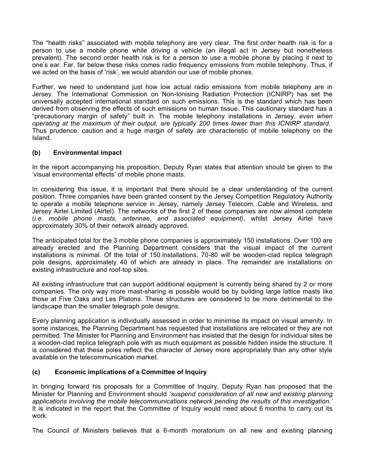The "health risks" associated with mobile telephony are very clear. The first order health risk is for a person to use a mobile phone while driving a vehicle (an illegal act in Jersey but nonetheless prevalent). The second order health risk is for a person to use a mobile phone by placing it next to one's ear. Far, far below these risks comes radio frequency emissions from mobile telephony. Thus, if we acted on the basis of 'risk', we would abandon our use of mobile phones.

Further, we need to understand just how low actual radio emissions from mobile telephony are in Jersey. The International Commission on Non-Ionising Radiation Protection (ICNIRP) has set the universally accepted international standard on such emissions. This is the standard which has been derived from observing the effects of such emissions on human tissue. This cautionary standard has a "precautionary margin of safety" built in. The mobile telephony installations in Jersey, *even when operating at the maximum of their output, are typically 200 times lower than this ICNIRP standard.* Thus prudence, caution and a huge margin of safety are characteristic of mobile telephony on the Island.

#### **(b) Environmental impact**

In the report accompanying his proposition, Deputy Ryan states that attention should be given to the 'visual environmental effects' of mobile phone masts.

In considering this issue, it is important that there should be a clear understanding of the current position. Three companies have been granted consent by the Jersey Competition Regulatory Authority to operate a mobile telephone service in Jersey, namely Jersey Telecom, Cable and Wireless, and Jersey Airtel Limited (Airtel). The networks of the first 2 of these companies are now almost complete (*i.e. mobile phone masts, antennae, and associated equipment)*, whilst Jersey Airtel have approximately 30% of their network already approved.

The anticipated total for the 3 mobile phone companies is approximately 150 installations. Over 100 are already erected and the Planning Department considers that the visual impact of the current installations is minimal. Of the total of 150 installations, 70-80 will be wooden-clad replica telegraph pole designs, approximately 40 of which are already in place. The remainder are installations on existing infrastructure and roof-top sites.

All existing infrastructure that can support additional equipment is currently being shared by 2 or more companies. The only way more mast-sharing is possible would be by building large lattice masts like those at Five Oaks and Les Platons. These structures are considered to be more detrimental to the landscape than the smaller telegraph pole designs.

Every planning application is individually assessed in order to minimise its impact on visual amenity. In some instances, the Planning Department has requested that installations are relocated or they are not permitted. The Minister for Planning and Environment has insisted that the design for individual sites be a wooden-clad replica telegraph pole with as much equipment as possible hidden inside the structure. It is considered that these poles reflect the character of Jersey more appropriately than any other style available on the telecommunication market.

#### **(c) Economic implications of a Committee of Inquiry**

In bringing forward his proposals for a Committee of Inquiry, Deputy Ryan has proposed that the Minister for Planning and Environment should *'suspend consideration of all new and existing planning applications involving the mobile telecommunications network pending the results of this investigation.'* It is indicated in the report that the Committee of Inquiry would need about 6 months to carry out its work.

The Council of Ministers believes that a 6-month moratorium on all new and existing planning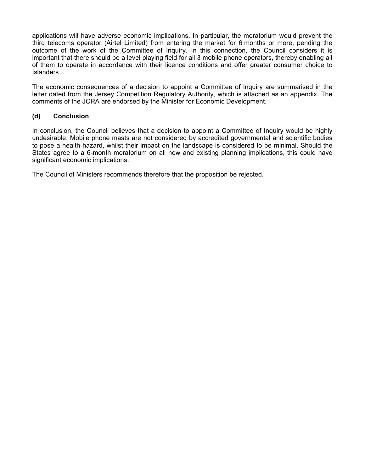applications will have adverse economic implications. In particular, the moratorium would prevent the third telecoms operator (Airtel Limited) from entering the market for 6 months or more, pending the outcome of the work of the Committee of Inquiry. In this connection, the Council considers it is important that there should be a level playing field for all 3 mobile phone operators, thereby enabling all of them to operate in accordance with their licence conditions and offer greater consumer choice to Islanders.

The economic consequences of a decision to appoint a Committee of Inquiry are summarised in the letter dated from the Jersey Competition Regulatory Authority, which is attached as an appendix. The comments of the JCRA are endorsed by the Minister for Economic Development.

#### **(d) Conclusion**

In conclusion, the Council believes that a decision to appoint a Committee of Inquiry would be highly undesirable. Mobile phone masts are not considered by accredited governmental and scientific bodies to pose a health hazard, whilst their impact on the landscape is considered to be minimal. Should the States agree to a 6-month moratorium on all new and existing planning implications, this could have significant economic implications.

The Council of Ministers recommends therefore that the proposition be rejected.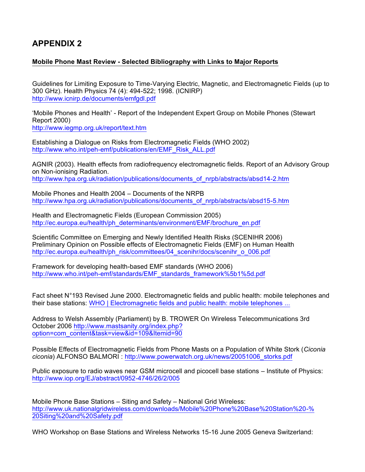## **APPENDIX 2**

#### **Mobile Phone Mast Review - Selected Bibliography with Links to Major Reports**

Guidelines for Limiting Exposure to Time-Varying Electric, Magnetic, and Electromagnetic Fields (up to 300 GHz). Health Physics 74 (4): 494-522; 1998. (ICNIRP) <http://www.icnirp.de/documents/emfgdl.pdf>

'Mobile Phones and Health' - Report of the Independent Expert Group on Mobile Phones (Stewart Report 2000) <http://www.iegmp.org.uk/report/text.htm>

Establishing a Dialogue on Risks from Electromagnetic Fields (WHO 2002) [http://www.who.int/peh-emf/publications/en/EMF\\_Risk\\_ALL.pdf](http://www.who.int/peh-emf/publications/en/EMF_Risk_ALL.pdf)

AGNIR (2003). Health effects from radiofrequency electromagnetic fields. Report of an Advisory Group on Non-ionising Radiation. [http://www.hpa.org.uk/radiation/publications/documents\\_of\\_nrpb/abstracts/absd14-2.htm](http://www.hpa.org.uk/radiation/publications/documents_of_nrpb/abstracts/absd14-2.htm)

Mobile Phones and Health 2004 – Documents of the NRPB [http://www.hpa.org.uk/radiation/publications/documents\\_of\\_nrpb/abstracts/absd15-5.htm](http://www.hpa.org.uk/radiation/publications/documents_of_nrpb/abstracts/absd15-5.htm)

Health and Electromagnetic Fields (European Commission 2005) [http://ec.europa.eu/health/ph\\_determinants/environment/EMF/brochure\\_en.pdf](http://ec.europa.eu/health/ph_determinants/environment/EMF/brochure_en.pdf)

Scientific Committee on Emerging and Newly Identified Health Risks (SCENIHR 2006) Preliminary Opinion on Possible effects of Electromagnetic Fields (EMF) on Human Health [http://ec.europa.eu/health/ph\\_risk/committees/04\\_scenihr/docs/scenihr\\_o\\_006.pdf](http://ec.europa.eu/health/ph_risk/committees/04_scenihr/docs/scenihr_o_006.pdf)

Framework for developing health-based EMF standards (WHO 2006) [http://www.who.int/peh-emf/standards/EMF\\_standards\\_framework%5b1%5d.pdf](http://www.who.int/peh-emf/standards/EMF_standards_framework%5b1%5d.pdf)

Fact sheet N°193 Revised June 2000. Electromagnetic fields and public health: mobile telephones and their base stations: WHO | Electromagnetic fields and public health: mobile telephones ...

Address to Welsh Assembly (Parliament) by B. TROWER On Wireless Telecommunications 3rd October 2006 <http://www.mastsanity.org/index.php>? option=com\_content&task=view&id=109&Itemid=90

Possible Effects of Electromagnetic Fields from Phone Masts on a Population of White Stork (*Ciconia ciconia*) ALFONSO BALMORI : [http://www.powerwatch.org.uk/news/20051006\\_storks.pdf](http://www.powerwatch.org.uk/news/20051006_storks.pdf)

Public exposure to radio waves near GSM microcell and picocell base stations – Institute of Physics: <http://www.iop.org/EJ/abstract/0952-4746/26/2/005>

Mobile Phone Base Stations – Siting and Safety – National Grid Wireless: <http://www.uk.nationalgridwireless.com/downloads/Mobile%20Phone%20Base%20Station%20-%> 20Siting%20and%20Safety.pdf

WHO Workshop on Base Stations and Wireless Networks 15-16 June 2005 Geneva Switzerland: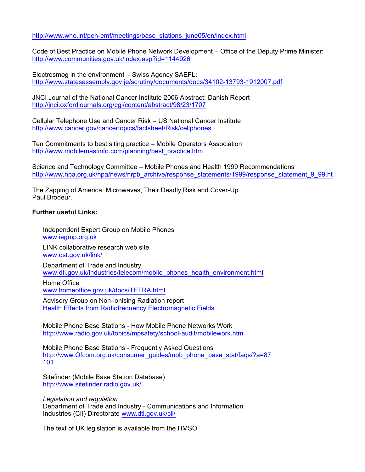[http://www.who.int/peh-emf/meetings/base\\_stations\\_june05/en/index.html](http://www.who.int/peh-emf/meetings/base_stations_june05/en/index.html)

Code of Best Practice on Mobile Phone Network Development – Office of the Deputy Prime Minister: [http://www.communities.gov.uk/index.asp?](http://www.communities.gov.uk/index.asp)id=1144926

Electrosmog in the environment - Swiss Agency SAEFL: <http://www.statesassembly.gov.je/scrutiny/documents/docs/34102-13793-1912007.pdf>

JNCI Journal of the National Cancer Institute 2006 Abstract: Danish Report <http://jnci.oxfordjournals.org/cgi/content/abstract/98/23/1707>

Cellular Telephone Use and Cancer Risk – US National Cancer Institute <http://www.cancer.gov/cancertopics/factsheet/Risk/cellphones>

Ten Commitments to best siting practice – Mobile Operators Association [http://www.mobilemastinfo.com/planning/best\\_practice.htm](http://www.mobilemastinfo.com/planning/best_practice.htm)

Science and Technology Committee – Mobile Phones and Health 1999 Recommendations http://www.hpa.org.uk/hpa/news/nrpb\_archive/response\_statements/1999/response\_statement\_9\_99.ht

The Zapping of America: Microwaves, Their Deadly Risk and Cover-Up Paul Brodeur.

#### **Further useful Links:**

Independent Expert Group on Mobile Phones <www.iegmp.org.uk> LINK collaborative research web site <www.ost.gov.uk/link/> Department of Trade and Industry [www.dti.gov.uk/industries/telecom/mobile\\_phones\\_health\\_environment.html](www.dti.gov.uk/industries/telecom/mobile_phones_health_environment.html) Home Office

<www.homeoffice.gov.uk/docs/TETRA.html>

Advisory Group on Non-ionising Radiation report Health Effects from Radiofrequency Electromagnetic Fields

Mobile Phone Base Stations - How Mobile Phone Networks Work <http://www.radio.gov.uk/topics/mpsafety/school-audit/mobilework.htm>

Mobile Phone Base Stations - Frequently Asked Questions [http://www.Ofcom.org.uk/consumer\\_guides/mob\\_phone\\_base\\_stat/faqs/?](http://www.Ofcom.org.uk/consumer_guides/mob_phone_base_stat/faqs/)a=87 101

Sitefinder (Mobile Base Station Database) <http://www.sitefinder.radio.gov.uk/>

*Legislation and regulation* Department of Trade and Industry - Communications and Information Industries (CII) Directorate <www.dti.gov.uk/cii/>

The text of UK legislation is available from the HMSO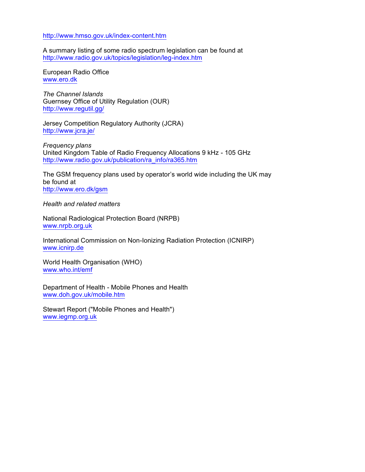#### <http://www.hmso.gov.uk/index-content.htm>

A summary listing of some radio spectrum legislation can be found at <http://www.radio.gov.uk/topics/legislation/leg-index.htm>

European Radio Office <www.ero.dk>

*The Channel Islands* Guernsey Office of Utility Regulation (OUR) <http://www.regutil.gg/>

Jersey Competition Regulatory Authority (JCRA) <http://www.jcra.je/>

*Frequency plans* United Kingdom Table of Radio Frequency Allocations 9 kHz - 105 GHz [http://www.radio.gov.uk/publication/ra\\_info/ra365.htm](http://www.radio.gov.uk/publication/ra_info/ra365.htm)

The GSM frequency plans used by operator's world wide including the UK may be found at <http://www.ero.dk/gsm>

*Health and related matters*

National Radiological Protection Board (NRPB) <www.nrpb.org.uk>

International Commission on Non-Ionizing Radiation Protection (ICNIRP) <www.icnirp.de>

World Health Organisation (WHO) <www.who.int/emf>

Department of Health - Mobile Phones and Health <www.doh.gov.uk/mobile.htm>

Stewart Report ("Mobile Phones and Health") <www.iegmp.org.uk>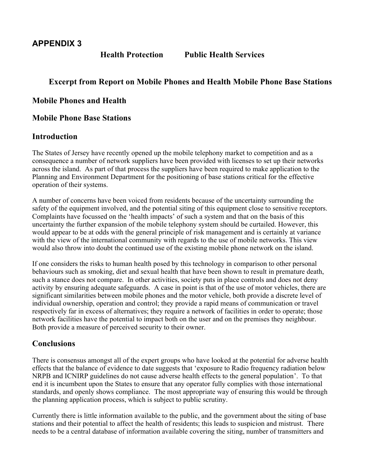**Health Protection Public Health Services**

## **Excerpt from Report on Mobile Phones and Health Mobile Phone Base Stations**

## **Mobile Phones and Health**

## **Mobile Phone Base Stations**

## **Introduction**

The States of Jersey have recently opened up the mobile telephony market to competition and as a consequence a number of network suppliers have been provided with licenses to set up their networks across the island. As part of that process the suppliers have been required to make application to the Planning and Environment Department for the positioning of base stations critical for the effective operation of their systems.

A number of concerns have been voiced from residents because of the uncertainty surrounding the safety of the equipment involved, and the potential siting of this equipment close to sensitive receptors. Complaints have focussed on the 'health impacts' of such a system and that on the basis of this uncertainty the further expansion of the mobile telephony system should be curtailed. However, this would appear to be at odds with the general principle of risk management and is certainly at variance with the view of the international community with regards to the use of mobile networks. This view would also throw into doubt the continued use of the existing mobile phone network on the island.

If one considers the risks to human health posed by this technology in comparison to other personal behaviours such as smoking, diet and sexual health that have been shown to result in premature death, such a stance does not compare. In other activities, society puts in place controls and does not deny activity by ensuring adequate safeguards. A case in point is that of the use of motor vehicles, there are significant similarities between mobile phones and the motor vehicle, both provide a discrete level of individual ownership, operation and control; they provide a rapid means of communication or travel respectively far in excess of alternatives; they require a network of facilities in order to operate; those network facilities have the potential to impact both on the user and on the premises they neighbour. Both provide a measure of perceived security to their owner.

## **Conclusions**

There is consensus amongst all of the expert groups who have looked at the potential for adverse health effects that the balance of evidence to date suggests that 'exposure to Radio frequency radiation below NRPB and ICNIRP guidelines do not cause adverse health effects to the general population'. To that end it is incumbent upon the States to ensure that any operator fully complies with those international standards, and openly shows compliance. The most appropriate way of ensuring this would be through the planning application process, which is subject to public scrutiny.

Currently there is little information available to the public, and the government about the siting of base stations and their potential to affect the health of residents; this leads to suspicion and mistrust. There needs to be a central database of information available covering the siting, number of transmitters and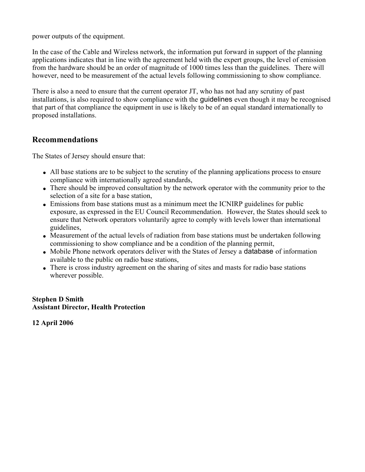power outputs of the equipment.

In the case of the Cable and Wireless network, the information put forward in support of the planning applications indicates that in line with the agreement held with the expert groups, the level of emission from the hardware should be an order of magnitude of 1000 times less than the guidelines. There will however, need to be measurement of the actual levels following commissioning to show compliance.

There is also a need to ensure that the current operator JT, who has not had any scrutiny of past installations, is also required to show compliance with the guidelines even though it may be recognised that part of that compliance the equipment in use is likely to be of an equal standard internationally to proposed installations.

## **Recommendations**

The States of Jersey should ensure that:

- All base stations are to be subject to the scrutiny of the planning applications process to ensure compliance with internationally agreed standards,
- There should be improved consultation by the network operator with the community prior to the selection of a site for a base station,
- Emissions from base stations must as a minimum meet the ICNIRP guidelines for public exposure, as expressed in the EU Council Recommendation. However, the States should seek to ensure that Network operators voluntarily agree to comply with levels lower than international guidelines,
- Measurement of the actual levels of radiation from base stations must be undertaken following commissioning to show compliance and be a condition of the planning permit,
- Mobile Phone network operators deliver with the States of Jersey a **database** of information available to the public on radio base stations,
- There is cross industry agreement on the sharing of sites and masts for radio base stations wherever possible.

#### **Stephen D Smith Assistant Director, Health Protection**

**12 April 2006**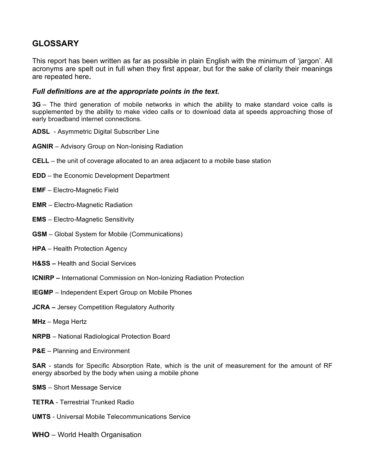## **GLOSSARY**

This report has been written as far as possible in plain English with the minimum of 'jargon'. All acronyms are spelt out in full when they first appear, but for the sake of clarity their meanings are repeated here**.**

#### *Full definitions are at the appropriate points in the text.*

**3G** – The third generation of mobile networks in which the ability to make standard voice calls is supplemented by the ability to make video calls or to download data at speeds approaching those of early broadband internet connections.

- **ADSL** Asymmetric Digital Subscriber Line
- **AGNIR**  Advisory Group on Non-Ionising Radiation
- **CELL** the unit of coverage allocated to an area adjacent to a mobile base station
- **EDD** the Economic Development Department
- **EMF** Electro-Magnetic Field
- **EMR** Electro-Magnetic Radiation
- **EMS** Electro-Magnetic Sensitivity
- **GSM**  Global System for Mobile (Communications)
- **HPA**  Health Protection Agency
- **H&SS –** Health and Social Services
- **ICNIRP** International Commission on Non-Ionizing Radiation Protection
- **IEGMP**  Independent Expert Group on Mobile Phones
- **JCRA –** Jersey Competition Regulatory Authority
- **MHz** Mega Hertz
- **NRPB**  National Radiological Protection Board
- **P&E**  Planning and Environment

**SAR** - stands for Specific Absorption Rate, which is the unit of measurement for the amount of RF energy absorbed by the body when using a mobile phone

- **SMS** Short Message Service
- **TETRA** Terrestrial Trunked Radio
- **UMTS** Universal Mobile Telecommunications Service
- **WHO**  World Health Organisation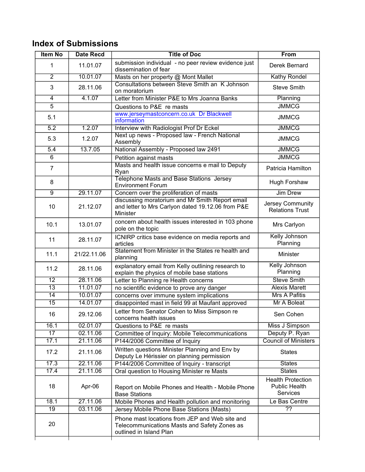## **Index of Submissions**

| submission individual - no peer review evidence just<br>11.01.07<br>1<br>dissemination of fear<br>10.01.07<br>$\overline{2}$<br>Masts on her property @ Mont Mallet<br>Consultations between Steve Smith an K Johnson<br>3<br>28.11.06<br>on moratorium<br>4.1.07<br>Letter from Minister P&E to Mrs Joanna Banks<br>Planning<br>4<br><b>JMMCG</b><br>$\overline{5}$<br>Questions to P&E re masts<br>www.jerseymastconcern.co.uk Dr Blackwell<br>5.1<br><b>JMMCG</b><br>information<br>1.2.07<br>5.2<br><b>JMMCG</b><br>Interview with Radiologist Prof Dr Eckel<br>Next up news - Proposed law - French National<br>5.3<br>1.2.07<br><b>JMMCG</b><br>Assembly<br>13.7.05<br>$\overline{5.4}$<br>National Assembly - Proposed law 2491<br><b>JMMCG</b><br><b>JMMCG</b><br>6<br>Petition against masts<br>Masts and health issue concerns e mail to Deputy<br>$\overline{7}$<br>Ryan<br><b>Telephone Masts and Base Stations Jersey</b><br>8<br><b>Environment Forum</b><br>29.11.07<br>$\overline{9}$<br>Concern over the proliferation of masts<br>discussing moratorium and Mr Smith Report email<br>10<br>and letter to Mrs Carlyon dated 19.12.06 from P&E<br>21.12.07<br>Minister<br>concern about health issues interested in 103 phone<br>10.1<br>13.01.07<br>pole on the topic<br>ICNIRP critics base evidence on media reports and<br>11<br>28.11.07<br>Planning<br>articles<br>Statement from Minister in the States re health and<br>11.1<br>21/22.11.06<br>Minister<br>planning<br>explanatory email from Kelly outlining research to<br>11.2<br>28.11.06<br>Planning<br>explain the physics of mobile base stations<br>$\overline{12}$<br>28.11.06<br>Letter to Planning re Health concerns<br>$\overline{13}$<br>11.01.07<br>no scientific evidence to prove any danger<br>$\overline{14}$<br>10.01.07<br>concerns over immune system implications<br>$\overline{15}$<br>14.01.07<br>disappointed mast in field 99 at Maufant approved<br>Letter from Senator Cohen to Miss Simpson re<br>16<br>29.12.06<br>concerns health issues<br>16.1<br>02.01.07<br>Questions to P&E re masts<br>$\overline{17}$<br>02.11.06<br>Committee of Inquiry: Mobile Telecommunications<br>21.11.06<br>P144/2006 Committee of Inquiry<br>17.1<br>Written questions Minister Planning and Env by<br>21.11.06<br>17.2<br><b>States</b><br>Deputy Le Hérissier on planning permission<br>17.3<br>22.11.06<br>P144/2006 Committee of Inquiry - transcript<br><b>States</b><br>17.4<br>21.11.06<br>Oral question to Housing Minister re Masts<br><b>States</b><br>18<br>Apr-06<br>Report on Mobile Phones and Health - Mobile Phone<br><b>Base Stations</b><br>18.1<br>27.11.06<br>Mobile Phones and Health pollution and monitoring<br>$\overline{19}$<br>03.11.06<br>$\overline{??}$<br>Jersey Mobile Phone Base Stations (Masts) | <b>Item No</b> | <b>Date Recd</b> | <b>Title of Doc</b> | <b>From</b>                                                         |
|----------------------------------------------------------------------------------------------------------------------------------------------------------------------------------------------------------------------------------------------------------------------------------------------------------------------------------------------------------------------------------------------------------------------------------------------------------------------------------------------------------------------------------------------------------------------------------------------------------------------------------------------------------------------------------------------------------------------------------------------------------------------------------------------------------------------------------------------------------------------------------------------------------------------------------------------------------------------------------------------------------------------------------------------------------------------------------------------------------------------------------------------------------------------------------------------------------------------------------------------------------------------------------------------------------------------------------------------------------------------------------------------------------------------------------------------------------------------------------------------------------------------------------------------------------------------------------------------------------------------------------------------------------------------------------------------------------------------------------------------------------------------------------------------------------------------------------------------------------------------------------------------------------------------------------------------------------------------------------------------------------------------------------------------------------------------------------------------------------------------------------------------------------------------------------------------------------------------------------------------------------------------------------------------------------------------------------------------------------------------------------------------------------------------------------------------------------------------------------------------------------------------------------------------------------------------------------------------------------------------------------------------------------------------------------------------------------------------------------------------------------------------------------------------------------------------------|----------------|------------------|---------------------|---------------------------------------------------------------------|
|                                                                                                                                                                                                                                                                                                                                                                                                                                                                                                                                                                                                                                                                                                                                                                                                                                                                                                                                                                                                                                                                                                                                                                                                                                                                                                                                                                                                                                                                                                                                                                                                                                                                                                                                                                                                                                                                                                                                                                                                                                                                                                                                                                                                                                                                                                                                                                                                                                                                                                                                                                                                                                                                                                                                                                                                                            |                |                  |                     | Derek Bernard                                                       |
|                                                                                                                                                                                                                                                                                                                                                                                                                                                                                                                                                                                                                                                                                                                                                                                                                                                                                                                                                                                                                                                                                                                                                                                                                                                                                                                                                                                                                                                                                                                                                                                                                                                                                                                                                                                                                                                                                                                                                                                                                                                                                                                                                                                                                                                                                                                                                                                                                                                                                                                                                                                                                                                                                                                                                                                                                            |                |                  |                     | <b>Kathy Rondel</b>                                                 |
|                                                                                                                                                                                                                                                                                                                                                                                                                                                                                                                                                                                                                                                                                                                                                                                                                                                                                                                                                                                                                                                                                                                                                                                                                                                                                                                                                                                                                                                                                                                                                                                                                                                                                                                                                                                                                                                                                                                                                                                                                                                                                                                                                                                                                                                                                                                                                                                                                                                                                                                                                                                                                                                                                                                                                                                                                            |                |                  |                     | <b>Steve Smith</b>                                                  |
|                                                                                                                                                                                                                                                                                                                                                                                                                                                                                                                                                                                                                                                                                                                                                                                                                                                                                                                                                                                                                                                                                                                                                                                                                                                                                                                                                                                                                                                                                                                                                                                                                                                                                                                                                                                                                                                                                                                                                                                                                                                                                                                                                                                                                                                                                                                                                                                                                                                                                                                                                                                                                                                                                                                                                                                                                            |                |                  |                     |                                                                     |
|                                                                                                                                                                                                                                                                                                                                                                                                                                                                                                                                                                                                                                                                                                                                                                                                                                                                                                                                                                                                                                                                                                                                                                                                                                                                                                                                                                                                                                                                                                                                                                                                                                                                                                                                                                                                                                                                                                                                                                                                                                                                                                                                                                                                                                                                                                                                                                                                                                                                                                                                                                                                                                                                                                                                                                                                                            |                |                  |                     |                                                                     |
|                                                                                                                                                                                                                                                                                                                                                                                                                                                                                                                                                                                                                                                                                                                                                                                                                                                                                                                                                                                                                                                                                                                                                                                                                                                                                                                                                                                                                                                                                                                                                                                                                                                                                                                                                                                                                                                                                                                                                                                                                                                                                                                                                                                                                                                                                                                                                                                                                                                                                                                                                                                                                                                                                                                                                                                                                            |                |                  |                     |                                                                     |
|                                                                                                                                                                                                                                                                                                                                                                                                                                                                                                                                                                                                                                                                                                                                                                                                                                                                                                                                                                                                                                                                                                                                                                                                                                                                                                                                                                                                                                                                                                                                                                                                                                                                                                                                                                                                                                                                                                                                                                                                                                                                                                                                                                                                                                                                                                                                                                                                                                                                                                                                                                                                                                                                                                                                                                                                                            |                |                  |                     |                                                                     |
|                                                                                                                                                                                                                                                                                                                                                                                                                                                                                                                                                                                                                                                                                                                                                                                                                                                                                                                                                                                                                                                                                                                                                                                                                                                                                                                                                                                                                                                                                                                                                                                                                                                                                                                                                                                                                                                                                                                                                                                                                                                                                                                                                                                                                                                                                                                                                                                                                                                                                                                                                                                                                                                                                                                                                                                                                            |                |                  |                     |                                                                     |
|                                                                                                                                                                                                                                                                                                                                                                                                                                                                                                                                                                                                                                                                                                                                                                                                                                                                                                                                                                                                                                                                                                                                                                                                                                                                                                                                                                                                                                                                                                                                                                                                                                                                                                                                                                                                                                                                                                                                                                                                                                                                                                                                                                                                                                                                                                                                                                                                                                                                                                                                                                                                                                                                                                                                                                                                                            |                |                  |                     |                                                                     |
|                                                                                                                                                                                                                                                                                                                                                                                                                                                                                                                                                                                                                                                                                                                                                                                                                                                                                                                                                                                                                                                                                                                                                                                                                                                                                                                                                                                                                                                                                                                                                                                                                                                                                                                                                                                                                                                                                                                                                                                                                                                                                                                                                                                                                                                                                                                                                                                                                                                                                                                                                                                                                                                                                                                                                                                                                            |                |                  |                     |                                                                     |
|                                                                                                                                                                                                                                                                                                                                                                                                                                                                                                                                                                                                                                                                                                                                                                                                                                                                                                                                                                                                                                                                                                                                                                                                                                                                                                                                                                                                                                                                                                                                                                                                                                                                                                                                                                                                                                                                                                                                                                                                                                                                                                                                                                                                                                                                                                                                                                                                                                                                                                                                                                                                                                                                                                                                                                                                                            |                |                  |                     | Patricia Hamilton                                                   |
|                                                                                                                                                                                                                                                                                                                                                                                                                                                                                                                                                                                                                                                                                                                                                                                                                                                                                                                                                                                                                                                                                                                                                                                                                                                                                                                                                                                                                                                                                                                                                                                                                                                                                                                                                                                                                                                                                                                                                                                                                                                                                                                                                                                                                                                                                                                                                                                                                                                                                                                                                                                                                                                                                                                                                                                                                            |                |                  |                     | Hugh Forshaw                                                        |
|                                                                                                                                                                                                                                                                                                                                                                                                                                                                                                                                                                                                                                                                                                                                                                                                                                                                                                                                                                                                                                                                                                                                                                                                                                                                                                                                                                                                                                                                                                                                                                                                                                                                                                                                                                                                                                                                                                                                                                                                                                                                                                                                                                                                                                                                                                                                                                                                                                                                                                                                                                                                                                                                                                                                                                                                                            |                |                  |                     | <b>Jim Drew</b>                                                     |
|                                                                                                                                                                                                                                                                                                                                                                                                                                                                                                                                                                                                                                                                                                                                                                                                                                                                                                                                                                                                                                                                                                                                                                                                                                                                                                                                                                                                                                                                                                                                                                                                                                                                                                                                                                                                                                                                                                                                                                                                                                                                                                                                                                                                                                                                                                                                                                                                                                                                                                                                                                                                                                                                                                                                                                                                                            |                |                  |                     | Jersey Community<br><b>Relations Trust</b>                          |
|                                                                                                                                                                                                                                                                                                                                                                                                                                                                                                                                                                                                                                                                                                                                                                                                                                                                                                                                                                                                                                                                                                                                                                                                                                                                                                                                                                                                                                                                                                                                                                                                                                                                                                                                                                                                                                                                                                                                                                                                                                                                                                                                                                                                                                                                                                                                                                                                                                                                                                                                                                                                                                                                                                                                                                                                                            |                |                  |                     | Mrs Carlyon                                                         |
|                                                                                                                                                                                                                                                                                                                                                                                                                                                                                                                                                                                                                                                                                                                                                                                                                                                                                                                                                                                                                                                                                                                                                                                                                                                                                                                                                                                                                                                                                                                                                                                                                                                                                                                                                                                                                                                                                                                                                                                                                                                                                                                                                                                                                                                                                                                                                                                                                                                                                                                                                                                                                                                                                                                                                                                                                            |                |                  |                     | Kelly Johnson                                                       |
|                                                                                                                                                                                                                                                                                                                                                                                                                                                                                                                                                                                                                                                                                                                                                                                                                                                                                                                                                                                                                                                                                                                                                                                                                                                                                                                                                                                                                                                                                                                                                                                                                                                                                                                                                                                                                                                                                                                                                                                                                                                                                                                                                                                                                                                                                                                                                                                                                                                                                                                                                                                                                                                                                                                                                                                                                            |                |                  |                     |                                                                     |
|                                                                                                                                                                                                                                                                                                                                                                                                                                                                                                                                                                                                                                                                                                                                                                                                                                                                                                                                                                                                                                                                                                                                                                                                                                                                                                                                                                                                                                                                                                                                                                                                                                                                                                                                                                                                                                                                                                                                                                                                                                                                                                                                                                                                                                                                                                                                                                                                                                                                                                                                                                                                                                                                                                                                                                                                                            |                |                  |                     | Kelly Johnson                                                       |
|                                                                                                                                                                                                                                                                                                                                                                                                                                                                                                                                                                                                                                                                                                                                                                                                                                                                                                                                                                                                                                                                                                                                                                                                                                                                                                                                                                                                                                                                                                                                                                                                                                                                                                                                                                                                                                                                                                                                                                                                                                                                                                                                                                                                                                                                                                                                                                                                                                                                                                                                                                                                                                                                                                                                                                                                                            |                |                  |                     | <b>Steve Smith</b>                                                  |
|                                                                                                                                                                                                                                                                                                                                                                                                                                                                                                                                                                                                                                                                                                                                                                                                                                                                                                                                                                                                                                                                                                                                                                                                                                                                                                                                                                                                                                                                                                                                                                                                                                                                                                                                                                                                                                                                                                                                                                                                                                                                                                                                                                                                                                                                                                                                                                                                                                                                                                                                                                                                                                                                                                                                                                                                                            |                |                  |                     | <b>Alexis Marett</b>                                                |
|                                                                                                                                                                                                                                                                                                                                                                                                                                                                                                                                                                                                                                                                                                                                                                                                                                                                                                                                                                                                                                                                                                                                                                                                                                                                                                                                                                                                                                                                                                                                                                                                                                                                                                                                                                                                                                                                                                                                                                                                                                                                                                                                                                                                                                                                                                                                                                                                                                                                                                                                                                                                                                                                                                                                                                                                                            |                |                  |                     | <b>Mrs A Pafitis</b>                                                |
|                                                                                                                                                                                                                                                                                                                                                                                                                                                                                                                                                                                                                                                                                                                                                                                                                                                                                                                                                                                                                                                                                                                                                                                                                                                                                                                                                                                                                                                                                                                                                                                                                                                                                                                                                                                                                                                                                                                                                                                                                                                                                                                                                                                                                                                                                                                                                                                                                                                                                                                                                                                                                                                                                                                                                                                                                            |                |                  |                     | <b>Mr A Boleat</b>                                                  |
|                                                                                                                                                                                                                                                                                                                                                                                                                                                                                                                                                                                                                                                                                                                                                                                                                                                                                                                                                                                                                                                                                                                                                                                                                                                                                                                                                                                                                                                                                                                                                                                                                                                                                                                                                                                                                                                                                                                                                                                                                                                                                                                                                                                                                                                                                                                                                                                                                                                                                                                                                                                                                                                                                                                                                                                                                            |                |                  |                     | Sen Cohen                                                           |
|                                                                                                                                                                                                                                                                                                                                                                                                                                                                                                                                                                                                                                                                                                                                                                                                                                                                                                                                                                                                                                                                                                                                                                                                                                                                                                                                                                                                                                                                                                                                                                                                                                                                                                                                                                                                                                                                                                                                                                                                                                                                                                                                                                                                                                                                                                                                                                                                                                                                                                                                                                                                                                                                                                                                                                                                                            |                |                  |                     | Miss J Simpson                                                      |
|                                                                                                                                                                                                                                                                                                                                                                                                                                                                                                                                                                                                                                                                                                                                                                                                                                                                                                                                                                                                                                                                                                                                                                                                                                                                                                                                                                                                                                                                                                                                                                                                                                                                                                                                                                                                                                                                                                                                                                                                                                                                                                                                                                                                                                                                                                                                                                                                                                                                                                                                                                                                                                                                                                                                                                                                                            |                |                  |                     | Deputy P. Ryan                                                      |
|                                                                                                                                                                                                                                                                                                                                                                                                                                                                                                                                                                                                                                                                                                                                                                                                                                                                                                                                                                                                                                                                                                                                                                                                                                                                                                                                                                                                                                                                                                                                                                                                                                                                                                                                                                                                                                                                                                                                                                                                                                                                                                                                                                                                                                                                                                                                                                                                                                                                                                                                                                                                                                                                                                                                                                                                                            |                |                  |                     | <b>Council of Ministers</b>                                         |
|                                                                                                                                                                                                                                                                                                                                                                                                                                                                                                                                                                                                                                                                                                                                                                                                                                                                                                                                                                                                                                                                                                                                                                                                                                                                                                                                                                                                                                                                                                                                                                                                                                                                                                                                                                                                                                                                                                                                                                                                                                                                                                                                                                                                                                                                                                                                                                                                                                                                                                                                                                                                                                                                                                                                                                                                                            |                |                  |                     |                                                                     |
|                                                                                                                                                                                                                                                                                                                                                                                                                                                                                                                                                                                                                                                                                                                                                                                                                                                                                                                                                                                                                                                                                                                                                                                                                                                                                                                                                                                                                                                                                                                                                                                                                                                                                                                                                                                                                                                                                                                                                                                                                                                                                                                                                                                                                                                                                                                                                                                                                                                                                                                                                                                                                                                                                                                                                                                                                            |                |                  |                     |                                                                     |
|                                                                                                                                                                                                                                                                                                                                                                                                                                                                                                                                                                                                                                                                                                                                                                                                                                                                                                                                                                                                                                                                                                                                                                                                                                                                                                                                                                                                                                                                                                                                                                                                                                                                                                                                                                                                                                                                                                                                                                                                                                                                                                                                                                                                                                                                                                                                                                                                                                                                                                                                                                                                                                                                                                                                                                                                                            |                |                  |                     |                                                                     |
|                                                                                                                                                                                                                                                                                                                                                                                                                                                                                                                                                                                                                                                                                                                                                                                                                                                                                                                                                                                                                                                                                                                                                                                                                                                                                                                                                                                                                                                                                                                                                                                                                                                                                                                                                                                                                                                                                                                                                                                                                                                                                                                                                                                                                                                                                                                                                                                                                                                                                                                                                                                                                                                                                                                                                                                                                            |                |                  |                     | <b>Health Protection</b><br><b>Public Health</b><br><b>Services</b> |
|                                                                                                                                                                                                                                                                                                                                                                                                                                                                                                                                                                                                                                                                                                                                                                                                                                                                                                                                                                                                                                                                                                                                                                                                                                                                                                                                                                                                                                                                                                                                                                                                                                                                                                                                                                                                                                                                                                                                                                                                                                                                                                                                                                                                                                                                                                                                                                                                                                                                                                                                                                                                                                                                                                                                                                                                                            |                |                  |                     | Le Bas Centre                                                       |
|                                                                                                                                                                                                                                                                                                                                                                                                                                                                                                                                                                                                                                                                                                                                                                                                                                                                                                                                                                                                                                                                                                                                                                                                                                                                                                                                                                                                                                                                                                                                                                                                                                                                                                                                                                                                                                                                                                                                                                                                                                                                                                                                                                                                                                                                                                                                                                                                                                                                                                                                                                                                                                                                                                                                                                                                                            |                |                  |                     |                                                                     |
| Phone mast locations from JEP and Web site and<br>20<br>Telecommunications Masts and Safety Zones as<br>outlined in Island Plan                                                                                                                                                                                                                                                                                                                                                                                                                                                                                                                                                                                                                                                                                                                                                                                                                                                                                                                                                                                                                                                                                                                                                                                                                                                                                                                                                                                                                                                                                                                                                                                                                                                                                                                                                                                                                                                                                                                                                                                                                                                                                                                                                                                                                                                                                                                                                                                                                                                                                                                                                                                                                                                                                            |                |                  |                     |                                                                     |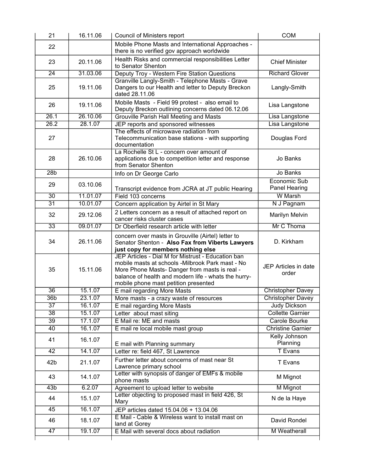| 21                    | 16.11.06           | <b>COM</b><br>Council of Ministers report                                                                                                                                                                                                               |                                                  |
|-----------------------|--------------------|---------------------------------------------------------------------------------------------------------------------------------------------------------------------------------------------------------------------------------------------------------|--------------------------------------------------|
| 22                    |                    | Mobile Phone Masts and International Approaches -<br>there is no verified gov approach worldwide                                                                                                                                                        |                                                  |
| 23                    | 20.11.06           | Health Risks and commercial responsibilities Letter<br>to Senator Shenton                                                                                                                                                                               | <b>Chief Minister</b>                            |
| $\overline{24}$       | 31.03.06           | Deputy Troy - Western Fire Station Questions                                                                                                                                                                                                            | <b>Richard Glover</b>                            |
| 25                    | 19.11.06           | Granville Langly-Smith - Telephone Masts - Grave<br>Dangers to our Health and letter to Deputy Breckon<br>dated 28.11.06                                                                                                                                | Langly-Smith                                     |
| 26                    | 19.11.06           | Mobile Masts - Field 99 protest - also email to<br>Deputy Breckon outlining concerns dated 06.12.06                                                                                                                                                     | Lisa Langstone                                   |
| 26.1                  | 26.10.06           | Grouville Parish Hall Meeting and Masts                                                                                                                                                                                                                 | Lisa Langstone                                   |
| $\overline{26.2}$     | 28.1.07            | JEP reports and sponsored witnesses                                                                                                                                                                                                                     | Lisa Langstone                                   |
| 27                    |                    | The effects of microwave radiation from<br>Telecommunication base stations - with supporting<br>documentation                                                                                                                                           | Douglas Ford                                     |
| 28                    | 26.10.06           | La Rochelle St L - concern over amount of<br>applications due to competition letter and response<br>from Senator Shenton                                                                                                                                | Jo Banks                                         |
| 28 <sub>b</sub>       |                    | Info on Dr George Carlo                                                                                                                                                                                                                                 | Jo Banks                                         |
| 29                    | 03.10.06           | Transcript evidence from JCRA at JT public Hearing                                                                                                                                                                                                      | Economic Sub<br>Panel Hearing                    |
| $\overline{30}$       | 11.01.07           | Field 103 concerns                                                                                                                                                                                                                                      | <b>W</b> Marsh                                   |
| $\overline{31}$       | 10.01.07           | Concern application by Airtel in St Mary                                                                                                                                                                                                                | N J Pagnam                                       |
| 32                    | 29.12.06           | 2 Letters concern as a result of attached report on<br>cancer risks cluster cases                                                                                                                                                                       | Marilyn Melvin                                   |
| $\overline{33}$       | 09.01.07           | Dr Oberfield research article with letter                                                                                                                                                                                                               | Mr C Thoma                                       |
| 34                    | 26.11.06           | concern over masts in Grouville (Airtel) letter to<br>Senator Shenton - Also Fax from Viberts Lawyers<br>just copy for members nothing else                                                                                                             | D. Kirkham                                       |
| 35                    | 15.11.06           | JEP Articles - Dial M for Mistrust - Education ban<br>mobile masts at schools -Milbrook Park mast - No<br>More Phone Masts- Danger from masts is real -<br>balance of health and modern life - whats the hurry-<br>mobile phone mast petition presented | JEP Articles in date<br>order                    |
| 36                    | 15.1.07            | E mail regarding More Masts                                                                                                                                                                                                                             | <b>Christopher Davey</b>                         |
| 36 <sub>b</sub>       | 23.1.07            | More masts - a crazy waste of resources                                                                                                                                                                                                                 | <b>Christopher Davey</b>                         |
| 37                    | 16.1.07            | E mail regarding More Masts                                                                                                                                                                                                                             | Judy Dickson                                     |
| $\overline{38}$       | 15.1.07            | Letter about mast siting                                                                                                                                                                                                                                | <b>Collette Garnier</b>                          |
| $\overline{39}$<br>40 | 17.1.07<br>16.1.07 | E Mail re: ME and masts                                                                                                                                                                                                                                 | <b>Carole Bourke</b><br><b>Christine Garnier</b> |
|                       |                    | E mail re local mobile mast group                                                                                                                                                                                                                       |                                                  |
| 41                    | 16.1.07            | E mail with Planning summary                                                                                                                                                                                                                            | Kelly Johnson<br>Planning                        |
| 42                    | 14.1.07            | Letter re: field 467, St Lawrence                                                                                                                                                                                                                       | <b>T</b> Evans                                   |
| 42b                   | 21.1.07            | Further letter about concerns of mast near St<br>Lawrence primary school                                                                                                                                                                                | T Evans                                          |
| 43                    | 14.1.07            | Letter with synopsis of danger of EMFs & mobile<br>phone masts                                                                                                                                                                                          | M Mignot                                         |
| $\overline{43b}$      | 6.2.07             | Agreement to upload letter to website                                                                                                                                                                                                                   | M Mignot                                         |
| 44                    | 15.1.07            | Letter objecting to proposed mast in field 426, St<br>Mary                                                                                                                                                                                              | N de la Haye                                     |
| 45                    | 16.1.07            | JEP articles dated 15.04.06 + 13.04.06                                                                                                                                                                                                                  |                                                  |
| 46                    | 18.1.07            | E Mail - Cable & Wireless want to install mast on<br>land at Gorey                                                                                                                                                                                      | David Rondel                                     |
| 47                    | 19.1.07            | E Mail with several docs about radiation                                                                                                                                                                                                                | <b>M</b> Weatherall                              |
|                       |                    |                                                                                                                                                                                                                                                         |                                                  |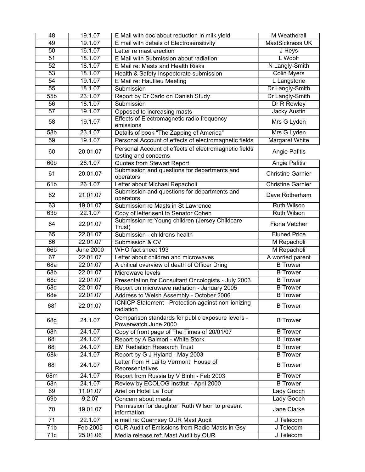| 48               | 19.1.07          | E Mail with doc about reduction in milk yield                             | M Weatherall             |
|------------------|------------------|---------------------------------------------------------------------------|--------------------------|
| 49               | 19.1.07          | E mail with details of Electrosensitivity                                 | <b>MastSickness UK</b>   |
| $\overline{50}$  | 16.1.07          | Letter re mast erection                                                   | <b>J</b> Heys            |
| $\overline{51}$  | 18.1.07          | E Mail with Submission about radiation                                    | L Woolf                  |
| $\overline{52}$  | 18.1.07          | E Mail re: Masts and Health Risks                                         | N Langly-Smith           |
| $\overline{53}$  | 18.1.07          | Health & Safety Inspectorate submission                                   | <b>Colin Myers</b>       |
| $\overline{54}$  | 19.1.07          | E Mail re: Hautlieu Meeting                                               | L Langstone              |
| $\overline{55}$  | 18.1.07          | Submission                                                                | Dr Langly-Smith          |
| 55b              | 23.1.07          | Report by Dr Carlo on Danish Study                                        | Dr Langly-Smith          |
| 56               | 18.1.07          | Submission                                                                | Dr R Rowley              |
| 57               | 19.1.07          | Opposed to increasing masts                                               | <b>Jacky Austin</b>      |
|                  |                  | <b>Effects of Electromagnetic radio frequency</b>                         |                          |
| 58               | 19.1.07          | emissions                                                                 | Mrs G Lyden              |
| 58 <sub>b</sub>  | 23.1.07          | Details of book "The Zapping of America"                                  | Mrs G Lyden              |
| 59               | 19.1.07          | Personal Account of effects of electromagnetic fields                     | <b>Margaret White</b>    |
| 60               | 20.01.07         | Personal Account of effects of electromagnetic fields                     | Angie Pafitis            |
|                  |                  | testing and concerns                                                      |                          |
| 60 <sub>b</sub>  | 26.1.07          | <b>Quotes from Stewart Report</b>                                         | <b>Angie Pafitis</b>     |
| 61               | 20.01.07         | Submission and questions for departments and                              | <b>Christine Garnier</b> |
|                  |                  | operators                                                                 |                          |
| 61b              | 26.1.07          | Letter about Michael Repacholi                                            | <b>Christine Garnier</b> |
| 62               | 21.01.07         | Submission and questions for departments and                              | Dave Rotherham           |
|                  |                  | operators                                                                 |                          |
| 63               | 19.01.07         | Submission re Masts in St Lawrence                                        | <b>Ruth Wilson</b>       |
| 63b              | 22.1.07          | Copy of letter sent to Senator Cohen                                      | <b>Ruth Wilson</b>       |
| 64               | 22.01.07         | Submission re Young children (Jersey Childcare<br>Trust)                  | Fiona Vatcher            |
| 65               | 22.01.07         | Submission - childrens health                                             | <b>Eluned Price</b>      |
| 66               | 22.01.07         | Submission & CV                                                           | M Repacholi              |
| 66b              | <b>June 2000</b> | WHO fact sheet 193                                                        | M Repacholi              |
| 67               | 22.01.07         | Letter about children and microwaves                                      | A worried parent         |
| 68a              | 22.01.07         | A critical overview of death of Officer Dring                             | <b>B</b> Trower          |
| 68 <sub>b</sub>  | 22.01.07         | Microwave levels                                                          | <b>B</b> Trower          |
| 68c              | 22.01.07         | Presentation for Consultant Oncologists - July 2003                       | <b>B</b> Trower          |
| 68d              | 22.01.07         | Report on microwave radiation - January 2005                              | <b>B</b> Trower          |
| 68e              | 22.01.07         | Address to Welsh Assembly - October 2006                                  | <b>B</b> Trower          |
| 68f              | 22.01.07         | ICNICP Statement - Protection against non-ionizing<br>radiation           | <b>B</b> Trower          |
| 68g              | 24.1.07          | Comparison standards for public exposure levers -<br>Powerwatch June 2000 | <b>B</b> Trower          |
| 68h              | 24.1.07          | Copy of front page of The Times of 20/01/07                               | <b>B</b> Trower          |
| 68i              | 24.1.07          | Report by A Balmori - White Stork                                         | <b>B</b> Trower          |
| 68j              | 24.1.07          | <b>EM Radiation Research Trust</b>                                        | <b>B</b> Trower          |
| 68k              | 24.1.07          | Report by G J Hyland - May 2003                                           | <b>B</b> Trower          |
| 681              | 24.1.07          | Letter from H Lai to Vermont House of                                     | <b>B</b> Trower          |
|                  |                  | Representatives                                                           |                          |
| 68m              | 24.1.07          | Report from Russia by V Binhi - Feb 2003                                  | <b>B</b> Trower          |
| 68n              | 24.1.07          | Review by ECOLOG Institut - April 2000                                    | <b>B</b> Trower          |
| 69               | 11.01.07         | Ariel on Hotel La Tour                                                    | Lady Gooch               |
| 69 <sub>b</sub>  | 9.2.07           | Concern about masts                                                       | Lady Gooch               |
| 70               | 19.01.07         | Permission for daughter, Ruth Wilson to present<br>information            | Jane Clarke              |
| $\overline{71}$  | 22.1.07          | e mail re: Guernsey OUR Mast Audit                                        | J Telecom                |
| $\overline{71b}$ | Feb 2005         | OUR Audit of Emissions from Radio Masts in Gsy                            | J Telecom                |
| $\overline{71c}$ | 25.01.06         | Media release ref: Mast Audit by OUR                                      | J Telecom                |
|                  |                  |                                                                           |                          |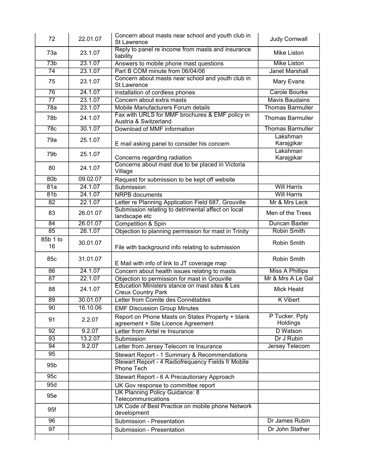| 72               | 22.01.07 | Concern about masts near school and youth club in<br><b>St Lawrence</b>                | <b>Judy Cornwall</b>       |
|------------------|----------|----------------------------------------------------------------------------------------|----------------------------|
| 73a              | 23.1.07  | Reply to panel re income from masts and insurance<br>liability                         | Mike Liston                |
| $\overline{73b}$ | 23.1.07  | Answers to mobile phone mast questions                                                 | <b>Mike Liston</b>         |
| $\overline{74}$  | 23.1.07  | Part B COM minute from 06/04/06                                                        | <b>Janet Marshall</b>      |
| 75               | 23.1.07  | Concern about masts near school and youth club in<br>St Lawrence                       | Mary Evans                 |
| $\overline{76}$  | 24.1.07  | Installation of cordless phones                                                        | Carole Bourke              |
| $\overline{77}$  | 23.1.07  | Concern about extra masts                                                              | <b>Mavis Baudains</b>      |
| 78a              | 23.1.07  | Mobile Manufacturers Forum details                                                     | <b>Thomas Barmuller</b>    |
| 78b              | 24.1.07  | Fax with URLS for MMF brochures & EMF policy in<br>Austria & Switzerland               | <b>Thomas Barmuller</b>    |
| 78c              | 30.1.07  | Download of MMF information                                                            | <b>Thomas Barmuller</b>    |
| 79a              | 25.1.07  | E mail asking panel to consider his concern                                            | Lakshman<br>Karajgikar     |
| 79b              | 25.1.07  | Concerns regarding radiation                                                           | Lakshman<br>Karajgikar     |
| 80               | 24.1.07  | Concerns about mast due to be placed in Victoria<br>Village                            |                            |
| 80 <sub>b</sub>  | 09.02.07 | Request for submission to be kept off website                                          |                            |
| 81a              | 24.1.07  | Submission                                                                             | <b>Will Harris</b>         |
| 81b              | 24.1.07  | <b>NRPB</b> documents                                                                  | <b>Will Harris</b>         |
| 82               | 22.1.07  | Letter re Planning Application Field 687, Grouville                                    | Mr & Mrs Leck              |
| 83               | 26.01.07 | Submission relating to detrimental affect on local<br>landscape etc                    | Men of the Trees           |
| $\overline{84}$  | 26.01.07 | <b>Competition &amp; Spin</b>                                                          | Duncan Baxter              |
| $\overline{85}$  | 26.1.07  | Objection to planning permission for mast in Trinity                                   | <b>Robin Smith</b>         |
| 85b 1 to<br>16   | 30.01.07 | File with background info relating to submission                                       | Robin Smith                |
| 85c              | 31.01.07 | E Mail with info of link to JT coverage map                                            | Robin Smith                |
| $\overline{86}$  | 24.1.07  | Concern about health issues relating to masts                                          | <b>Miss A Phillips</b>     |
| 87               | 22.1.07  | Objection to permission for mast in Grouville                                          | Mr & Mrs A Le Gal          |
| 88               | 24.1.07  | Education Ministers stance on mast sites & Les<br><b>Creux Country Park</b>            | Mick Heald                 |
| $\overline{89}$  | 30.01.07 | Letter from Comite des Connétables                                                     | <b>K</b> Vibert            |
| 90               | 16.10.06 | <b>EMF Discussion Group Minutes</b>                                                    |                            |
| 91               | 2.2.07   | Report on Phone Masts on States Property + blank<br>agreement + Site Licence Agreement | P Tucker, Ppty<br>Holdings |
| $\overline{92}$  | 9.2.07   | Letter from Airtel re Insurance                                                        | D Watson                   |
| 93               | 13.2.07  | Submission                                                                             | Dr J Rubin                 |
| 94               | 9.2.07   | Letter from Jersey Telecom re Insurance                                                | Jersey Telecom             |
| 95               |          | Stewart Report - 1 Summary & Recommendations                                           |                            |
| 95 <sub>b</sub>  |          | Stewart Report - 4 Radiofrequency Fields fr Mobile<br>Phone Tech                       |                            |
| 95c              |          | Stewart Report - 6 A Precautionary Approach                                            |                            |
| 95d              |          | UK Gov response to committee report                                                    |                            |
| 95e              |          | <b>UK Planning Policy Guidance: 8</b><br>Telecommunications                            |                            |
| 95f              |          | UK Code of Best Practice on mobile phone Network<br>development                        |                            |
|                  |          | Submission - Presentation                                                              | Dr James Rubin             |
|                  |          |                                                                                        |                            |
| 96<br>97         |          | Submission - Presentation                                                              | Dr John Stather            |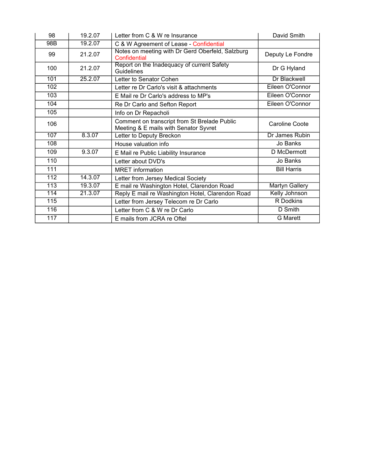| 98  | 19.2.07 | Letter from C & W re Insurance                                                        | David Smith           |
|-----|---------|---------------------------------------------------------------------------------------|-----------------------|
| 98B | 19.2.07 | C & W Agreement of Lease - Confidential                                               |                       |
| 99  | 21.2.07 | Notes on meeting with Dr Gerd Oberfeld, Salzburg<br>Confidential                      | Deputy Le Fondre      |
| 100 | 21.2.07 | Report on the Inadequacy of current Safety<br>Guidelines                              | Dr G Hyland           |
| 101 | 25.2.07 | Letter to Senator Cohen                                                               | <b>Dr Blackwell</b>   |
| 102 |         | Letter re Dr Carlo's visit & attachments                                              | Eileen O'Connor       |
| 103 |         | E Mail re Dr Carlo's address to MP's                                                  | Eileen O'Connor       |
| 104 |         | Re Dr Carlo and Sefton Report                                                         | Eileen O'Connor       |
| 105 |         | Info on Dr Repacholi                                                                  |                       |
| 106 |         | Comment on transcript from St Brelade Public<br>Meeting & E mails with Senator Syvret | Caroline Coote        |
| 107 | 8.3.07  | Letter to Deputy Breckon                                                              | Dr James Rubin        |
| 108 |         | House valuation info                                                                  | Jo Banks              |
| 109 | 9.3.07  | E Mail re Public Liability Insurance                                                  | D McDermott           |
| 110 |         | Letter about DVD's                                                                    | Jo Banks              |
| 111 |         | <b>MRET</b> information                                                               | <b>Bill Harris</b>    |
| 112 | 14.3.07 | Letter from Jersey Medical Society                                                    |                       |
| 113 | 19.3.07 | E mail re Washington Hotel, Clarendon Road                                            | <b>Martyn Gallery</b> |
| 114 | 21.3.07 | Reply E mail re Washington Hotel, Clarendon Road                                      | <b>Kelly Johnson</b>  |
| 115 |         | Letter from Jersey Telecom re Dr Carlo                                                | <b>R</b> Dodkins      |
| 116 |         | Letter from C & W re Dr Carlo                                                         | D Smith               |
| 117 |         | E mails from JCRA re Oftel                                                            | <b>G</b> Marett       |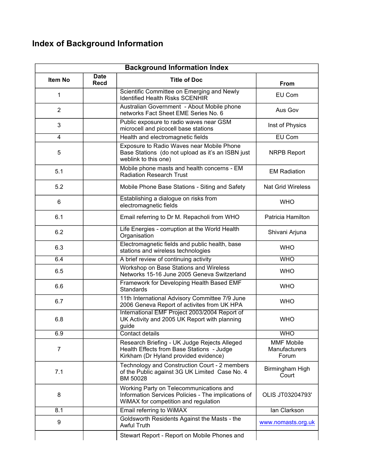# **Index of Background Information**

| <b>Background Information Index</b> |                            |                                                                                                                                        |                                                    |  |
|-------------------------------------|----------------------------|----------------------------------------------------------------------------------------------------------------------------------------|----------------------------------------------------|--|
| Item No                             | <b>Date</b><br><b>Recd</b> | <b>Title of Doc</b>                                                                                                                    | From                                               |  |
| 1                                   |                            | Scientific Committee on Emerging and Newly<br><b>Identified Health Risks SCENHIR</b>                                                   | EU Com                                             |  |
| $\overline{2}$                      |                            | Australian Government - About Mobile phone<br>networks Fact Sheet EME Series No. 6                                                     | Aus Gov                                            |  |
| 3                                   |                            | Public exposure to radio waves near GSM<br>microcell and picocell base stations                                                        | Inst of Physics                                    |  |
| 4                                   |                            | Health and electromagnetic fields                                                                                                      | EU Com                                             |  |
| 5                                   |                            | Exposure to Radio Waves near Mobile Phone<br>Base Stations (do not upload as it's an ISBN just<br>weblink to this one)                 | <b>NRPB Report</b>                                 |  |
| 5.1                                 |                            | Mobile phone masts and health concerns - EM<br><b>Radiation Research Trust</b>                                                         | <b>EM Radiation</b>                                |  |
| 5.2                                 |                            | Mobile Phone Base Stations - Siting and Safety                                                                                         | <b>Nat Grid Wireless</b>                           |  |
| 6                                   |                            | Establishing a dialogue on risks from<br>electromagnetic fields                                                                        | <b>WHO</b>                                         |  |
| 6.1                                 |                            | Email referring to Dr M. Repacholi from WHO                                                                                            | Patricia Hamilton                                  |  |
| 6.2                                 |                            | Life Energies - corruption at the World Health<br>Organisation                                                                         | Shivani Arjuna                                     |  |
| 6.3                                 |                            | Electromagnetic fields and public health, base<br>stations and wireless technologies                                                   | <b>WHO</b>                                         |  |
| 6.4                                 |                            | A brief review of continuing activity                                                                                                  | <b>WHO</b>                                         |  |
| 6.5                                 |                            | Workshop on Base Stations and Wireless<br>Networks 15-16 June 2005 Geneva Switzerland                                                  | <b>WHO</b>                                         |  |
| 6.6                                 |                            | Framework for Developing Health Based EMF<br><b>Standards</b>                                                                          | <b>WHO</b>                                         |  |
| 6.7                                 |                            | 11th International Advisory Committee 7/9 June<br>2006 Geneva Report of activites from UK HPA                                          | <b>WHO</b>                                         |  |
| 6.8                                 |                            | International EMF Project 2003/2004 Report of<br>UK Activity and 2005 UK Report with planning<br>guide                                 | <b>WHO</b>                                         |  |
| 6.9                                 |                            | Contact details                                                                                                                        | <b>WHO</b>                                         |  |
| $\overline{7}$                      |                            | Research Briefing - UK Judge Rejects Alleged<br>Health Effects from Base Stations - Judge<br>Kirkham (Dr Hyland provided evidence)     | <b>MMF Mobile</b><br><b>Manufacturers</b><br>Forum |  |
| 7.1                                 |                            | Technology and Construction Court - 2 members<br>of the Public against 3G UK Limited Case No. 4<br>BM 50028                            | Birmingham High<br>Court                           |  |
| 8                                   |                            | Working Party on Telecommunications and<br>Information Services Policies - The implications of<br>WiMAX for competition and regulation | OLIS JT03204793'                                   |  |
| 8.1                                 |                            | Email referring to WiMAX                                                                                                               | lan Clarkson                                       |  |
| 9                                   |                            | Goldsworth Residents Against the Masts - the<br>Awful Truth                                                                            | www.nomasts.org.uk                                 |  |
|                                     |                            | Stewart Report - Report on Mobile Phones and                                                                                           |                                                    |  |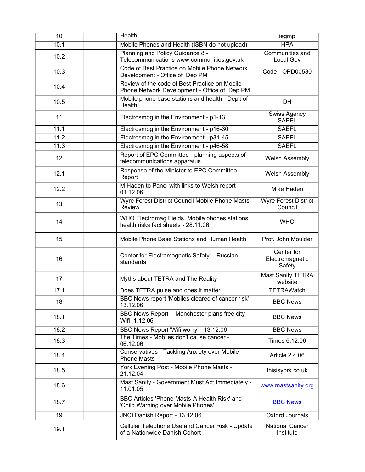| 10   | Health                                                                                        | iegmp                                   |
|------|-----------------------------------------------------------------------------------------------|-----------------------------------------|
| 10.1 | Mobile Phones and Health (ISBN do not upload)                                                 | <b>HPA</b>                              |
| 10.2 | Planning and Policy Guidance 8 -<br>Telecommunications www.communities.gov.uk                 | Communities and<br>Local Gov            |
| 10.3 | Code of Best Practice on Mobile Phone Network<br>Development - Office of Dep PM               | Code - OPD00530                         |
| 10.4 | Review of the code of Best Practice on Mobile<br>Phone Network Development - Office of Dep PM |                                         |
| 10.5 | Mobile phone base stations and health - Dep't of<br>Health                                    | DH                                      |
| 11   | Electrosmog in the Environment - p1-13                                                        | Swiss Agency<br><b>SAEFL</b>            |
| 11.1 | Electrosmog in the Environment - p16-30                                                       | <b>SAEFL</b>                            |
| 11.2 | Electrosmog in the Environment - p31-45                                                       | <b>SAEFL</b>                            |
| 11.3 | Electrosmog in the Environment - p46-58                                                       | <b>SAEFL</b>                            |
| 12   | Report of EPC Committee - planning aspects of<br>telecommunications apparatus                 | <b>Welsh Assembly</b>                   |
| 12.1 | Response of the Minister to EPC Committee<br>Report                                           | <b>Welsh Assembly</b>                   |
| 12.2 | M Haden to Panel with links to Welsh report -<br>01.12.06                                     | Mike Haden                              |
| 13   | Wyre Forest District Council Mobile Phone Masts<br>Review                                     | <b>Wyre Forest District</b><br>Council  |
| 14   | WHO Electromag Fields. Mobile phones stations<br>health risks fact sheets - 28.11.06          | <b>WHO</b>                              |
| 15   | Mobile Phone Base Stations and Human Health                                                   | Prof. John Moulder                      |
| 16   | Center for Electromagnetic Safety - Russian<br>standards                                      | Center for<br>Electromagnetic<br>Safety |
| 17   | Myths about TETRA and The Reality                                                             | <b>Mast Sanity TETRA</b><br>website     |
| 17.1 | Does TETRA pulse and does it matter                                                           | <b>TETRAWatch</b>                       |
| 18   | BBC News report 'Mobiles cleared of cancer risk' -<br>13.12.06                                | <b>BBC News</b>                         |
| 18.1 | BBC News Report - Manchester plans free city<br>Wifi- 1.12.06                                 | <b>BBC News</b>                         |
| 18.2 | BBC News Report 'Wifi worry' - 13.12.06                                                       | <b>BBC News</b>                         |
| 18.3 | The Times - Mobiles don't cause cancer -<br>06.12.06                                          | Times 6.12.06                           |
| 18.4 | Conservatives - Tackling Anxiety over Mobile<br><b>Phone Masts</b>                            | Article 2.4.06                          |
| 18.5 | York Evening Post - Mobile Phone Masts -<br>21.12.04                                          | thisisyork.co.uk                        |
| 18.6 | Mast Sanity - Government Must Act Immediately -<br>11.01.05                                   | www.mastsanity.org                      |
| 18.7 | BBC Articles 'Phone Masts-A Health Risk' and<br>'Child Warning over Mobile Phones'            | <b>BBC News</b>                         |
| 19   | JNCI Danish Report - 13.12.06                                                                 | Oxford Journals                         |
| 19.1 | Cellular Telephone Use and Cancer Risk - Update<br>of a Nationwide Danish Cohort              | <b>National Cancer</b><br>Institute     |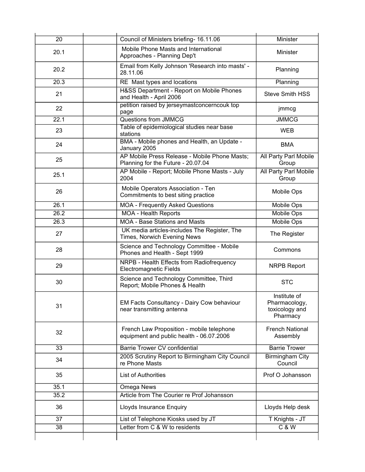| $\overline{20}$ | Council of Ministers briefing- 16.11.06                                               | Minister                                                    |
|-----------------|---------------------------------------------------------------------------------------|-------------------------------------------------------------|
| 20.1            | Mobile Phone Masts and International<br>Approaches - Planning Dep't                   | Minister                                                    |
| 20.2            | Email from Kelly Johnson 'Research into masts' -<br>28.11.06                          | Planning                                                    |
| 20.3            | RE Mast types and locations                                                           | Planning                                                    |
| 21              | H&SS Department - Report on Mobile Phones<br>and Health - April 2006                  | <b>Steve Smith HSS</b>                                      |
| 22              | petition raised by jerseymastconcerncouk top<br>page                                  | jmmcg                                                       |
| 22.1            | <b>Questions from JMMCG</b>                                                           | <b>JMMCG</b>                                                |
| 23              | Table of epidemiological studies near base<br>stations                                | <b>WEB</b>                                                  |
| 24              | BMA - Mobile phones and Health, an Update -<br>January 2005                           | <b>BMA</b>                                                  |
| 25              | AP Mobile Press Release - Mobile Phone Masts;<br>Planning for the Future - 20.07.04   | All Party Parl Mobile<br>Group                              |
| 25.1            | AP Mobile - Report; Mobile Phone Masts - July<br>2004                                 | All Party Parl Mobile<br>Group                              |
| 26              | Mobile Operators Association - Ten<br>Commitments to best siting practice             | Mobile Ops                                                  |
| 26.1            | <b>MOA - Frequently Asked Questions</b>                                               | Mobile Ops                                                  |
| 26.2            | <b>MOA - Health Reports</b>                                                           | <b>Mobile Ops</b>                                           |
| 26.3            | <b>MOA - Base Stations and Masts</b>                                                  | Mobile Ops                                                  |
| 27              | UK media articles-includes The Register, The<br>Times, Norwich Evening News           | The Register                                                |
| 28              | Science and Technology Committee - Mobile<br>Phones and Health - Sept 1999            | Commons                                                     |
| 29              | NRPB - Health Effects from Radiofrequency<br><b>Electromagnetic Fields</b>            | <b>NRPB Report</b>                                          |
| 30              | Science and Technology Committee, Third<br>Report; Mobile Phones & Health             | <b>STC</b>                                                  |
| 31              | EM Facts Consultancy - Dairy Cow behaviour<br>near transmitting antenna               | Institute of<br>Pharmacology,<br>toxicology and<br>Pharmacy |
| 32              | French Law Proposition - mobile telephone<br>equipment and public health - 06.07.2006 | <b>French National</b><br>Assembly                          |
| 33              | <b>Barrie Trower CV confidential</b>                                                  | <b>Barrie Trower</b>                                        |
| 34              | 2005 Scrutiny Report to Birmingham City Council<br>re Phone Masts                     | Birmingham City<br>Council                                  |
| 35              | <b>List of Authorities</b>                                                            | Prof O Johansson                                            |
| 35.1            | Omega News                                                                            |                                                             |
| 35.2            | Article from The Courier re Prof Johansson                                            |                                                             |
| 36              | Lloyds Insurance Enquiry                                                              | Lloyds Help desk                                            |
| 37              | List of Telephone Kiosks used by JT                                                   | T Knights - JT                                              |
| 38              | Letter from C & W to residents                                                        | C & W                                                       |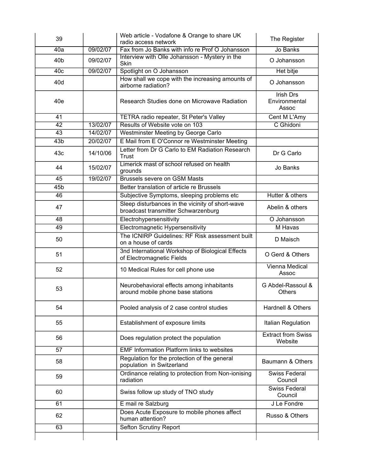| 39              |          | Web article - Vodafone & Orange to share UK<br>radio access network                     | The Register                         |
|-----------------|----------|-----------------------------------------------------------------------------------------|--------------------------------------|
| 40a             | 09/02/07 | Fax from Jo Banks with info re Prof O Johansson                                         | Jo Banks                             |
| 40b             | 09/02/07 | Interview with Olle Johansson - Mystery in the<br>Skin                                  | O Johansson                          |
| 40c             | 09/02/07 | Spotlight on O Johansson                                                                | <b>Het bitje</b>                     |
| 40d             |          | How shall we cope with the increasing amounts of<br>airborne radiation?                 | O Johansson                          |
| 40e             |          | Research Studies done on Microwave Radiation                                            | Irish Drs<br>Environmental<br>Assoc  |
| 41              |          | TETRA radio repeater, St Peter's Valley                                                 | Cent M L'Amy                         |
| $\overline{42}$ | 13/02/07 | Results of Website vote on 103                                                          | C Ghidoni                            |
| 43              | 14/02/07 | Westminster Meeting by George Carlo                                                     |                                      |
| 43 <sub>b</sub> | 20/02/07 | E Mail from E O'Connor re Westminster Meeting                                           |                                      |
| 43c             | 14/10/06 | Letter from Dr G Carlo to EM Radiation Research<br>Trust                                | Dr G Carlo                           |
| 44              | 15/02/07 | Limerick mast of school refused on health<br>grounds                                    | Jo Banks                             |
| 45              | 19/02/07 | <b>Brussels severe on GSM Masts</b>                                                     |                                      |
| 45b             |          | Better translation of article re Brussels                                               |                                      |
| 46              |          | Subjective Symptoms, sleeping problems etc                                              | Hutter & others                      |
| 47              |          | Sleep disturbances in the vicinity of short-wave<br>broadcast transmitter Schwarzenburg | Abelin & others                      |
| 48              |          | Electrohypersensitivity                                                                 | O Johansson                          |
| 49              |          | Electromagnetic Hypersensitivity                                                        | M Havas                              |
| 50              |          | The ICNIRP Guidelines: RF Risk assessment built<br>on a house of cards                  | D Maisch                             |
| 51              |          | 3nd International Workshop of Biological Effects<br>of Electromagnetic Fields           | O Gerd & Others                      |
| 52              |          | 10 Medical Rules for cell phone use                                                     | Vienna Medical<br>Assoc              |
| 53              |          | Neurobehavioral effects among inhabitants<br>around mobile phone base stations          | G Abdel-Rassoul &<br><b>Others</b>   |
| 54              |          | Pooled analysis of 2 case control studies                                               | Hardnell & Others                    |
| 55              |          | Establishment of exposure limits                                                        | Italian Regulation                   |
| 56              |          | Does regulation protect the population                                                  | <b>Extract from Swiss</b><br>Website |
| 57              |          | <b>EMF Information Platform links to websites</b>                                       |                                      |
| 58              |          | Regulation for the protection of the general<br>population in Switzerland               | Baumann & Others                     |
| 59              |          | Ordinance relating to protection from Non-ionising<br>radiation                         | Swiss Federal<br>Council             |
| 60              |          | Swiss follow up study of TNO study                                                      | <b>Swiss Federal</b><br>Council      |
| 61              |          | E mail re Salzburg                                                                      | J Le Fondre                          |
| 62              |          | Does Acute Exposure to mobile phones affect<br>human attention?                         | Russo & Others                       |
| 63              |          | Sefton Scrutiny Report                                                                  |                                      |
|                 |          |                                                                                         |                                      |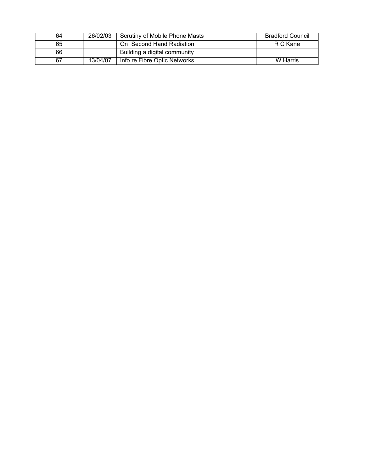| 64 | 26/02/03 | Scrutiny of Mobile Phone Masts | <b>Bradford Council</b> |
|----|----------|--------------------------------|-------------------------|
| 65 |          | On Second Hand Radiation       | R C Kane                |
| 66 |          | Building a digital community   |                         |
| 67 | 13/04/07 | Info re Fibre Optic Networks   | W Harris                |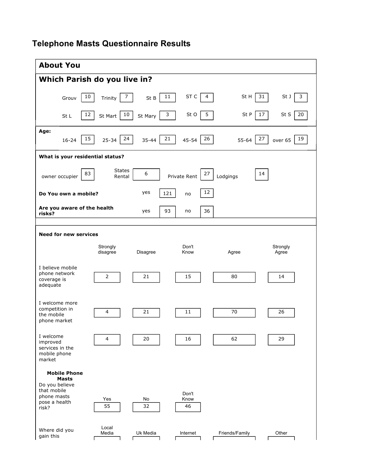## **Telephone Masts Questionnaire Results**

| <b>About You</b>                                                                                              |                         |           |                             |                |                     |  |  |  |
|---------------------------------------------------------------------------------------------------------------|-------------------------|-----------|-----------------------------|----------------|---------------------|--|--|--|
| Which Parish do you live in?                                                                                  |                         |           |                             |                |                     |  |  |  |
| 10<br>Grouv                                                                                                   | 7<br>Trinity            | St B      | $\sf ST$ $\sf C$<br>11<br>4 | St H           | 31<br>St J<br>3     |  |  |  |
| 12<br>St L                                                                                                    | 10<br>St Mart           | St Mary   | 5<br>3<br>St O              | St P           | 17<br>St S<br>20    |  |  |  |
| Age:<br>15<br>$16 - 24$                                                                                       | 24<br>$25 - 34$         | $35 - 44$ | 21<br>26<br>$45 - 54$       | $55 - 64$      | 27<br>19<br>over 65 |  |  |  |
| What is your residential status?                                                                              |                         |           |                             |                |                     |  |  |  |
| 83<br>owner occupier                                                                                          | <b>States</b><br>Rental | 6         | 27<br>Private Rent          | Lodgings       | 14                  |  |  |  |
| 12<br>yes<br>121<br>Do You own a mobile?<br>no                                                                |                         |           |                             |                |                     |  |  |  |
| Are you aware of the health<br>risks?                                                                         |                         | yes       | 36<br>93<br>no              |                |                     |  |  |  |
|                                                                                                               |                         |           |                             |                |                     |  |  |  |
| <b>Need for new services</b>                                                                                  |                         |           |                             |                |                     |  |  |  |
|                                                                                                               | Strongly<br>disagree    | Disagree  | Don't<br>Know               | Agree          | Strongly<br>Agree   |  |  |  |
| I believe mobile<br>phone network<br>coverage is<br>adequate                                                  | $\mathbf 2$             | 21        | 15                          | 80             | 14                  |  |  |  |
| I welcome more<br>competition in<br>the mobile<br>phone market                                                | 4                       | 21        | 11                          | 70             | 26                  |  |  |  |
| I welcome<br>improved<br>services in the<br>mobile phone<br>market                                            | $\overline{a}$          | 20        | 16                          | 62             | 29                  |  |  |  |
| <b>Mobile Phone</b><br><b>Masts</b><br>Do you believe<br>that mobile<br>phone masts<br>pose a health<br>risk? | Yes<br>55               | No<br>32  | Don't<br>Know<br>46         |                |                     |  |  |  |
| Where did you<br>gain this                                                                                    | Local<br>Media          | Uk Media  | Internet                    | Friends/Family | Other               |  |  |  |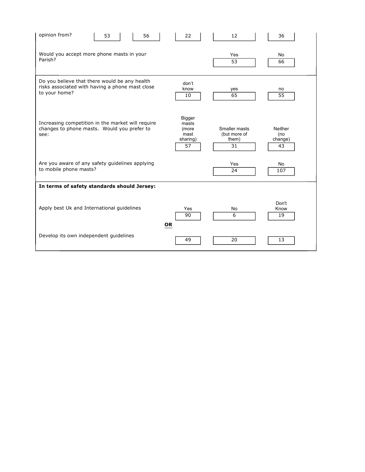| opinion from?<br>53<br>56                                                                                         | 22                                                 | 12                                           | 36                              |  |  |  |  |
|-------------------------------------------------------------------------------------------------------------------|----------------------------------------------------|----------------------------------------------|---------------------------------|--|--|--|--|
| Would you accept more phone masts in your<br>Parish?                                                              | Yes<br>53                                          | No<br>66                                     |                                 |  |  |  |  |
| Do you believe that there would be any health<br>risks associated with having a phone mast close<br>to your home? | don't<br>know<br>10                                | yes<br>65                                    | no<br>$\overline{55}$           |  |  |  |  |
| Increasing competition in the market will require<br>changes to phone masts. Would you prefer to<br>see:          | Bigger<br>masts<br>(more<br>mast<br>sharing)<br>57 | Smaller masts<br>(but more of<br>them)<br>31 | Neither<br>(no<br>change)<br>43 |  |  |  |  |
| Are you aware of any safety guidelines applying<br>to mobile phone masts?                                         |                                                    | Yes<br>24                                    | No<br>107                       |  |  |  |  |
| In terms of safety standards should Jersey:                                                                       |                                                    |                                              |                                 |  |  |  |  |
| Apply best Uk and International guidelines                                                                        | Yes<br>90<br><b>OR</b>                             | No<br>6                                      | Don't<br>Know<br>19             |  |  |  |  |
| Develop its own independent quidelines                                                                            | 49                                                 | 20                                           | 13                              |  |  |  |  |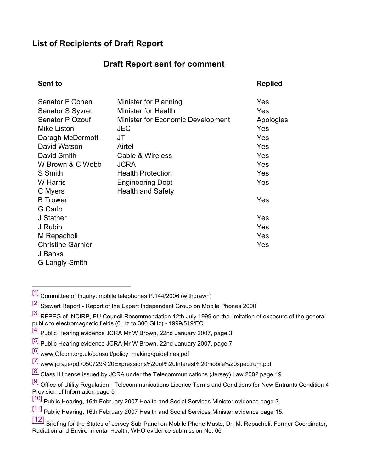## **List of Recipients of Draft Report**

## **Draft Report sent for comment**

## **Sent to Replied** Senator F Cohen Minister for Planning Theorem 76 Yes Senator S Syvret Minister for Health Yes Senator P Ozouf Minister for Economic Development Apologies Mike Liston JEC Yes Daragh McDermott JT Yes David Watson Airtel Yes David Smith Cable & Wireless Yes W Brown & C Webb JCRA Yes S Smith **Health Protection Health** Protection W Harris **Engineering Dept W** Harris Yes C Myers **Health** and Safety B Trower Yes G Carlo J Stather Yes J Rubin Yes M Repacholi Yes **Christine Garnier Yes** The Christian Christian Christian West The Vest The Christian Christian Christian West The Vest The Christian Christian Christian Christian Christian Christian Christian Christian Christian Christia J Banks G Langly-Smith

[1] Committee of Inquiry: mobile telephones P.144/2006 (withdrawn)

<sup>[2]</sup> Stewart Report - Report of the Expert Independent Group on Mobile Phones 2000

- [3] RFPEG of INCIRP, EU Council Recommendation 12th July 1999 on the limitation of exposure of the general public to electromagnetic fields (0 Hz to 300 GHz) - 1999/519/EC
- [4] Public Hearing evidence JCRA Mr W Brown, 22nd January 2007, page 3
- [5] Public Hearing evidence JCRA Mr W Brown, 22nd January 2007, page 7
- [6] [www.Ofcom.org.uk/consult/policy\\_making/guidelines.pdf](www.Ofcom.org.uk/consult/policy_making/guidelines.pdf)
- [7] <www.jcra.je/pdf/050729%20Expressions%20of%20Interest%20mobile%20spectrum.pdf>
- $[8]$  Class II licence issued by JCRA under the Telecommunications (Jersey) Law 2002 page 19
- <sup>[9]</sup> Office of Utility Regulation Telecommunications Licence Terms and Conditions for New Entrants Condition 4 Provision of Information page 5
- [10] Public Hearing, 16th February 2007 Health and Social Services Minister evidence page 3.
- [11] Public Hearing, 16th February 2007 Health and Social Services Minister evidence page 15.
- [12] Briefing for the States of Jersey Sub-Panel on Mobile Phone Masts, Dr. M. Repacholi, Former Coordinator, Radiation and Environmental Health, WHO evidence submission No. 66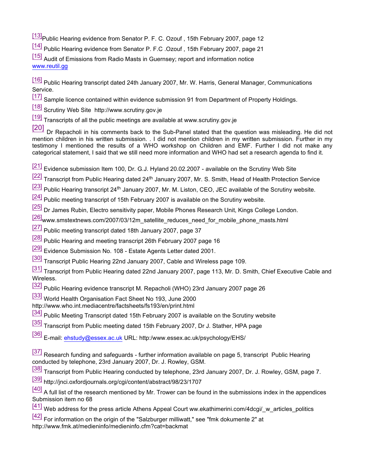[13] Public Hearing evidence from Senator P. F. C. Ozouf, 15th February 2007, page 12

[14] Public Hearing evidence from Senator P. F.C .Ozouf , 15th February 2007, page 21

[15] Audit of Emissions from Radio Masts in Guernsey; report and information notice <www.reutil.gg>

[16] Public Hearing transcript dated 24th January 2007, Mr. W. Harris, General Manager, Communications Service.

[17] Sample licence contained within evidence submission 91 from Department of Property Holdings.

[18] Scrutiny Web Site <http://www.scrutiny.gov.je>

[19] Transcripts of all the public meetings are available at<www.scrutiny.gov.je>

[20] Dr Repacholi in his comments back to the Sub-Panel stated that the question was misleading. He did not mention children in his written submission. . I did not mention children in my written submission. Further in my testimony I mentioned the results of a WHO workshop on Children and EMF. Further I did not make any categorical statement, I said that we still need more information and WHO had set a research agenda to find it.

[21] Evidence submission Item 100, Dr. G.J. Hyland 20.02.2007 - available on the Scrutiny Web Site

[22] Transcript from Public Hearing dated 24<sup>th</sup> January 2007, Mr. S. Smith, Head of Health Protection Service

- [23] Public Hearing transcript 24<sup>th</sup> January 2007, Mr. M. Liston, CEO, JEC available of the Scrutiny website.
- [24] Public meeting transcript of 15th February 2007 is available on the Scrutiny website.

[25] Dr James Rubin, Electro sensitivity paper, Mobile Phones Research Unit, Kings College London.

[26][www.smstextnews.com/2007/03/12m\\_satellite\\_reduces\\_need\\_for\\_mobile\\_phone\\_masts.html](www.smstextnews.com/2007/03/12m_satellite_reduces_need_for_mobile_phone_masts.html)

[27] Public meeting transcript dated 18th January 2007, page 37

[28] Public Hearing and meeting transcript 26th February 2007 page 16

[29] Evidence Submission No. 108 - Estate Agents Letter dated 2001.

[30] Transcript Public Hearing 22nd January 2007, Cable and Wireless page 109.

[31] Transcript from Public Hearing dated 22nd January 2007, page 113, Mr. D. Smith, Chief Executive Cable and Wireless.

[32] Public Hearing evidence transcript M. Repacholi (WHO) 23rd January 2007 page 26

[33] World Health Organisation Fact Sheet No 193, June 2000

<http://www.who.int.mediacentre/factsheets/fs193/en/print.html>

<sup>[34]</sup> Public Meeting Transcript dated 15th February 2007 is available on the Scrutiny website

[35] Transcript from Public meeting dated 15th February 2007, Dr J. Stather, HPA page

[36] E-mail: [ehstudy@essex.ac](mailto:ehstudy@essex.ac).uk URL: http:/<www.essex.ac.uk/psychology/EHS/>

[37] Research funding and safeguards - further information available on page 5, transcript Public Hearing conducted by telephone, 23rd January 2007, Dr. J. Rowley, GSM.

[38] Transcript from Public Hearing conducted by telephone, 23rd January 2007, Dr. J. Rowley, GSM, page 7.

[39]<http://jnci.oxfordjournals.org/cgi/content/abstract/98/23/1707>

 $[40]$  A full list of the research mentioned by Mr. Trower can be found in the submissions index in the appendices Submission item no 68

 $\frac{[41]}{[41]}$  Web address for the press article Athens Appeal Court ww.ekathimerini.com/4dcgi/ w articles politics

[42] For information on the origin of the "Salzburger milliwatt," see "fmk dokumente 2" at http://www.fmk.at/medieninfo/medieninfo.cfm?cat=backmat